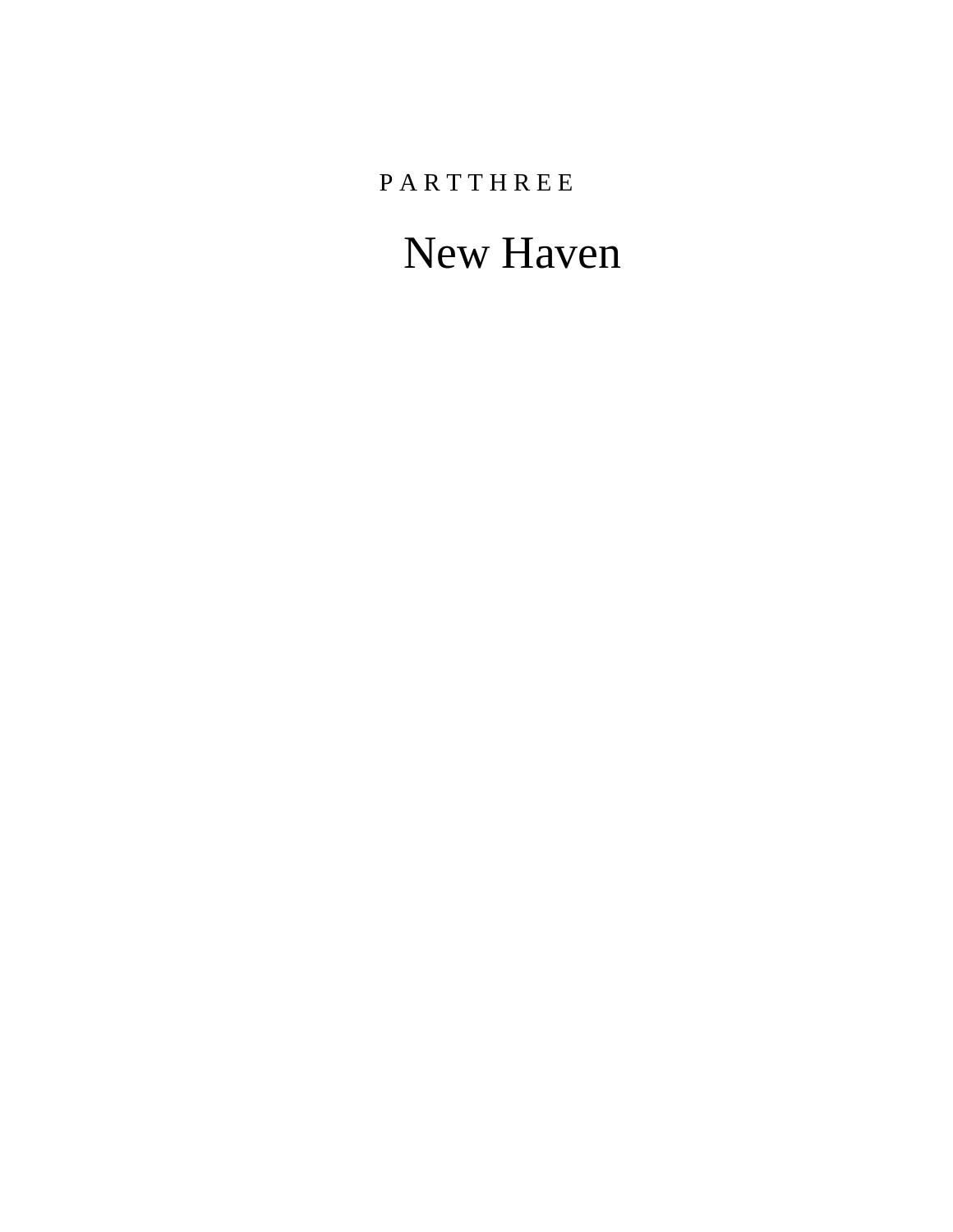**PARTTHREE** 

# New Haven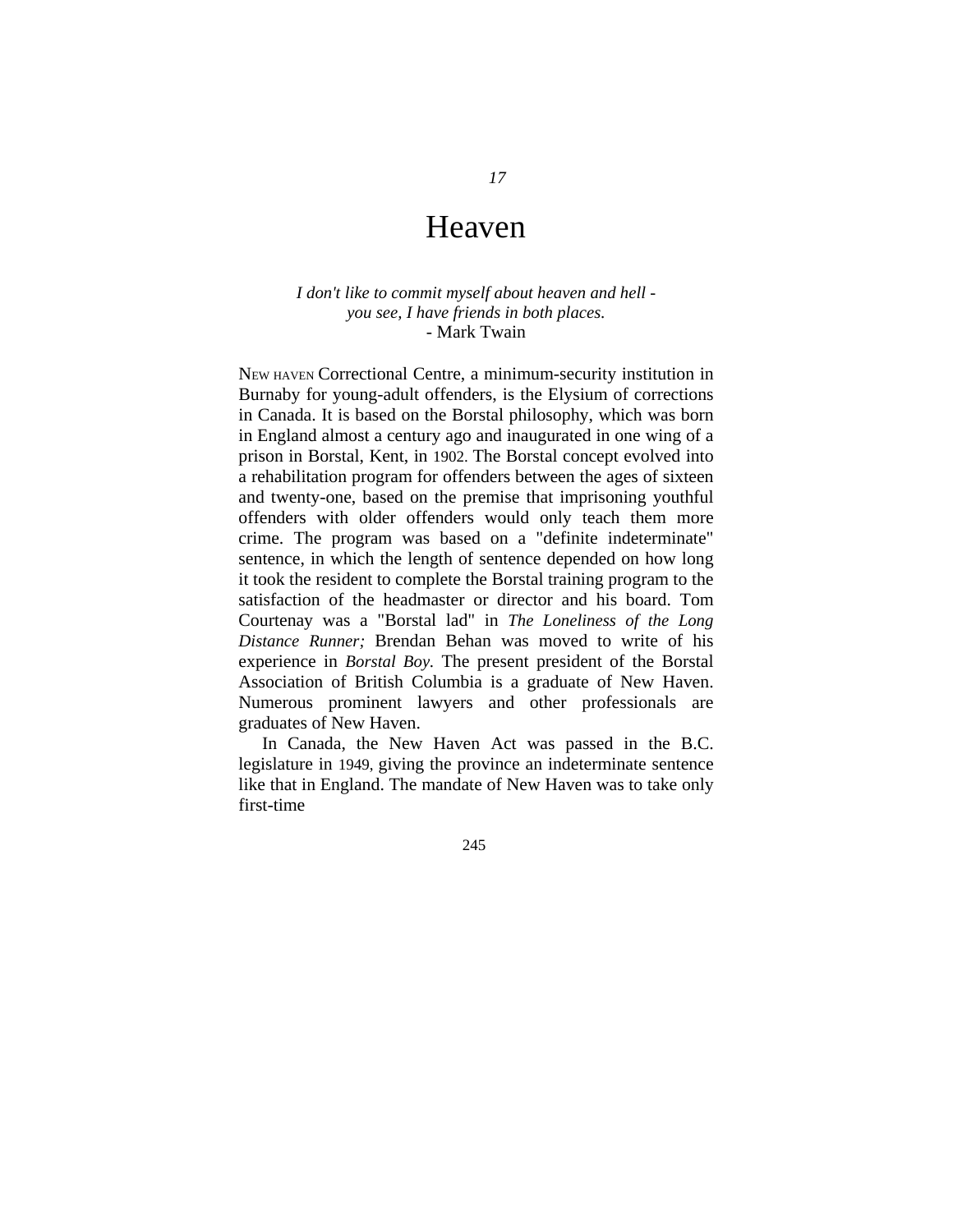## Heaven

### *I don't like to commit myself about heaven and hell you see, I have friends in both places.*  - Mark Twain

NEW HAVEN Correctional Centre, a minimum-security institution in Burnaby for young-adult offenders, is the Elysium of corrections in Canada. It is based on the Borstal philosophy, which was born in England almost a century ago and inaugurated in one wing of a prison in Borstal, Kent, in 1902. The Borstal concept evolved into a rehabilitation program for offenders between the ages of sixteen and twenty-one, based on the premise that imprisoning youthful offenders with older offenders would only teach them more crime. The program was based on a "definite indeterminate" sentence, in which the length of sentence depended on how long it took the resident to complete the Borstal training program to the satisfaction of the headmaster or director and his board. Tom Courtenay was a "Borstal lad" in *The Loneliness of the Long Distance Runner;* Brendan Behan was moved to write of his experience in *Borstal Boy.* The present president of the Borstal Association of British Columbia is a graduate of New Haven. Numerous prominent lawyers and other professionals are graduates of New Haven.

In Canada, the New Haven Act was passed in the B.C. legislature in 1949, giving the province an indeterminate sentence like that in England. The mandate of New Haven was to take only first-time

245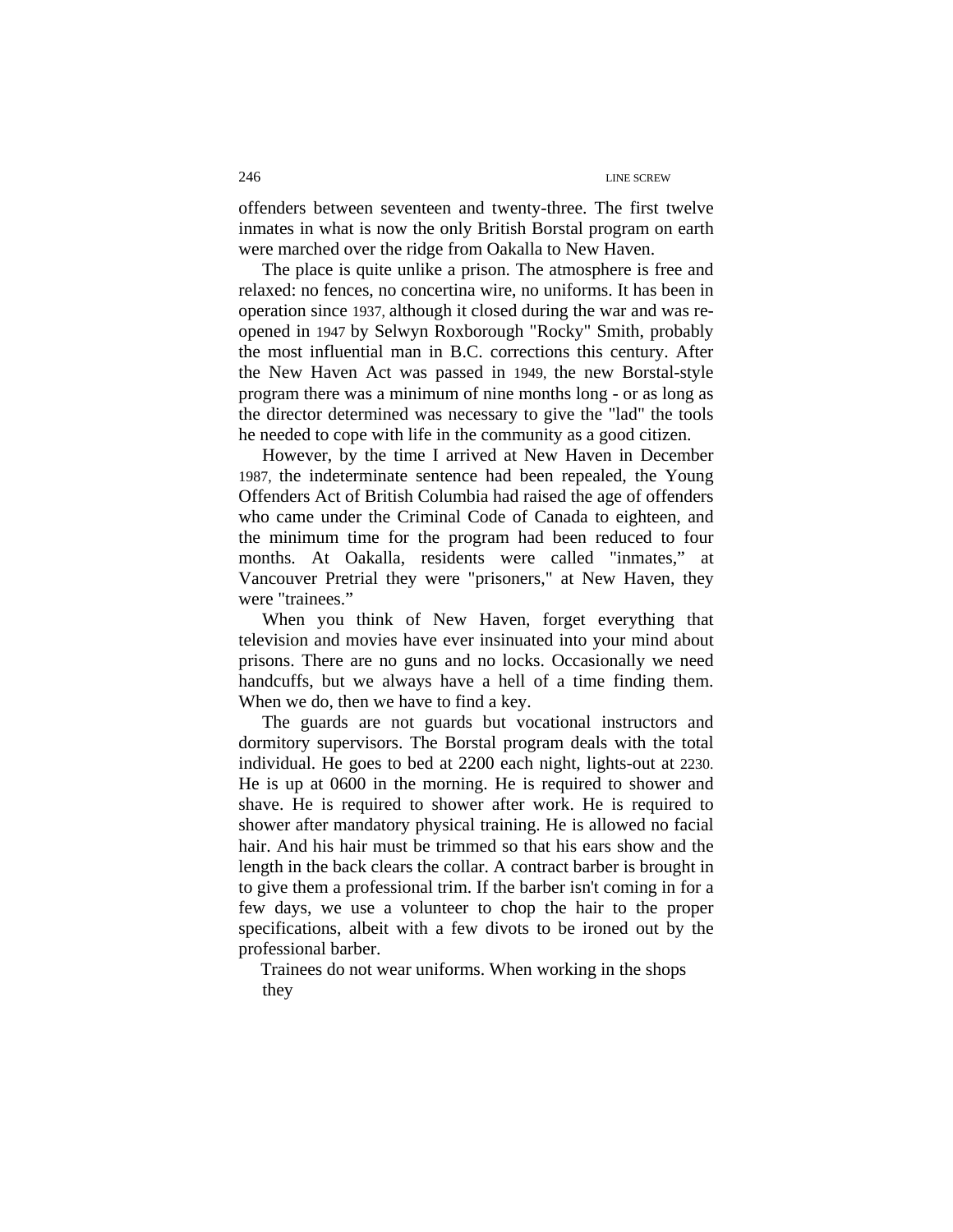offenders between seventeen and twenty-three. The first twelve inmates in what is now the only British Borstal program on earth were marched over the ridge from Oakalla to New Haven.

The place is quite unlike a prison. The atmosphere is free and relaxed: no fences, no concertina wire, no uniforms. It has been in operation since 1937, although it closed during the war and was reopened in 1947 by Selwyn Roxborough "Rocky" Smith, probably the most influential man in B.C. corrections this century. After the New Haven Act was passed in 1949, the new Borstal-style program there was a minimum of nine months long - or as long as the director determined was necessary to give the "lad" the tools he needed to cope with life in the community as a good citizen.

However, by the time I arrived at New Haven in December 1987, the indeterminate sentence had been repealed, the Young Offenders Act of British Columbia had raised the age of offenders who came under the Criminal Code of Canada to eighteen, and the minimum time for the program had been reduced to four months. At Oakalla, residents were called "inmates," at Vancouver Pretrial they were "prisoners," at New Haven, they were "trainees."

When you think of New Haven, forget everything that television and movies have ever insinuated into your mind about prisons. There are no guns and no locks. Occasionally we need handcuffs, but we always have a hell of a time finding them. When we do, then we have to find a key.

The guards are not guards but vocational instructors and dormitory supervisors. The Borstal program deals with the total individual. He goes to bed at 2200 each night, lights-out at 2230. He is up at 0600 in the morning. He is required to shower and shave. He is required to shower after work. He is required to shower after mandatory physical training. He is allowed no facial hair. And his hair must be trimmed so that his ears show and the length in the back clears the collar. A contract barber is brought in to give them a professional trim. If the barber isn't coming in for a few days, we use a volunteer to chop the hair to the proper specifications, albeit with a few divots to be ironed out by the professional barber.

Trainees do not wear uniforms. When working in the shops they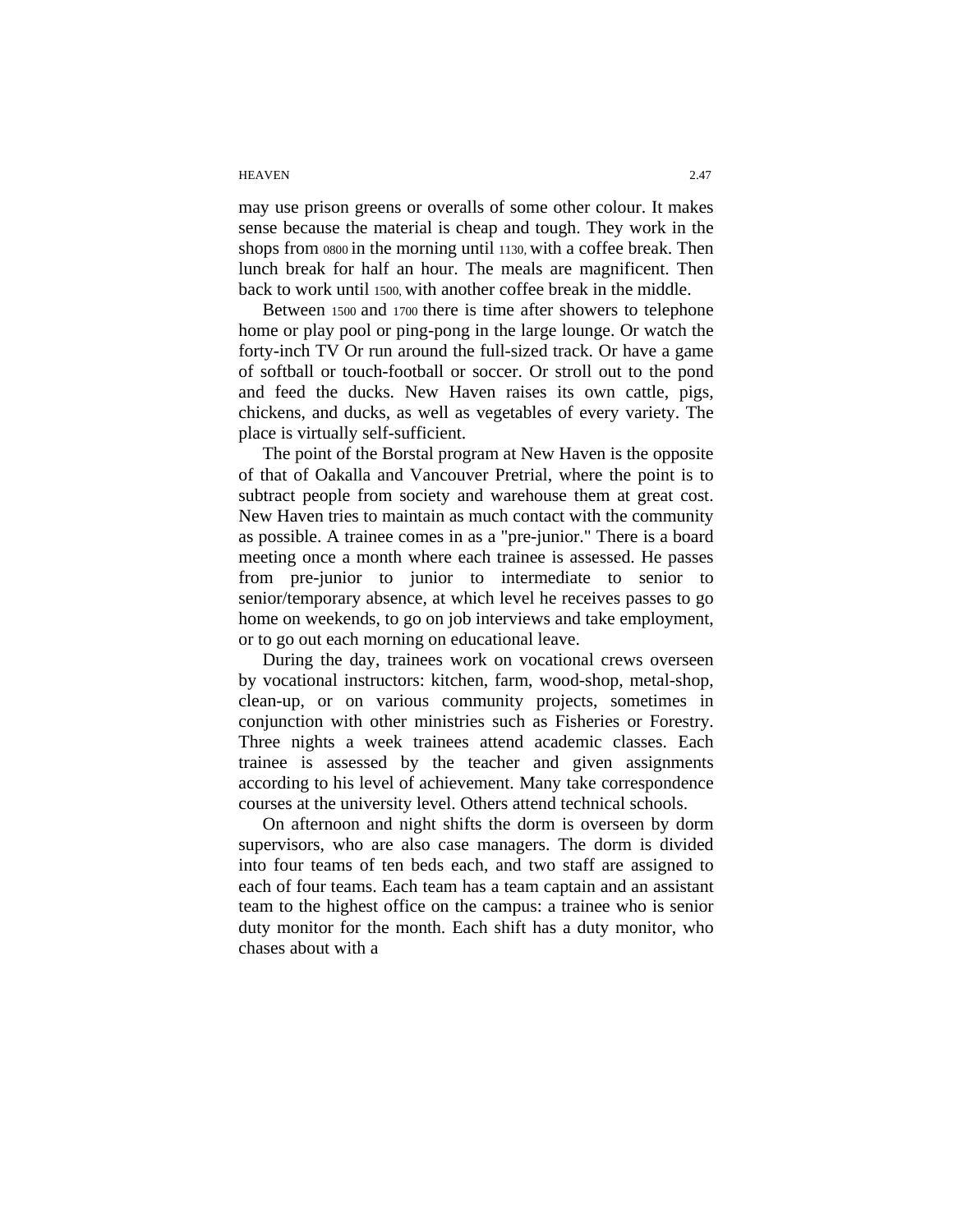#### HEAVEN 2.47

may use prison greens or overalls of some other colour. It makes sense because the material is cheap and tough. They work in the shops from 0800 in the morning until 1130, with a coffee break. Then lunch break for half an hour. The meals are magnificent. Then back to work until 1500, with another coffee break in the middle.

Between 1500 and 1700 there is time after showers to telephone home or play pool or ping-pong in the large lounge. Or watch the forty-inch TV Or run around the full-sized track. Or have a game of softball or touch-football or soccer. Or stroll out to the pond and feed the ducks. New Haven raises its own cattle, pigs, chickens, and ducks, as well as vegetables of every variety. The place is virtually self-sufficient.

The point of the Borstal program at New Haven is the opposite of that of Oakalla and Vancouver Pretrial, where the point is to subtract people from society and warehouse them at great cost. New Haven tries to maintain as much contact with the community as possible. A trainee comes in as a "pre-junior." There is a board meeting once a month where each trainee is assessed. He passes from pre-junior to junior to intermediate to senior to senior/temporary absence, at which level he receives passes to go home on weekends, to go on job interviews and take employment, or to go out each morning on educational leave.

During the day, trainees work on vocational crews overseen by vocational instructors: kitchen, farm, wood-shop, metal-shop, clean-up, or on various community projects, sometimes in conjunction with other ministries such as Fisheries or Forestry. Three nights a week trainees attend academic classes. Each trainee is assessed by the teacher and given assignments according to his level of achievement. Many take correspondence courses at the university level. Others attend technical schools.

On afternoon and night shifts the dorm is overseen by dorm supervisors, who are also case managers. The dorm is divided into four teams of ten beds each, and two staff are assigned to each of four teams. Each team has a team captain and an assistant team to the highest office on the campus: a trainee who is senior duty monitor for the month. Each shift has a duty monitor, who chases about with a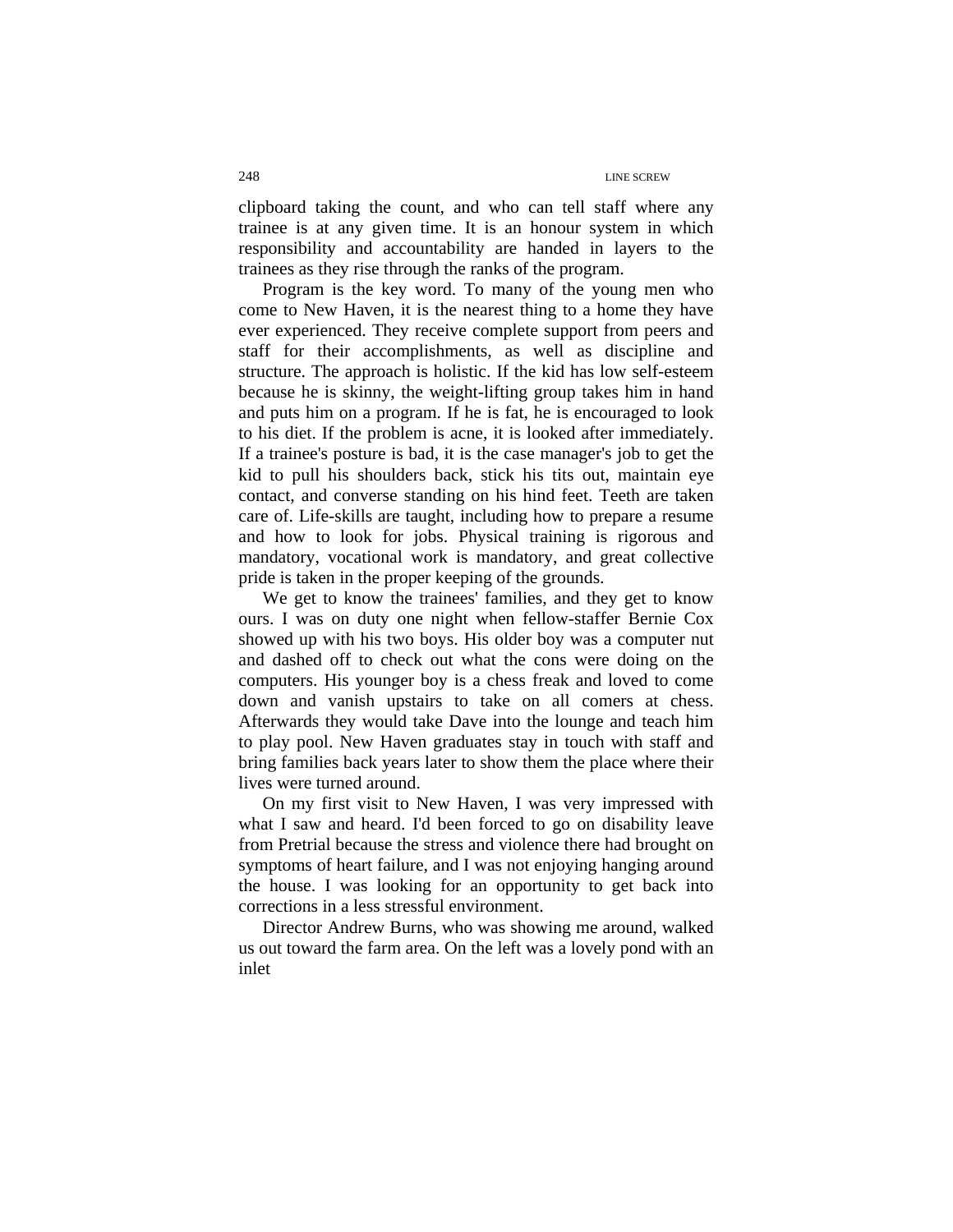clipboard taking the count, and who can tell staff where any trainee is at any given time. It is an honour system in which responsibility and accountability are handed in layers to the trainees as they rise through the ranks of the program.

Program is the key word. To many of the young men who come to New Haven, it is the nearest thing to a home they have ever experienced. They receive complete support from peers and staff for their accomplishments, as well as discipline and structure. The approach is holistic. If the kid has low self-esteem because he is skinny, the weight-lifting group takes him in hand and puts him on a program. If he is fat, he is encouraged to look to his diet. If the problem is acne, it is looked after immediately. If a trainee's posture is bad, it is the case manager's job to get the kid to pull his shoulders back, stick his tits out, maintain eye contact, and converse standing on his hind feet. Teeth are taken care of. Life-skills are taught, including how to prepare a resume and how to look for jobs. Physical training is rigorous and mandatory, vocational work is mandatory, and great collective pride is taken in the proper keeping of the grounds.

We get to know the trainees' families, and they get to know ours. I was on duty one night when fellow-staffer Bernie Cox showed up with his two boys. His older boy was a computer nut and dashed off to check out what the cons were doing on the computers. His younger boy is a chess freak and loved to come down and vanish upstairs to take on all comers at chess. Afterwards they would take Dave into the lounge and teach him to play pool. New Haven graduates stay in touch with staff and bring families back years later to show them the place where their lives were turned around.

On my first visit to New Haven, I was very impressed with what I saw and heard. I'd been forced to go on disability leave from Pretrial because the stress and violence there had brought on symptoms of heart failure, and I was not enjoying hanging around the house. I was looking for an opportunity to get back into corrections in a less stressful environment.

Director Andrew Burns, who was showing me around, walked us out toward the farm area. On the left was a lovely pond with an inlet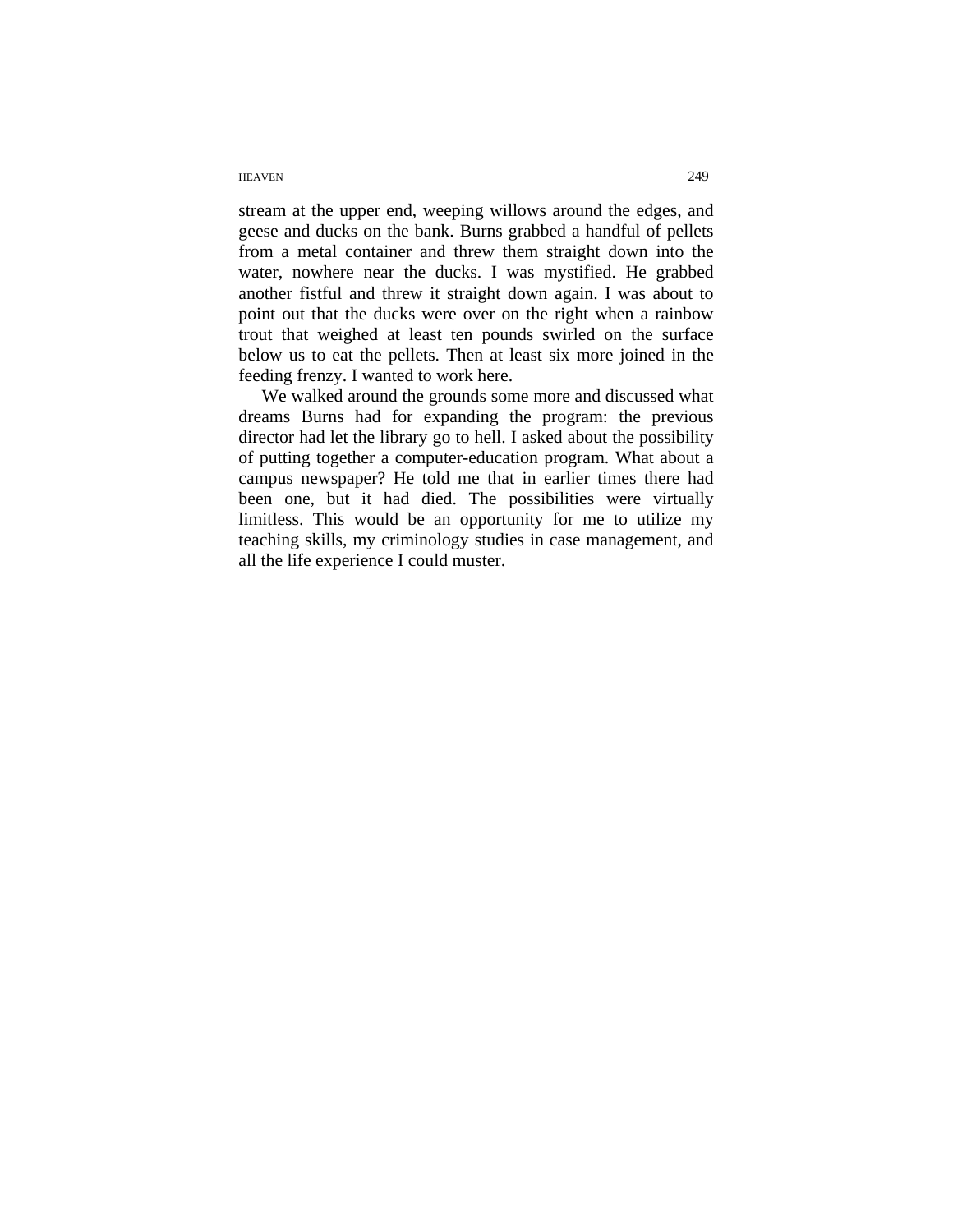#### HEAVEN 249

stream at the upper end, weeping willows around the edges, and geese and ducks on the bank. Burns grabbed a handful of pellets from a metal container and threw them straight down into the water, nowhere near the ducks. I was mystified. He grabbed another fistful and threw it straight down again. I was about to point out that the ducks were over on the right when a rainbow trout that weighed at least ten pounds swirled on the surface below us to eat the pellets. Then at least six more joined in the feeding frenzy. I wanted to work here.

We walked around the grounds some more and discussed what dreams Burns had for expanding the program: the previous director had let the library go to hell. I asked about the possibility of putting together a computer-education program. What about a campus newspaper? He told me that in earlier times there had been one, but it had died. The possibilities were virtually limitless. This would be an opportunity for me to utilize my teaching skills, my criminology studies in case management, and all the life experience I could muster.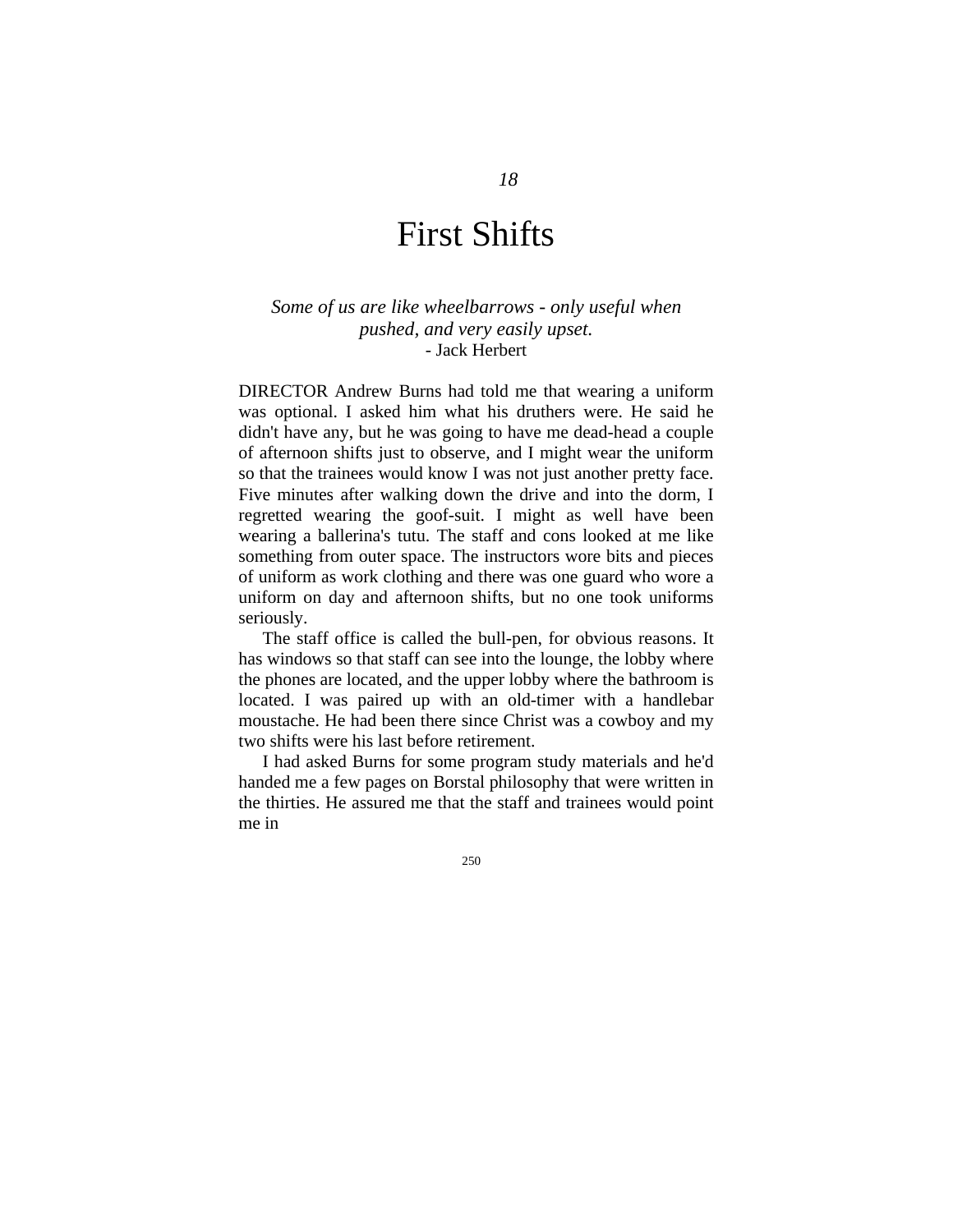# First Shifts

### *Some of us are like wheelbarrows - only useful when pushed, and very easily upset.*  - Jack Herbert

DIRECTOR Andrew Burns had told me that wearing a uniform was optional. I asked him what his druthers were. He said he didn't have any, but he was going to have me dead-head a couple of afternoon shifts just to observe, and I might wear the uniform so that the trainees would know I was not just another pretty face. Five minutes after walking down the drive and into the dorm, I regretted wearing the goof-suit. I might as well have been wearing a ballerina's tutu. The staff and cons looked at me like something from outer space. The instructors wore bits and pieces of uniform as work clothing and there was one guard who wore a uniform on day and afternoon shifts, but no one took uniforms seriously.

The staff office is called the bull-pen, for obvious reasons. It has windows so that staff can see into the lounge, the lobby where the phones are located, and the upper lobby where the bathroom is located. I was paired up with an old-timer with a handlebar moustache. He had been there since Christ was a cowboy and my two shifts were his last before retirement.

I had asked Burns for some program study materials and he'd handed me a few pages on Borstal philosophy that were written in the thirties. He assured me that the staff and trainees would point me in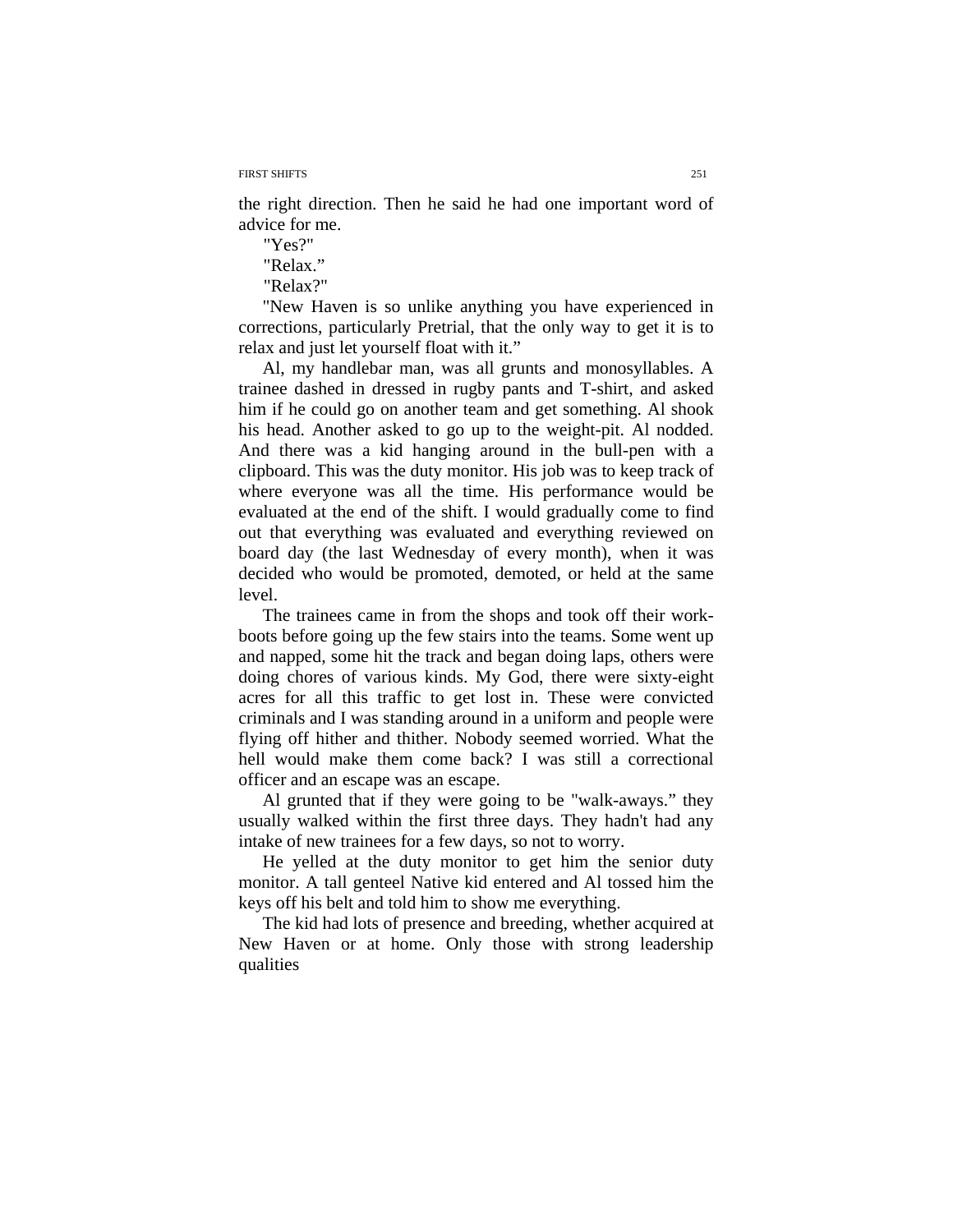FIRST SHIFTS 251

the right direction. Then he said he had one important word of advice for me.

"Yes?"

"Relax."

"Relax?"

"New Haven is so unlike anything you have experienced in corrections, particularly Pretrial, that the only way to get it is to relax and just let yourself float with it."

Al, my handlebar man, was all grunts and monosyllables. A trainee dashed in dressed in rugby pants and T-shirt, and asked him if he could go on another team and get something. Al shook his head. Another asked to go up to the weight-pit. Al nodded. And there was a kid hanging around in the bull-pen with a clipboard. This was the duty monitor. His job was to keep track of where everyone was all the time. His performance would be evaluated at the end of the shift. I would gradually come to find out that everything was evaluated and everything reviewed on board day (the last Wednesday of every month), when it was decided who would be promoted, demoted, or held at the same level.

The trainees came in from the shops and took off their workboots before going up the few stairs into the teams. Some went up and napped, some hit the track and began doing laps, others were doing chores of various kinds. My God, there were sixty-eight acres for all this traffic to get lost in. These were convicted criminals and I was standing around in a uniform and people were flying off hither and thither. Nobody seemed worried. What the hell would make them come back? I was still a correctional officer and an escape was an escape.

Al grunted that if they were going to be "walk-aways." they usually walked within the first three days. They hadn't had any intake of new trainees for a few days, so not to worry.

He yelled at the duty monitor to get him the senior duty monitor. A tall genteel Native kid entered and Al tossed him the keys off his belt and told him to show me everything.

The kid had lots of presence and breeding, whether acquired at New Haven or at home. Only those with strong leadership qualities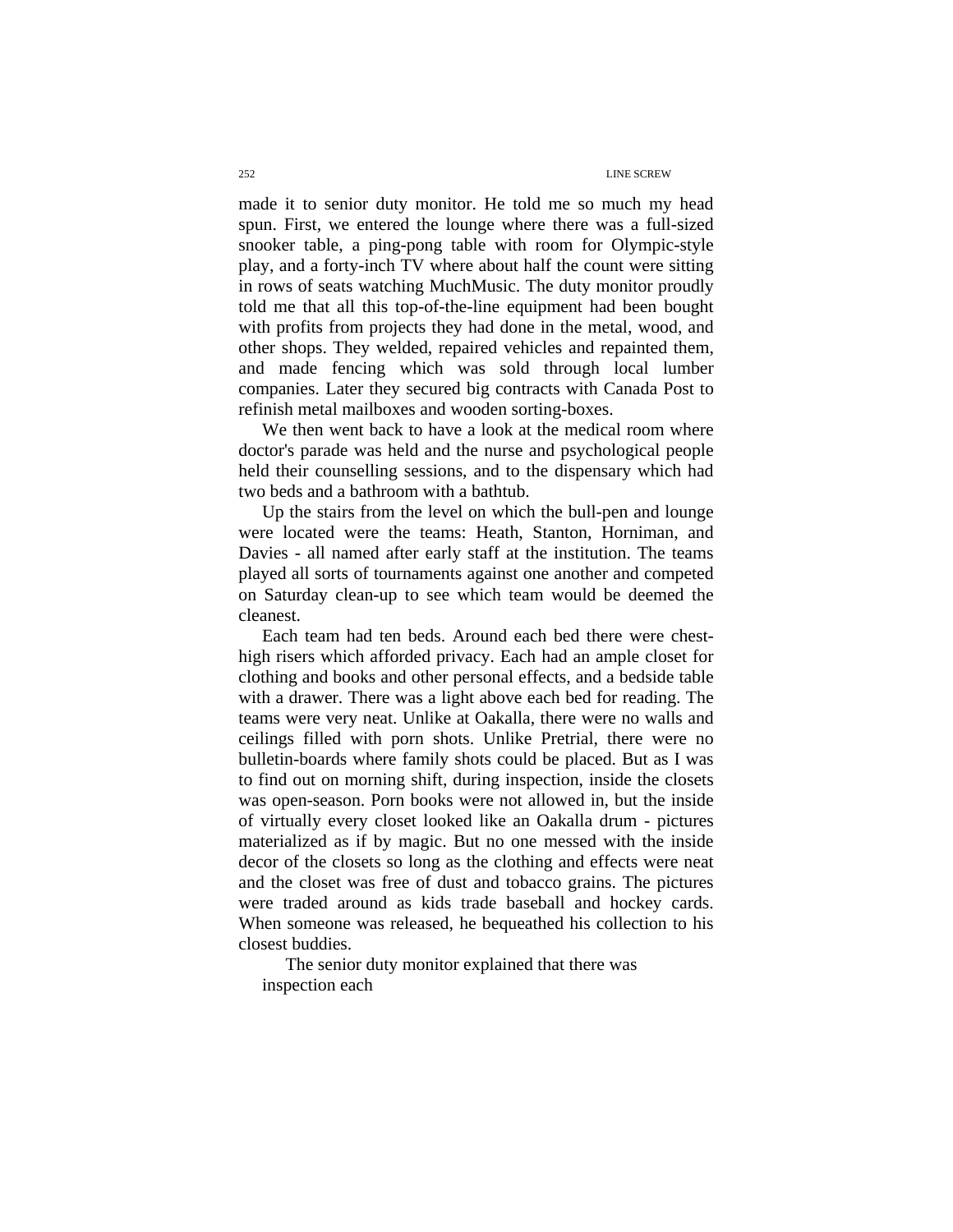made it to senior duty monitor. He told me so much my head spun. First, we entered the lounge where there was a full-sized snooker table, a ping-pong table with room for Olympic-style play, and a forty-inch TV where about half the count were sitting in rows of seats watching MuchMusic. The duty monitor proudly told me that all this top-of-the-line equipment had been bought with profits from projects they had done in the metal, wood, and other shops. They welded, repaired vehicles and repainted them, and made fencing which was sold through local lumber companies. Later they secured big contracts with Canada Post to refinish metal mailboxes and wooden sorting-boxes.

We then went back to have a look at the medical room where doctor's parade was held and the nurse and psychological people held their counselling sessions, and to the dispensary which had two beds and a bathroom with a bathtub.

Up the stairs from the level on which the bull-pen and lounge were located were the teams: Heath, Stanton, Horniman, and Davies - all named after early staff at the institution. The teams played all sorts of tournaments against one another and competed on Saturday clean-up to see which team would be deemed the cleanest.

Each team had ten beds. Around each bed there were chesthigh risers which afforded privacy. Each had an ample closet for clothing and books and other personal effects, and a bedside table with a drawer. There was a light above each bed for reading. The teams were very neat. Unlike at Oakalla, there were no walls and ceilings filled with porn shots. Unlike Pretrial, there were no bulletin-boards where family shots could be placed. But as I was to find out on morning shift, during inspection, inside the closets was open-season. Porn books were not allowed in, but the inside of virtually every closet looked like an Oakalla drum - pictures materialized as if by magic. But no one messed with the inside decor of the closets so long as the clothing and effects were neat and the closet was free of dust and tobacco grains. The pictures were traded around as kids trade baseball and hockey cards. When someone was released, he bequeathed his collection to his closest buddies.

The senior duty monitor explained that there was inspection each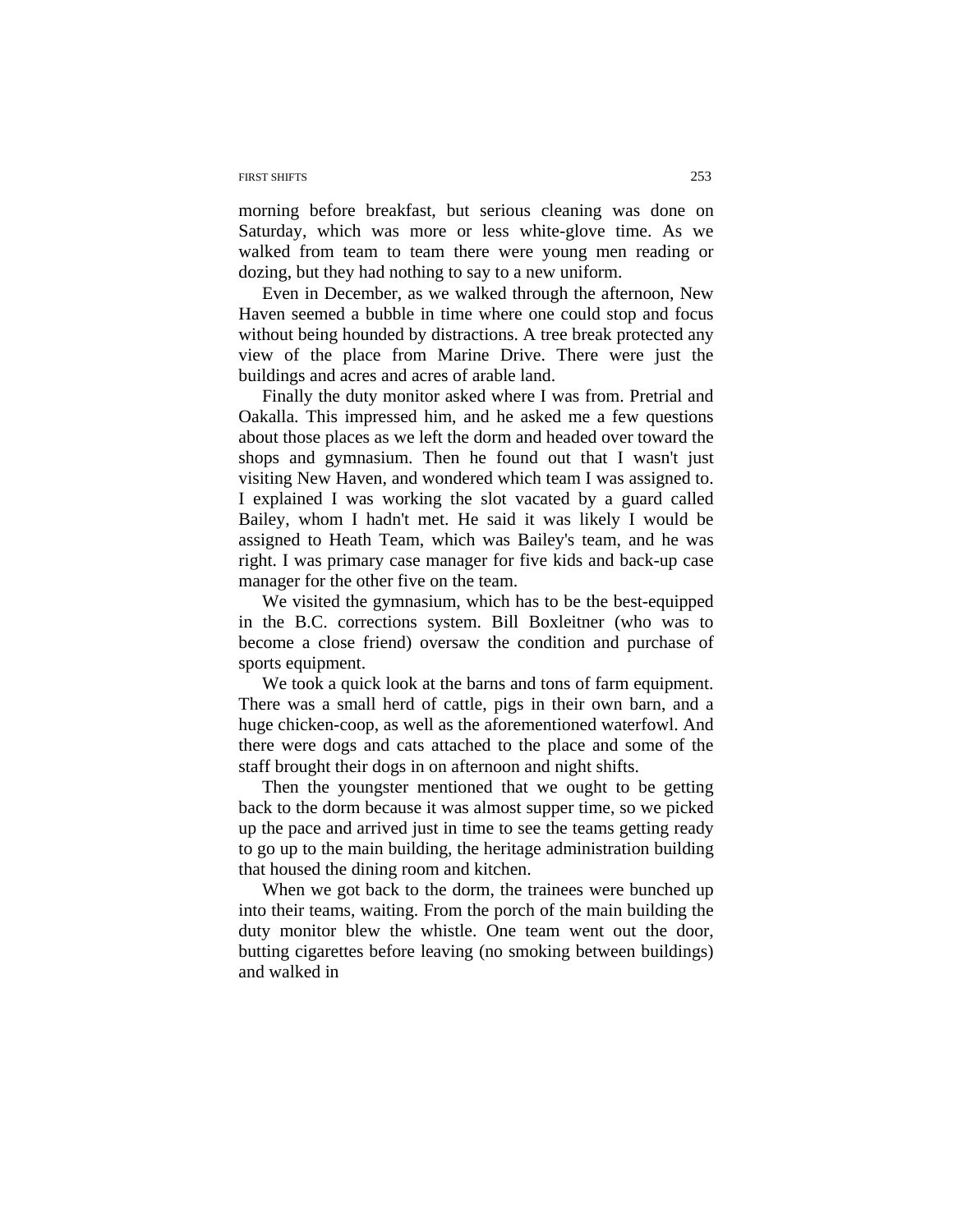#### FIRST SHIFTS 253

morning before breakfast, but serious cleaning was done on Saturday, which was more or less white-glove time. As we walked from team to team there were young men reading or dozing, but they had nothing to say to a new uniform.

Even in December, as we walked through the afternoon, New Haven seemed a bubble in time where one could stop and focus without being hounded by distractions. A tree break protected any view of the place from Marine Drive. There were just the buildings and acres and acres of arable land.

Finally the duty monitor asked where I was from. Pretrial and Oakalla. This impressed him, and he asked me a few questions about those places as we left the dorm and headed over toward the shops and gymnasium. Then he found out that I wasn't just visiting New Haven, and wondered which team I was assigned to. I explained I was working the slot vacated by a guard called Bailey, whom I hadn't met. He said it was likely I would be assigned to Heath Team, which was Bailey's team, and he was right. I was primary case manager for five kids and back-up case manager for the other five on the team.

We visited the gymnasium, which has to be the best-equipped in the B.C. corrections system. Bill Boxleitner (who was to become a close friend) oversaw the condition and purchase of sports equipment.

We took a quick look at the barns and tons of farm equipment. There was a small herd of cattle, pigs in their own barn, and a huge chicken-coop, as well as the aforementioned waterfowl. And there were dogs and cats attached to the place and some of the staff brought their dogs in on afternoon and night shifts.

Then the youngster mentioned that we ought to be getting back to the dorm because it was almost supper time, so we picked up the pace and arrived just in time to see the teams getting ready to go up to the main building, the heritage administration building that housed the dining room and kitchen.

When we got back to the dorm, the trainees were bunched up into their teams, waiting. From the porch of the main building the duty monitor blew the whistle. One team went out the door, butting cigarettes before leaving (no smoking between buildings) and walked in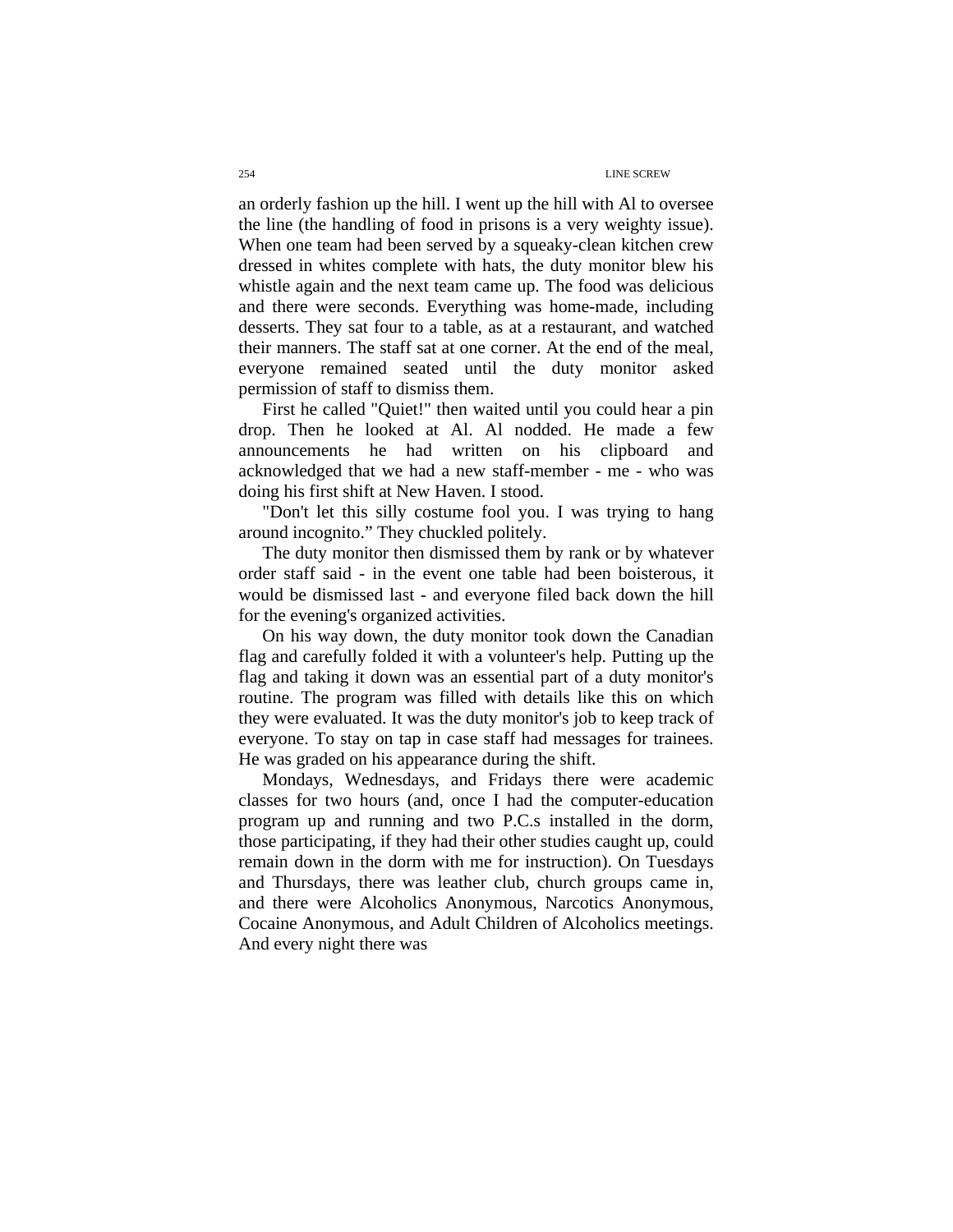an orderly fashion up the hill. I went up the hill with Al to oversee the line (the handling of food in prisons is a very weighty issue). When one team had been served by a squeaky-clean kitchen crew dressed in whites complete with hats, the duty monitor blew his whistle again and the next team came up. The food was delicious and there were seconds. Everything was home-made, including desserts. They sat four to a table, as at a restaurant, and watched their manners. The staff sat at one corner. At the end of the meal, everyone remained seated until the duty monitor asked permission of staff to dismiss them.

First he called "Quiet!" then waited until you could hear a pin drop. Then he looked at Al. Al nodded. He made a few announcements he had written on his clipboard and acknowledged that we had a new staff-member - me - who was doing his first shift at New Haven. I stood.

"Don't let this silly costume fool you. I was trying to hang around incognito." They chuckled politely.

The duty monitor then dismissed them by rank or by whatever order staff said - in the event one table had been boisterous, it would be dismissed last - and everyone filed back down the hill for the evening's organized activities.

On his way down, the duty monitor took down the Canadian flag and carefully folded it with a volunteer's help. Putting up the flag and taking it down was an essential part of a duty monitor's routine. The program was filled with details like this on which they were evaluated. It was the duty monitor's job to keep track of everyone. To stay on tap in case staff had messages for trainees. He was graded on his appearance during the shift.

Mondays, Wednesdays, and Fridays there were academic classes for two hours (and, once I had the computer-education program up and running and two P.C.s installed in the dorm, those participating, if they had their other studies caught up, could remain down in the dorm with me for instruction). On Tuesdays and Thursdays, there was leather club, church groups came in, and there were Alcoholics Anonymous, Narcotics Anonymous, Cocaine Anonymous, and Adult Children of Alcoholics meetings. And every night there was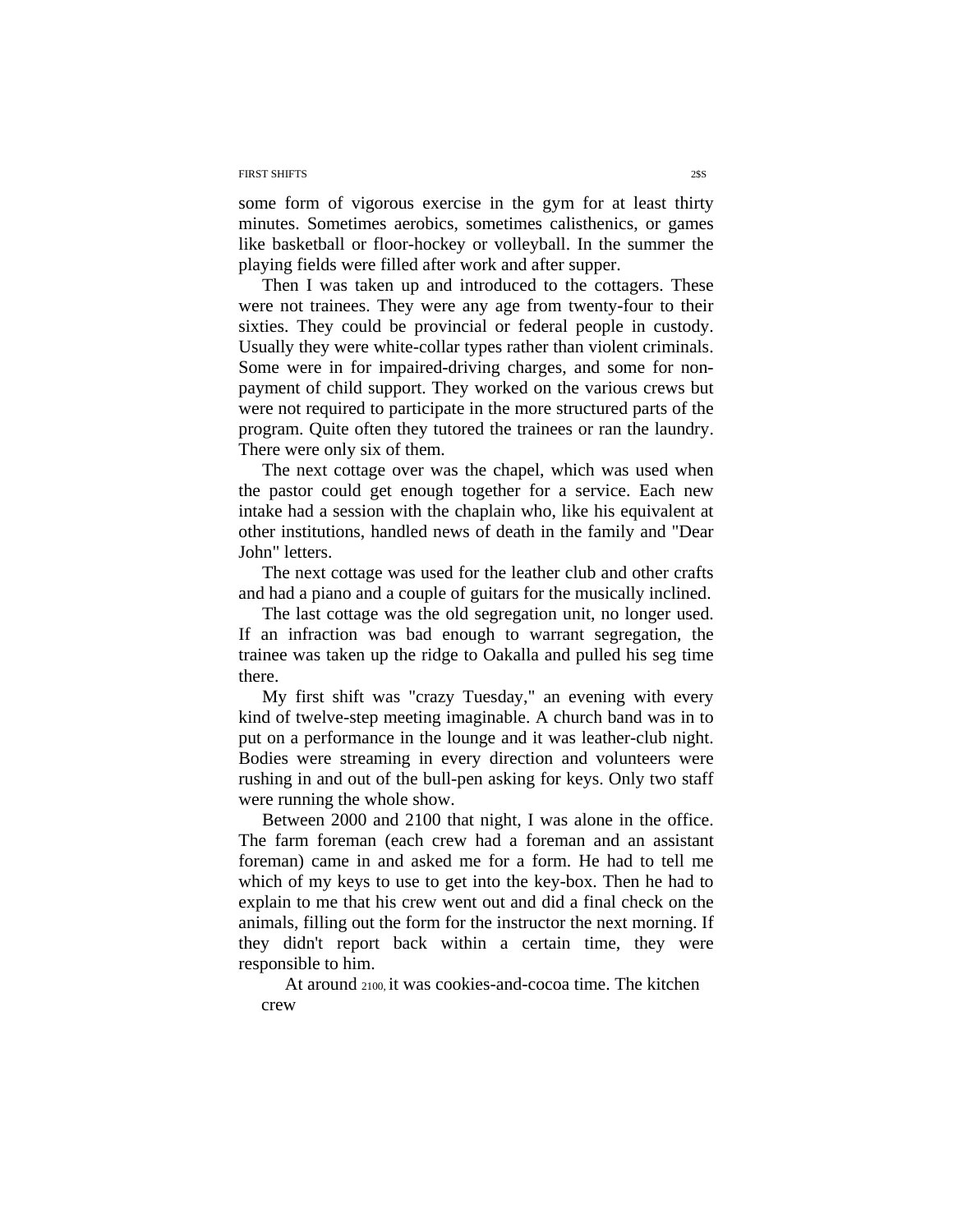#### FIRST SHIFTS 23S

some form of vigorous exercise in the gym for at least thirty minutes. Sometimes aerobics, sometimes calisthenics, or games like basketball or floor-hockey or volleyball. In the summer the playing fields were filled after work and after supper.

Then I was taken up and introduced to the cottagers. These were not trainees. They were any age from twenty-four to their sixties. They could be provincial or federal people in custody. Usually they were white-collar types rather than violent criminals. Some were in for impaired-driving charges, and some for nonpayment of child support. They worked on the various crews but were not required to participate in the more structured parts of the program. Quite often they tutored the trainees or ran the laundry. There were only six of them.

The next cottage over was the chapel, which was used when the pastor could get enough together for a service. Each new intake had a session with the chaplain who, like his equivalent at other institutions, handled news of death in the family and "Dear John" letters.

The next cottage was used for the leather club and other crafts and had a piano and a couple of guitars for the musically inclined.

The last cottage was the old segregation unit, no longer used. If an infraction was bad enough to warrant segregation, the trainee was taken up the ridge to Oakalla and pulled his seg time there.

My first shift was "crazy Tuesday," an evening with every kind of twelve-step meeting imaginable. A church band was in to put on a performance in the lounge and it was leather-club night. Bodies were streaming in every direction and volunteers were rushing in and out of the bull-pen asking for keys. Only two staff were running the whole show.

Between 2000 and 2100 that night, I was alone in the office. The farm foreman (each crew had a foreman and an assistant foreman) came in and asked me for a form. He had to tell me which of my keys to use to get into the key-box. Then he had to explain to me that his crew went out and did a final check on the animals, filling out the form for the instructor the next morning. If they didn't report back within a certain time, they were responsible to him.

At around 2100, it was cookies-and-cocoa time. The kitchen crew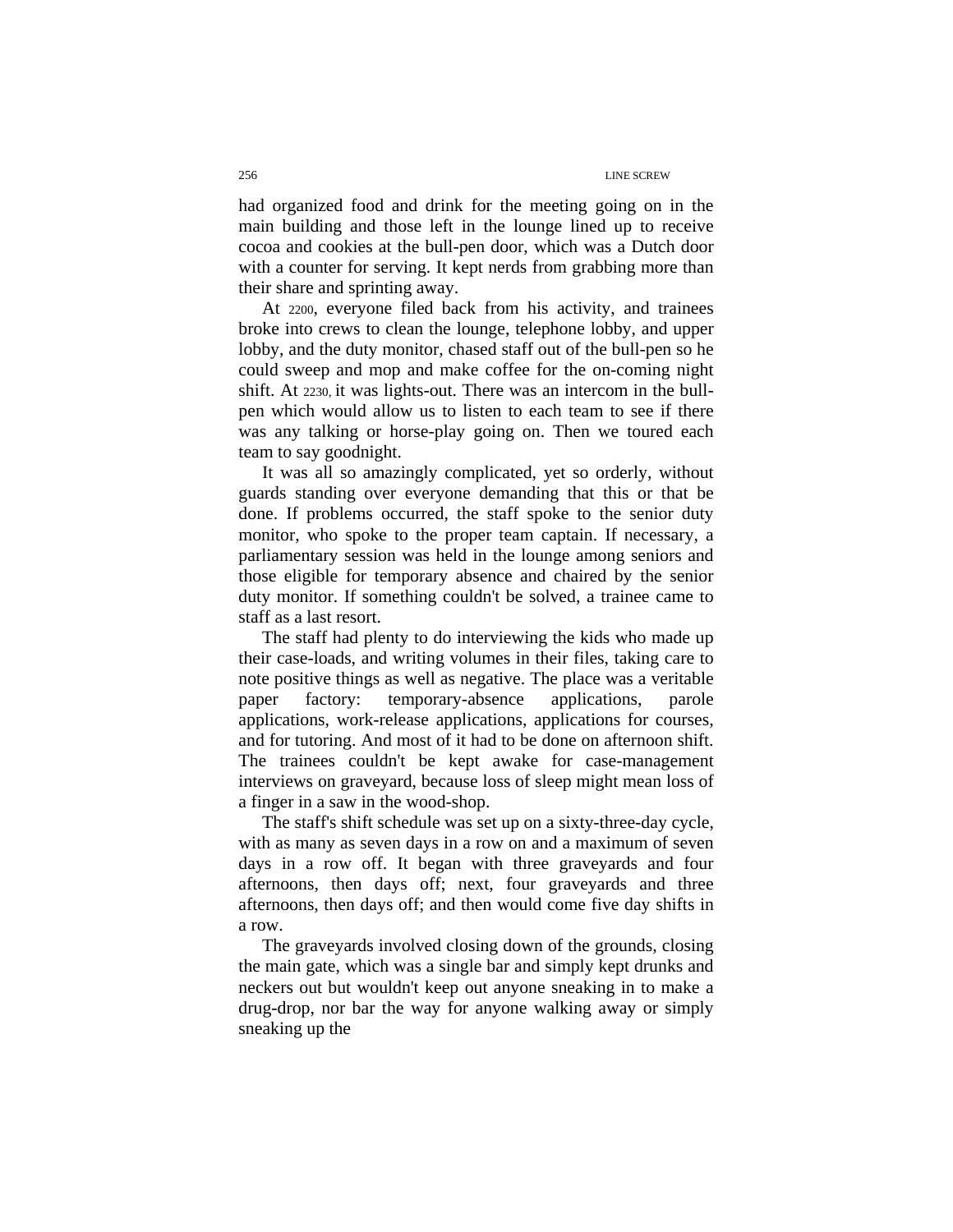had organized food and drink for the meeting going on in the main building and those left in the lounge lined up to receive cocoa and cookies at the bull-pen door, which was a Dutch door with a counter for serving. It kept nerds from grabbing more than their share and sprinting away.

At 2200, everyone filed back from his activity, and trainees broke into crews to clean the lounge, telephone lobby, and upper lobby, and the duty monitor, chased staff out of the bull-pen so he could sweep and mop and make coffee for the on-coming night shift. At 2230, it was lights-out. There was an intercom in the bullpen which would allow us to listen to each team to see if there was any talking or horse-play going on. Then we toured each team to say goodnight.

It was all so amazingly complicated, yet so orderly, without guards standing over everyone demanding that this or that be done. If problems occurred, the staff spoke to the senior duty monitor, who spoke to the proper team captain. If necessary, a parliamentary session was held in the lounge among seniors and those eligible for temporary absence and chaired by the senior duty monitor. If something couldn't be solved, a trainee came to staff as a last resort.

The staff had plenty to do interviewing the kids who made up their case-loads, and writing volumes in their files, taking care to note positive things as well as negative. The place was a veritable paper factory: temporary-absence applications, parole applications, work-release applications, applications for courses, and for tutoring. And most of it had to be done on afternoon shift. The trainees couldn't be kept awake for case-management interviews on graveyard, because loss of sleep might mean loss of a finger in a saw in the wood-shop.

The staff's shift schedule was set up on a sixty-three-day cycle, with as many as seven days in a row on and a maximum of seven days in a row off. It began with three graveyards and four afternoons, then days off; next, four graveyards and three afternoons, then days off; and then would come five day shifts in a row.

The graveyards involved closing down of the grounds, closing the main gate, which was a single bar and simply kept drunks and neckers out but wouldn't keep out anyone sneaking in to make a drug-drop, nor bar the way for anyone walking away or simply sneaking up the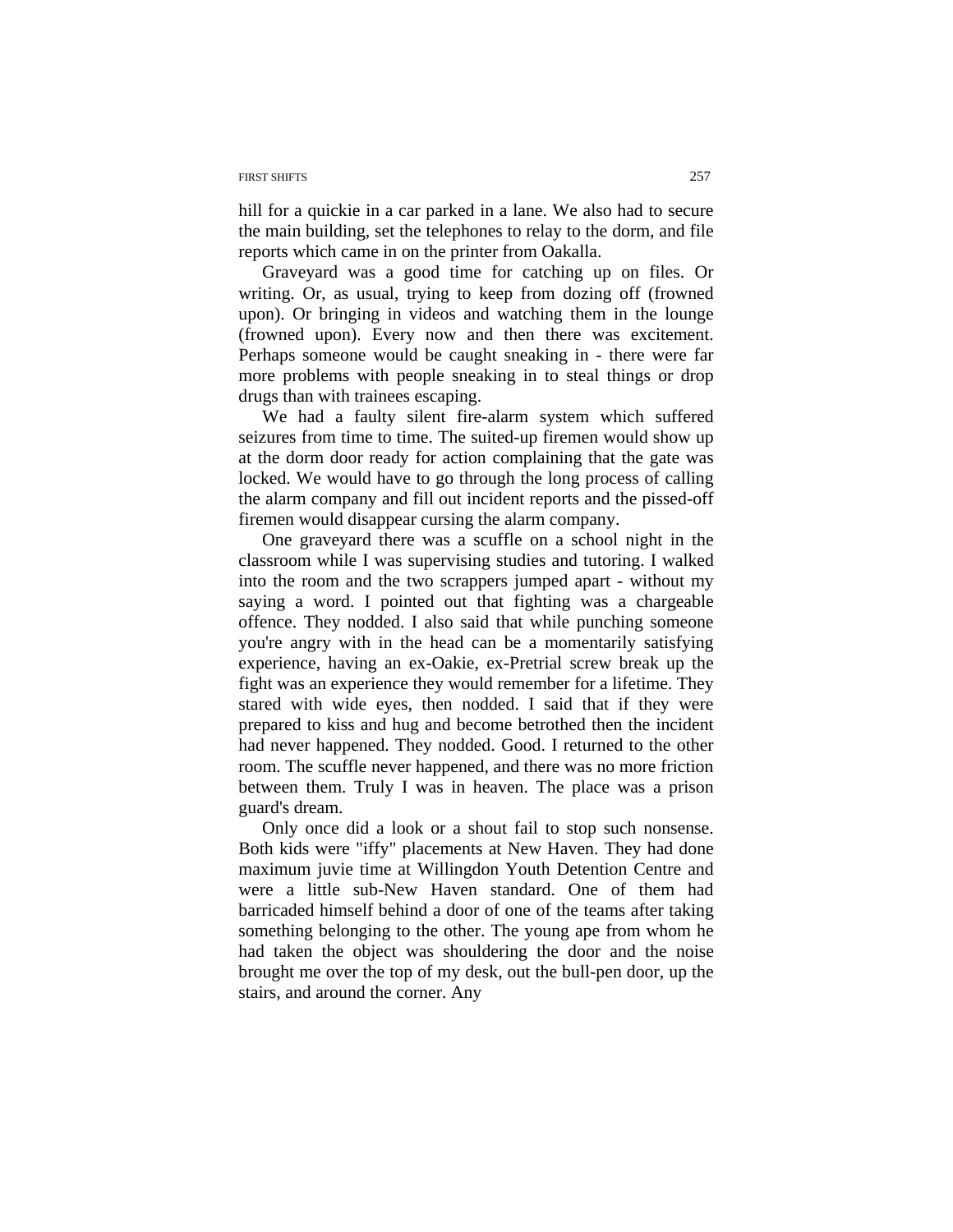#### FIRST SHIFTS 257

hill for a quickie in a car parked in a lane. We also had to secure the main building, set the telephones to relay to the dorm, and file reports which came in on the printer from Oakalla.

Graveyard was a good time for catching up on files. Or writing. Or, as usual, trying to keep from dozing off (frowned upon). Or bringing in videos and watching them in the lounge (frowned upon). Every now and then there was excitement. Perhaps someone would be caught sneaking in - there were far more problems with people sneaking in to steal things or drop drugs than with trainees escaping.

We had a faulty silent fire-alarm system which suffered seizures from time to time. The suited-up firemen would show up at the dorm door ready for action complaining that the gate was locked. We would have to go through the long process of calling the alarm company and fill out incident reports and the pissed-off firemen would disappear cursing the alarm company.

One graveyard there was a scuffle on a school night in the classroom while I was supervising studies and tutoring. I walked into the room and the two scrappers jumped apart - without my saying a word. I pointed out that fighting was a chargeable offence. They nodded. I also said that while punching someone you're angry with in the head can be a momentarily satisfying experience, having an ex-Oakie, ex-Pretrial screw break up the fight was an experience they would remember for a lifetime. They stared with wide eyes, then nodded. I said that if they were prepared to kiss and hug and become betrothed then the incident had never happened. They nodded. Good. I returned to the other room. The scuffle never happened, and there was no more friction between them. Truly I was in heaven. The place was a prison guard's dream.

Only once did a look or a shout fail to stop such nonsense. Both kids were "iffy" placements at New Haven. They had done maximum juvie time at Willingdon Youth Detention Centre and were a little sub-New Haven standard. One of them had barricaded himself behind a door of one of the teams after taking something belonging to the other. The young ape from whom he had taken the object was shouldering the door and the noise brought me over the top of my desk, out the bull-pen door, up the stairs, and around the corner. Any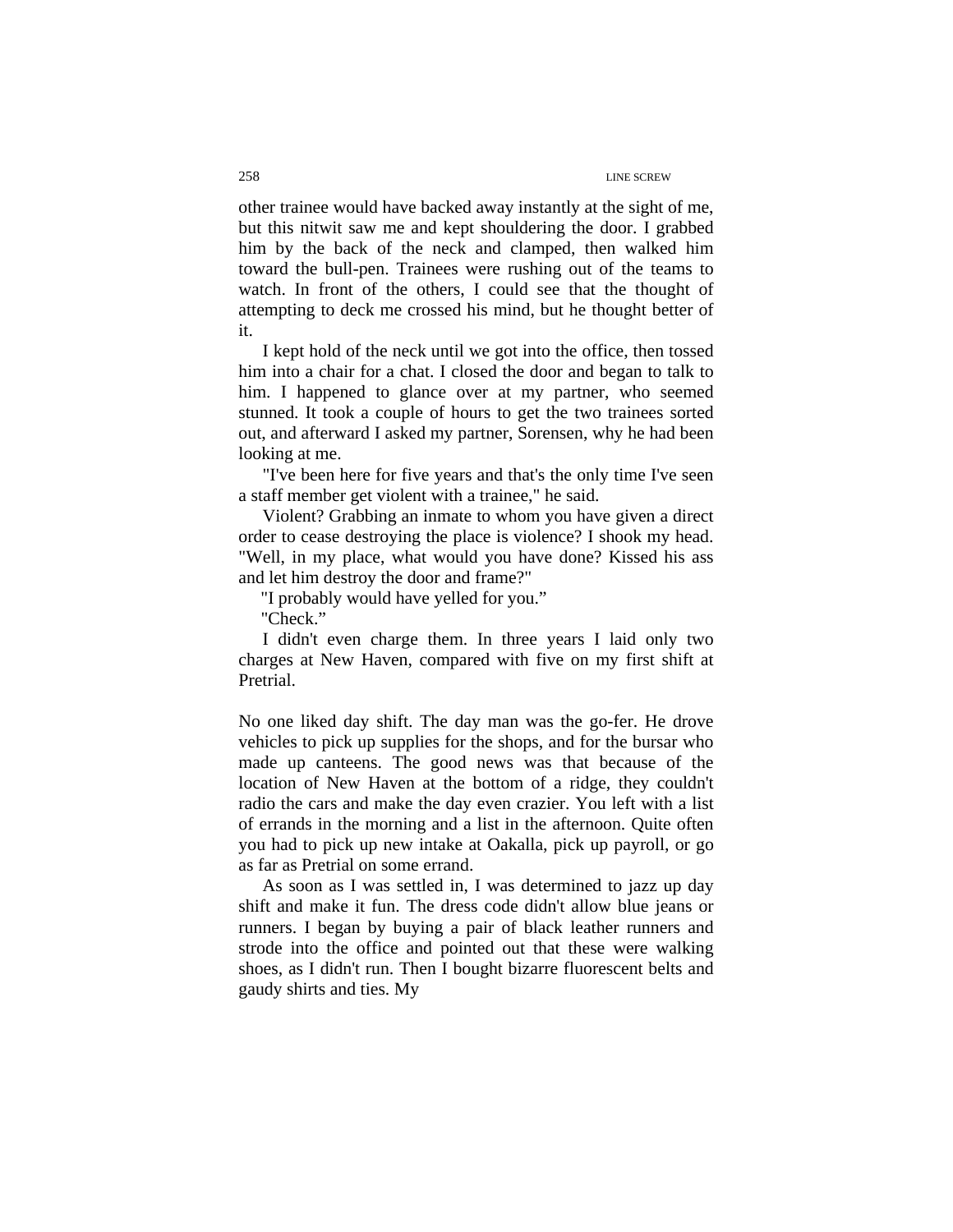other trainee would have backed away instantly at the sight of me, but this nitwit saw me and kept shouldering the door. I grabbed him by the back of the neck and clamped, then walked him toward the bull-pen. Trainees were rushing out of the teams to watch. In front of the others, I could see that the thought of attempting to deck me crossed his mind, but he thought better of it.

I kept hold of the neck until we got into the office, then tossed him into a chair for a chat. I closed the door and began to talk to him. I happened to glance over at my partner, who seemed stunned. It took a couple of hours to get the two trainees sorted out, and afterward I asked my partner, Sorensen, why he had been looking at me.

"I've been here for five years and that's the only time I've seen a staff member get violent with a trainee," he said.

Violent? Grabbing an inmate to whom you have given a direct order to cease destroying the place is violence? I shook my head. "Well, in my place, what would you have done? Kissed his ass and let him destroy the door and frame?"

"I probably would have yelled for you."

"Check."

I didn't even charge them. In three years I laid only two charges at New Haven, compared with five on my first shift at Pretrial.

No one liked day shift. The day man was the go-fer. He drove vehicles to pick up supplies for the shops, and for the bursar who made up canteens. The good news was that because of the location of New Haven at the bottom of a ridge, they couldn't radio the cars and make the day even crazier. You left with a list of errands in the morning and a list in the afternoon. Quite often you had to pick up new intake at Oakalla, pick up payroll, or go as far as Pretrial on some errand.

As soon as I was settled in, I was determined to jazz up day shift and make it fun. The dress code didn't allow blue jeans or runners. I began by buying a pair of black leather runners and strode into the office and pointed out that these were walking shoes, as I didn't run. Then I bought bizarre fluorescent belts and gaudy shirts and ties. My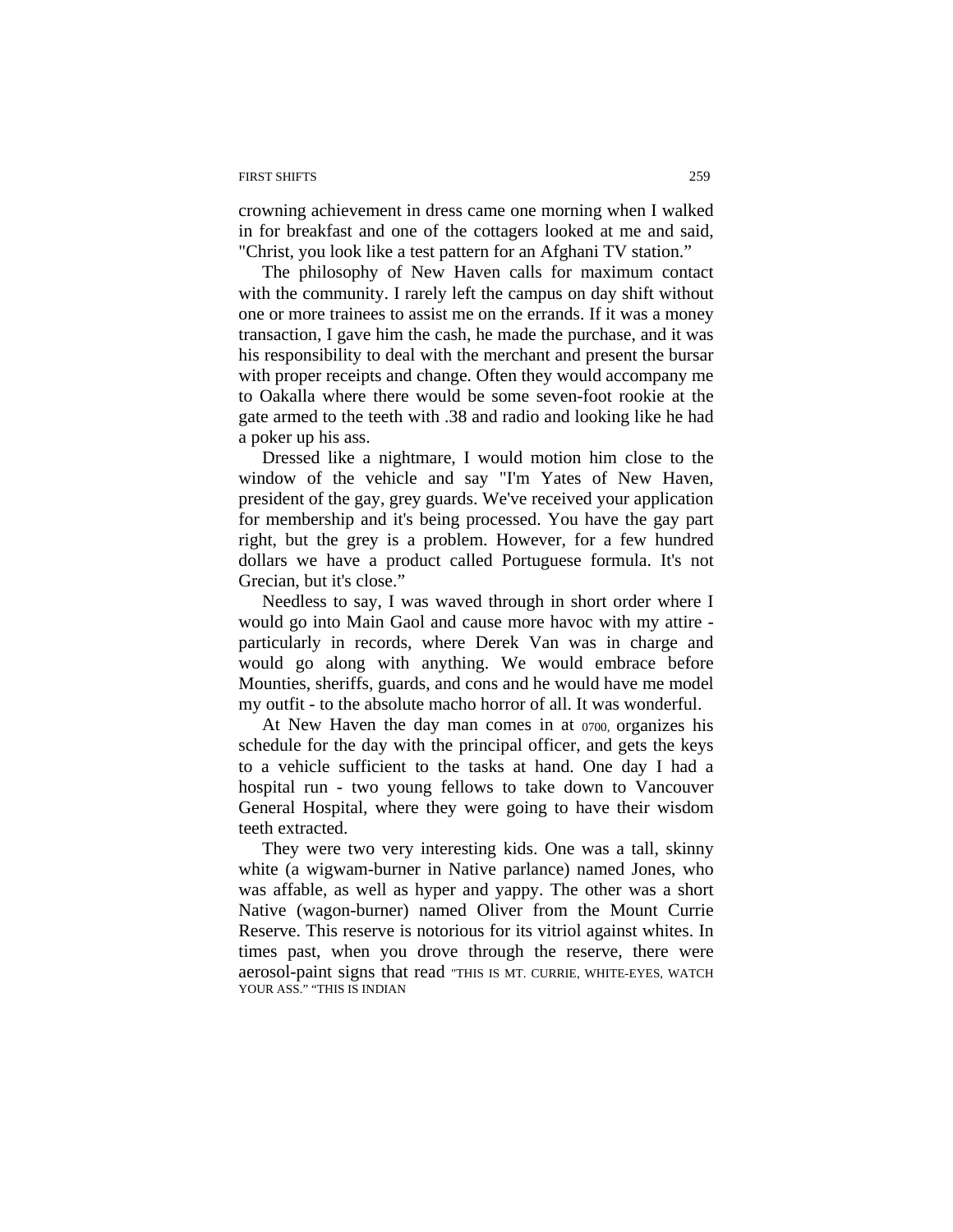#### FIRST SHIFTS 259

crowning achievement in dress came one morning when I walked in for breakfast and one of the cottagers looked at me and said, "Christ, you look like a test pattern for an Afghani TV station."

The philosophy of New Haven calls for maximum contact with the community. I rarely left the campus on day shift without one or more trainees to assist me on the errands. If it was a money transaction, I gave him the cash, he made the purchase, and it was his responsibility to deal with the merchant and present the bursar with proper receipts and change. Often they would accompany me to Oakalla where there would be some seven-foot rookie at the gate armed to the teeth with .38 and radio and looking like he had a poker up his ass.

Dressed like a nightmare, I would motion him close to the window of the vehicle and say "I'm Yates of New Haven, president of the gay, grey guards. We've received your application for membership and it's being processed. You have the gay part right, but the grey is a problem. However, for a few hundred dollars we have a product called Portuguese formula. It's not Grecian, but it's close."

Needless to say, I was waved through in short order where I would go into Main Gaol and cause more havoc with my attire particularly in records, where Derek Van was in charge and would go along with anything. We would embrace before Mounties, sheriffs, guards, and cons and he would have me model my outfit - to the absolute macho horror of all. It was wonderful.

At New Haven the day man comes in at 0700, organizes his schedule for the day with the principal officer, and gets the keys to a vehicle sufficient to the tasks at hand. One day I had a hospital run - two young fellows to take down to Vancouver General Hospital, where they were going to have their wisdom teeth extracted.

They were two very interesting kids. One was a tall, skinny white (a wigwam-burner in Native parlance) named Jones, who was affable, as well as hyper and yappy. The other was a short Native (wagon-burner) named Oliver from the Mount Currie Reserve. This reserve is notorious for its vitriol against whites. In times past, when you drove through the reserve, there were aerosol-paint signs that read "THIS IS MT. CURRIE, WHITE-EYES, WATCH YOUR ASS." "THIS IS INDIAN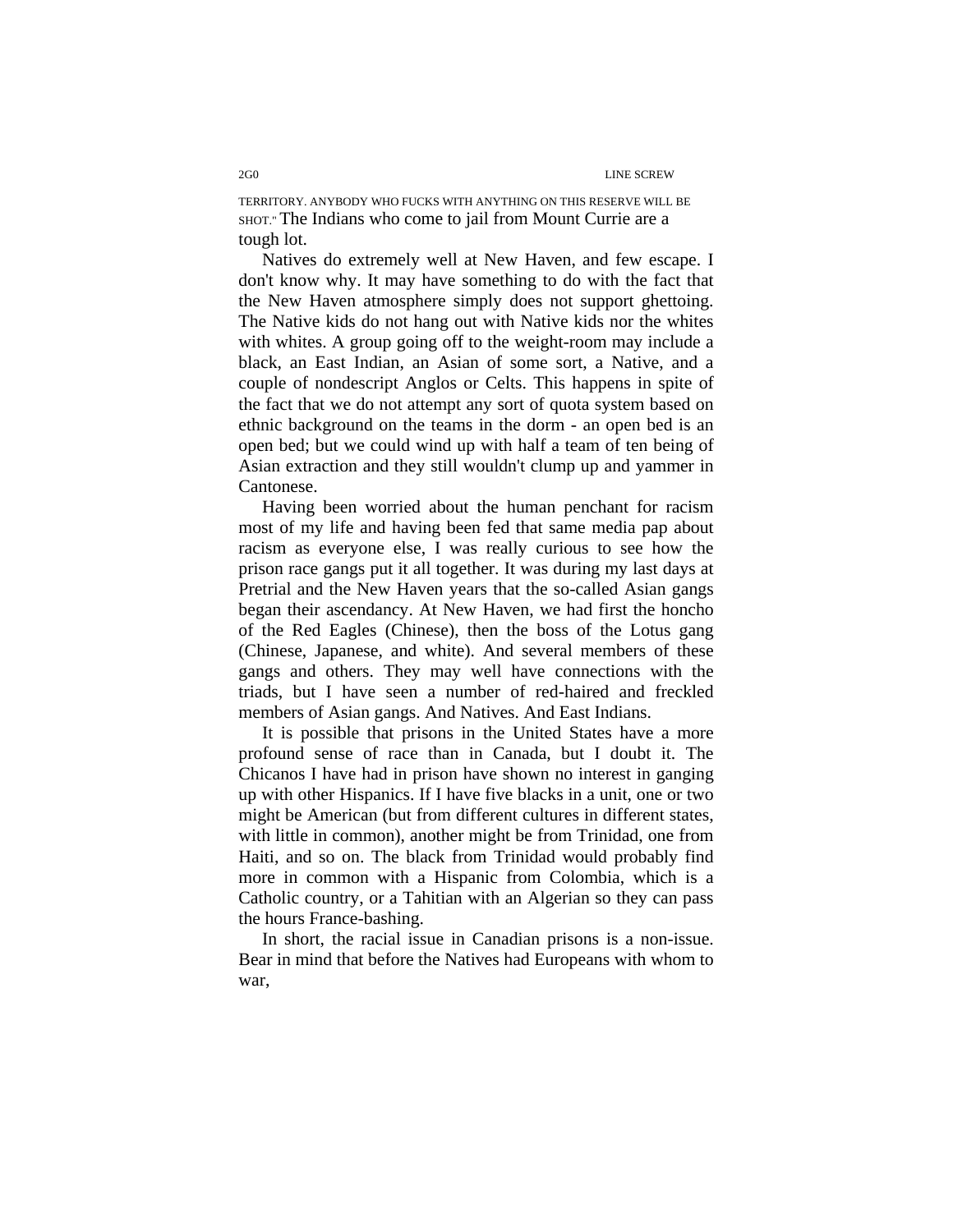2G0 LINE SCREW

TERRITORY. ANYBODY WHO FUCKS WITH ANYTHING ON THIS RESERVE WILL BE SHOT." The Indians who come to jail from Mount Currie are a tough lot.

Natives do extremely well at New Haven, and few escape. I don't know why. It may have something to do with the fact that the New Haven atmosphere simply does not support ghettoing. The Native kids do not hang out with Native kids nor the whites with whites. A group going off to the weight-room may include a black, an East Indian, an Asian of some sort, a Native, and a couple of nondescript Anglos or Celts. This happens in spite of the fact that we do not attempt any sort of quota system based on ethnic background on the teams in the dorm - an open bed is an open bed; but we could wind up with half a team of ten being of Asian extraction and they still wouldn't clump up and yammer in Cantonese.

Having been worried about the human penchant for racism most of my life and having been fed that same media pap about racism as everyone else, I was really curious to see how the prison race gangs put it all together. It was during my last days at Pretrial and the New Haven years that the so-called Asian gangs began their ascendancy. At New Haven, we had first the honcho of the Red Eagles (Chinese), then the boss of the Lotus gang (Chinese, Japanese, and white). And several members of these gangs and others. They may well have connections with the triads, but I have seen a number of red-haired and freckled members of Asian gangs. And Natives. And East Indians.

It is possible that prisons in the United States have a more profound sense of race than in Canada, but I doubt it. The Chicanos I have had in prison have shown no interest in ganging up with other Hispanics. If I have five blacks in a unit, one or two might be American (but from different cultures in different states, with little in common), another might be from Trinidad, one from Haiti, and so on. The black from Trinidad would probably find more in common with a Hispanic from Colombia, which is a Catholic country, or a Tahitian with an Algerian so they can pass the hours France-bashing.

In short, the racial issue in Canadian prisons is a non-issue. Bear in mind that before the Natives had Europeans with whom to war,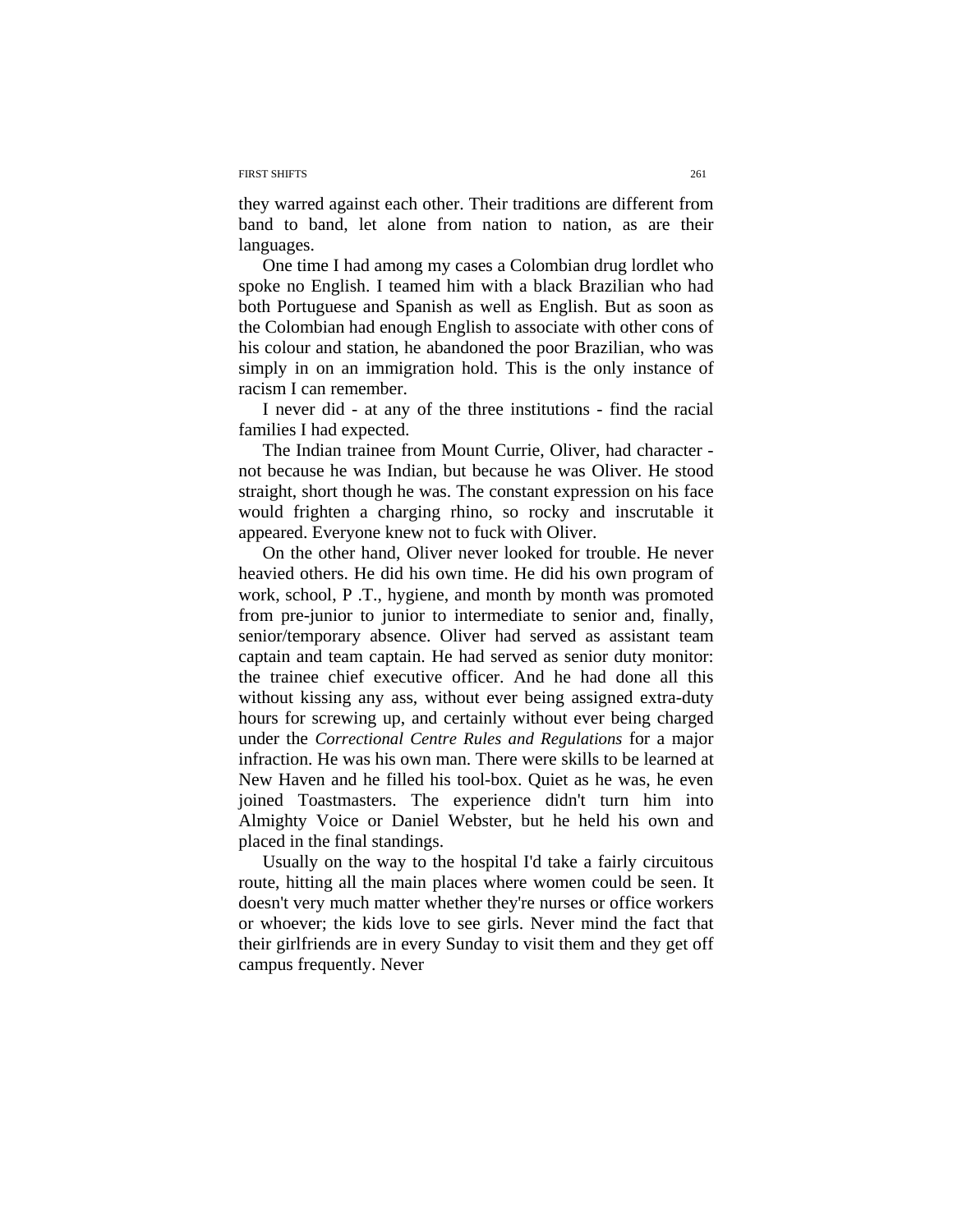#### FIRST SHIFTS 261

they warred against each other. Their traditions are different from band to band, let alone from nation to nation, as are their languages.

One time I had among my cases a Colombian drug lordlet who spoke no English. I teamed him with a black Brazilian who had both Portuguese and Spanish as well as English. But as soon as the Colombian had enough English to associate with other cons of his colour and station, he abandoned the poor Brazilian, who was simply in on an immigration hold. This is the only instance of racism I can remember.

I never did - at any of the three institutions - find the racial families I had expected.

The Indian trainee from Mount Currie, Oliver, had character not because he was Indian, but because he was Oliver. He stood straight, short though he was. The constant expression on his face would frighten a charging rhino, so rocky and inscrutable it appeared. Everyone knew not to fuck with Oliver.

 On the other hand, Oliver never looked for trouble. He never heavied others. He did his own time. He did his own program of work, school, P .T., hygiene, and month by month was promoted from pre-junior to junior to intermediate to senior and, finally, senior/temporary absence. Oliver had served as assistant team captain and team captain. He had served as senior duty monitor: the trainee chief executive officer. And he had done all this without kissing any ass, without ever being assigned extra-duty hours for screwing up, and certainly without ever being charged under the *Correctional Centre Rules and Regulations* for a major infraction. He was his own man. There were skills to be learned at New Haven and he filled his tool-box. Quiet as he was, he even joined Toastmasters. The experience didn't turn him into Almighty Voice or Daniel Webster, but he held his own and placed in the final standings.

Usually on the way to the hospital I'd take a fairly circuitous route, hitting all the main places where women could be seen. It doesn't very much matter whether they're nurses or office workers or whoever; the kids love to see girls. Never mind the fact that their girlfriends are in every Sunday to visit them and they get off campus frequently. Never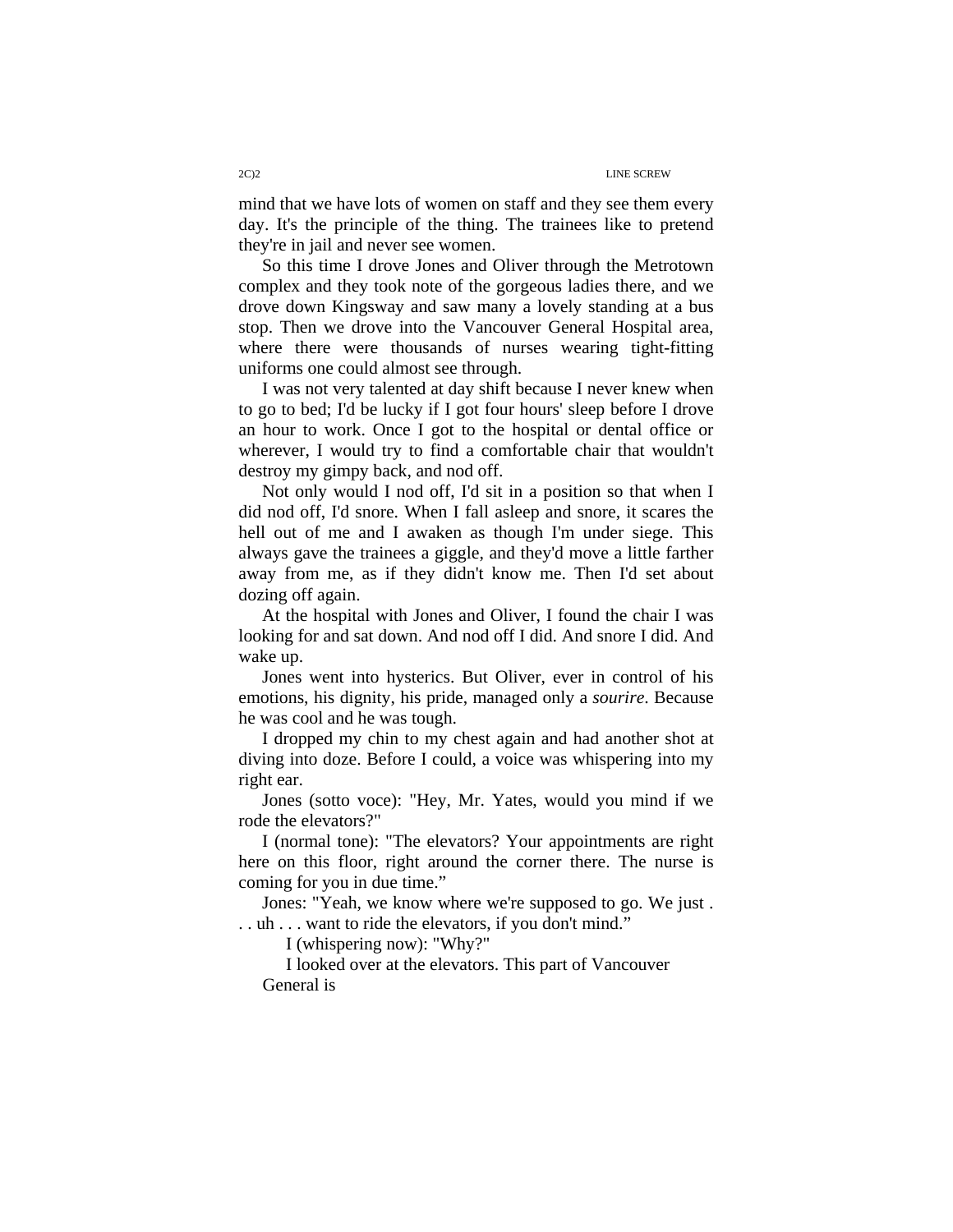mind that we have lots of women on staff and they see them every day. It's the principle of the thing. The trainees like to pretend they're in jail and never see women.

So this time I drove Jones and Oliver through the Metrotown complex and they took note of the gorgeous ladies there, and we drove down Kingsway and saw many a lovely standing at a bus stop. Then we drove into the Vancouver General Hospital area, where there were thousands of nurses wearing tight-fitting uniforms one could almost see through.

I was not very talented at day shift because I never knew when to go to bed; I'd be lucky if I got four hours' sleep before I drove an hour to work. Once I got to the hospital or dental office or wherever, I would try to find a comfortable chair that wouldn't destroy my gimpy back, and nod off.

Not only would I nod off, I'd sit in a position so that when I did nod off, I'd snore. When I fall asleep and snore, it scares the hell out of me and I awaken as though I'm under siege. This always gave the trainees a giggle, and they'd move a little farther away from me, as if they didn't know me. Then I'd set about dozing off again.

At the hospital with Jones and Oliver, I found the chair I was looking for and sat down. And nod off I did. And snore I did. And wake up.

Jones went into hysterics. But Oliver, ever in control of his emotions, his dignity, his pride, managed only a *sourire*. Because he was cool and he was tough.

I dropped my chin to my chest again and had another shot at diving into doze. Before I could, a voice was whispering into my right ear.

Jones (sotto voce): "Hey, Mr. Yates, would you mind if we rode the elevators?"

I (normal tone): "The elevators? Your appointments are right here on this floor, right around the corner there. The nurse is coming for you in due time."

Jones: "Yeah, we know where we're supposed to go. We just . . . uh . . . want to ride the elevators, if you don't mind."

I (whispering now): "Why?"

I looked over at the elevators. This part of Vancouver General is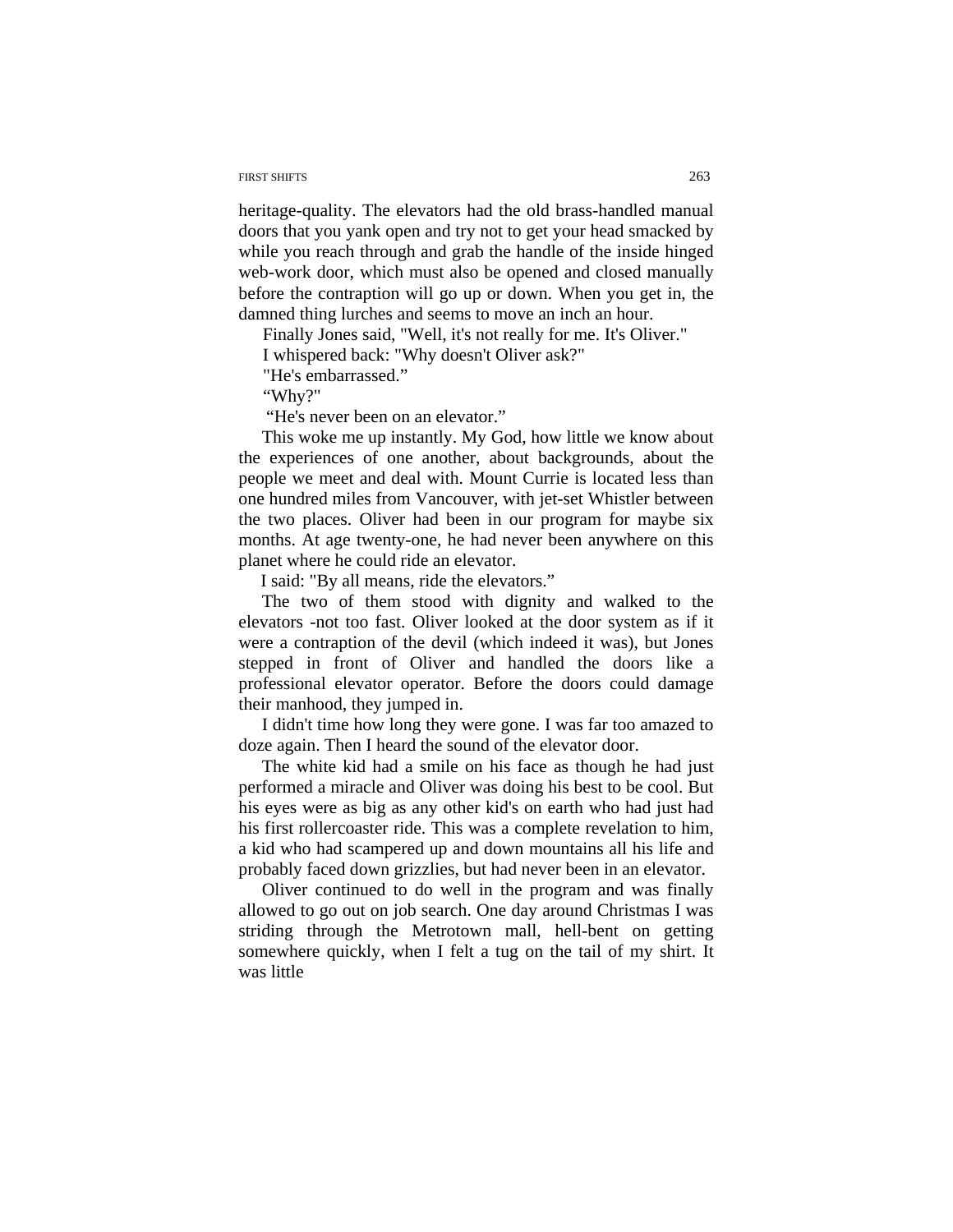#### FIRST SHIFTS 263

heritage-quality. The elevators had the old brass-handled manual doors that you yank open and try not to get your head smacked by while you reach through and grab the handle of the inside hinged web-work door, which must also be opened and closed manually before the contraption will go up or down. When you get in, the damned thing lurches and seems to move an inch an hour.

Finally Jones said, "Well, it's not really for me. It's Oliver."

I whispered back: "Why doesn't Oliver ask?"

"He's embarrassed."

"Why?"

"He's never been on an elevator."

This woke me up instantly. My God, how little we know about the experiences of one another, about backgrounds, about the people we meet and deal with. Mount Currie is located less than one hundred miles from Vancouver, with jet-set Whistler between the two places. Oliver had been in our program for maybe six months. At age twenty-one, he had never been anywhere on this planet where he could ride an elevator.

I said: "By all means, ride the elevators."

The two of them stood with dignity and walked to the elevators -not too fast. Oliver looked at the door system as if it were a contraption of the devil (which indeed it was), but Jones stepped in front of Oliver and handled the doors like a professional elevator operator. Before the doors could damage their manhood, they jumped in.

I didn't time how long they were gone. I was far too amazed to doze again. Then I heard the sound of the elevator door.

The white kid had a smile on his face as though he had just performed a miracle and Oliver was doing his best to be cool. But his eyes were as big as any other kid's on earth who had just had his first rollercoaster ride. This was a complete revelation to him, a kid who had scampered up and down mountains all his life and probably faced down grizzlies, but had never been in an elevator.

Oliver continued to do well in the program and was finally allowed to go out on job search. One day around Christmas I was striding through the Metrotown mall, hell-bent on getting somewhere quickly, when I felt a tug on the tail of my shirt. It was little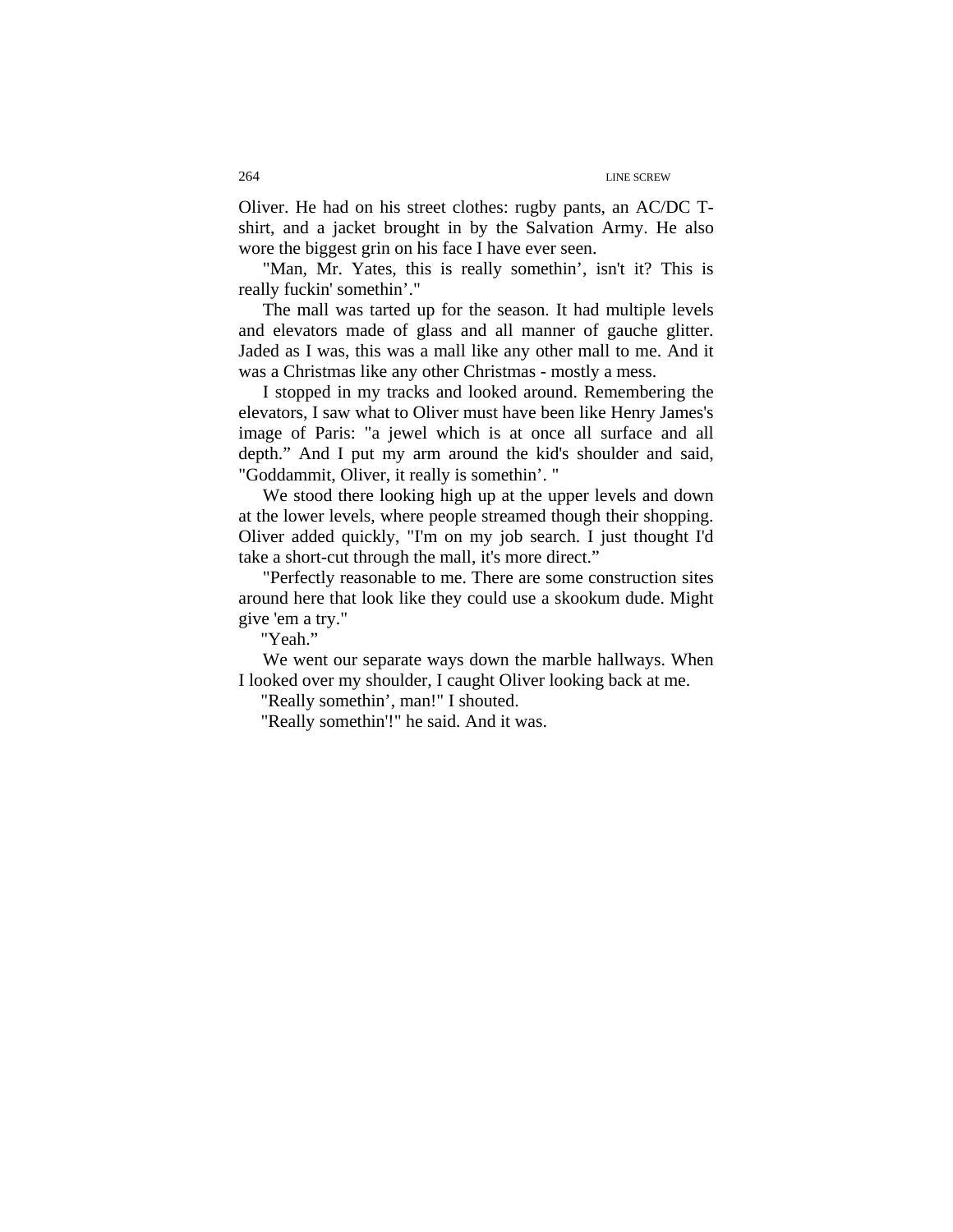Oliver. He had on his street clothes: rugby pants, an AC/DC Tshirt, and a jacket brought in by the Salvation Army. He also wore the biggest grin on his face I have ever seen.

"Man, Mr. Yates, this is really somethin', isn't it? This is really fuckin' somethin'."

The mall was tarted up for the season. It had multiple levels and elevators made of glass and all manner of gauche glitter. Jaded as I was, this was a mall like any other mall to me. And it was a Christmas like any other Christmas - mostly a mess.

I stopped in my tracks and looked around. Remembering the elevators, I saw what to Oliver must have been like Henry James's image of Paris: "a jewel which is at once all surface and all depth." And I put my arm around the kid's shoulder and said, "Goddammit, Oliver, it really is somethin'. "

We stood there looking high up at the upper levels and down at the lower levels, where people streamed though their shopping. Oliver added quickly, "I'm on my job search. I just thought I'd take a short-cut through the mall, it's more direct."

"Perfectly reasonable to me. There are some construction sites around here that look like they could use a skookum dude. Might give 'em a try."

"Yeah."

We went our separate ways down the marble hallways. When I looked over my shoulder, I caught Oliver looking back at me.

"Really somethin', man!" I shouted.

"Really somethin'!" he said. And it was.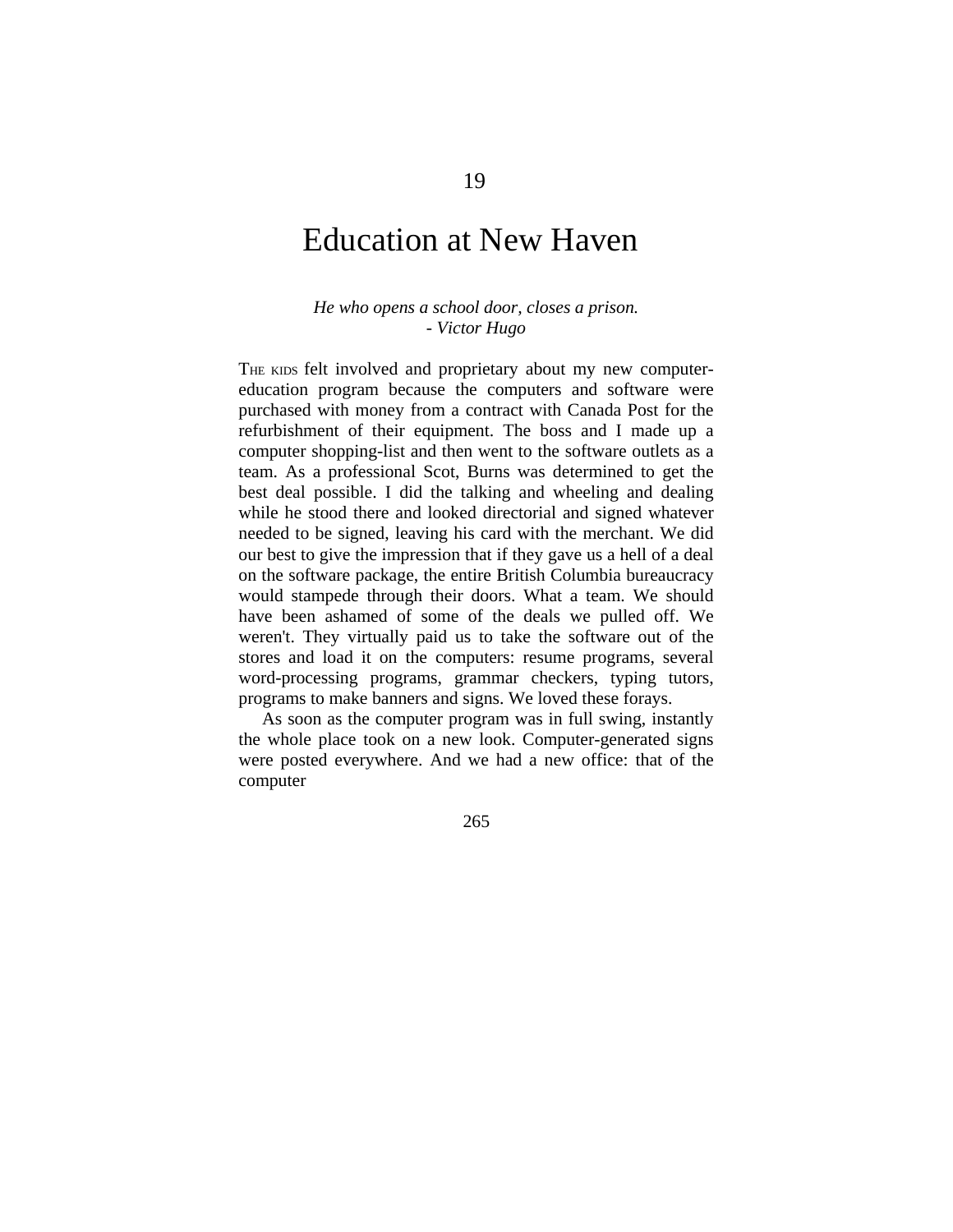### Education at New Haven

### *He who opens a school door, closes a prison. - Victor Hugo*

THE KIDS felt involved and proprietary about my new computereducation program because the computers and software were purchased with money from a contract with Canada Post for the refurbishment of their equipment. The boss and I made up a computer shopping-list and then went to the software outlets as a team. As a professional Scot, Burns was determined to get the best deal possible. I did the talking and wheeling and dealing while he stood there and looked directorial and signed whatever needed to be signed, leaving his card with the merchant. We did our best to give the impression that if they gave us a hell of a deal on the software package, the entire British Columbia bureaucracy would stampede through their doors. What a team. We should have been ashamed of some of the deals we pulled off. We weren't. They virtually paid us to take the software out of the stores and load it on the computers: resume programs, several word-processing programs, grammar checkers, typing tutors, programs to make banners and signs. We loved these forays.

As soon as the computer program was in full swing, instantly the whole place took on a new look. Computer-generated signs were posted everywhere. And we had a new office: that of the computer

265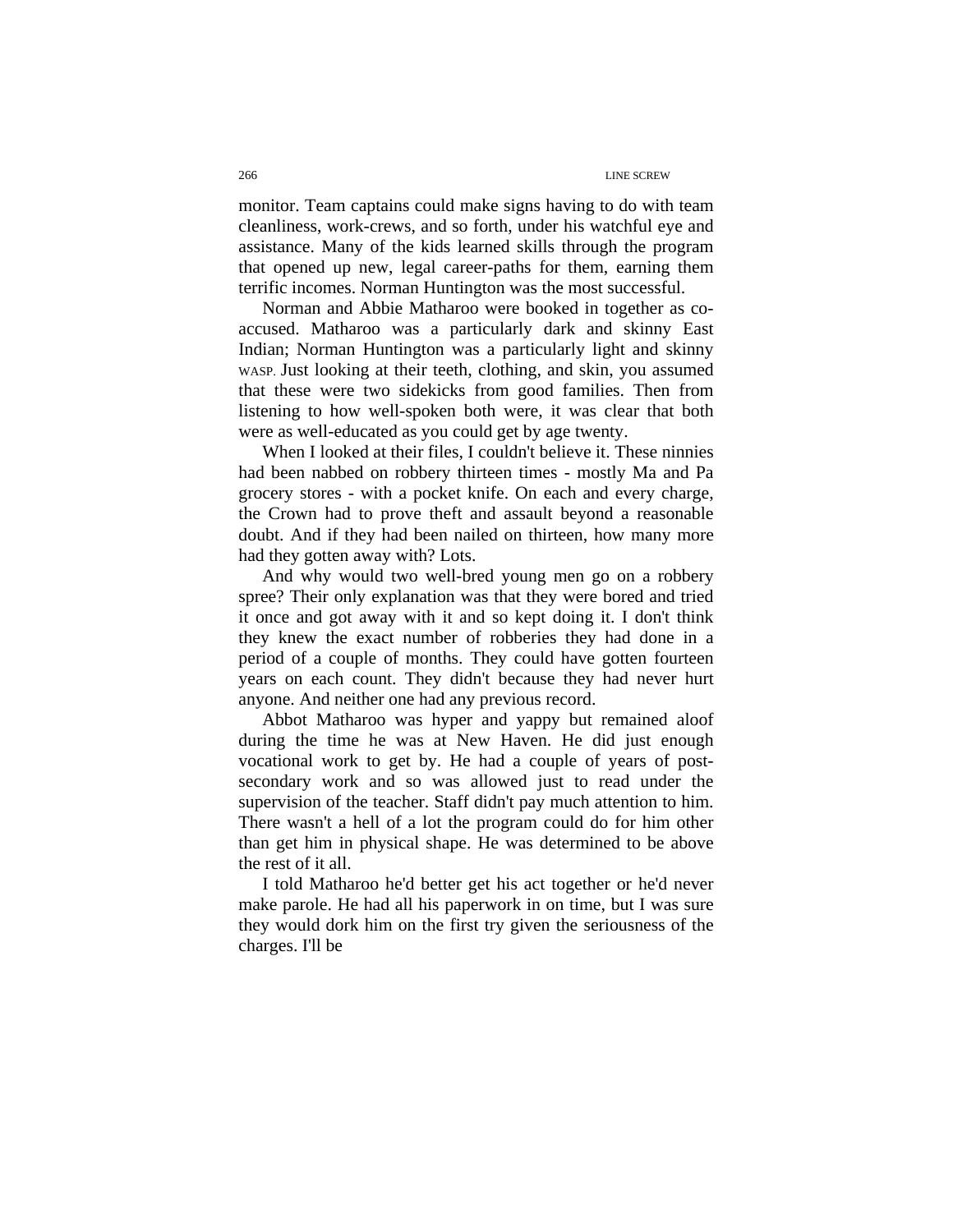monitor. Team captains could make signs having to do with team cleanliness, work-crews, and so forth, under his watchful eye and assistance. Many of the kids learned skills through the program that opened up new, legal career-paths for them, earning them terrific incomes. Norman Huntington was the most successful.

Norman and Abbie Matharoo were booked in together as coaccused. Matharoo was a particularly dark and skinny East Indian; Norman Huntington was a particularly light and skinny WASP. Just looking at their teeth, clothing, and skin, you assumed that these were two sidekicks from good families. Then from listening to how well-spoken both were, it was clear that both were as well-educated as you could get by age twenty.

When I looked at their files, I couldn't believe it. These ninnies had been nabbed on robbery thirteen times - mostly Ma and Pa grocery stores - with a pocket knife. On each and every charge, the Crown had to prove theft and assault beyond a reasonable doubt. And if they had been nailed on thirteen, how many more had they gotten away with? Lots.

And why would two well-bred young men go on a robbery spree? Their only explanation was that they were bored and tried it once and got away with it and so kept doing it. I don't think they knew the exact number of robberies they had done in a period of a couple of months. They could have gotten fourteen years on each count. They didn't because they had never hurt anyone. And neither one had any previous record.

Abbot Matharoo was hyper and yappy but remained aloof during the time he was at New Haven. He did just enough vocational work to get by. He had a couple of years of postsecondary work and so was allowed just to read under the supervision of the teacher. Staff didn't pay much attention to him. There wasn't a hell of a lot the program could do for him other than get him in physical shape. He was determined to be above the rest of it all.

I told Matharoo he'd better get his act together or he'd never make parole. He had all his paperwork in on time, but I was sure they would dork him on the first try given the seriousness of the charges. I'll be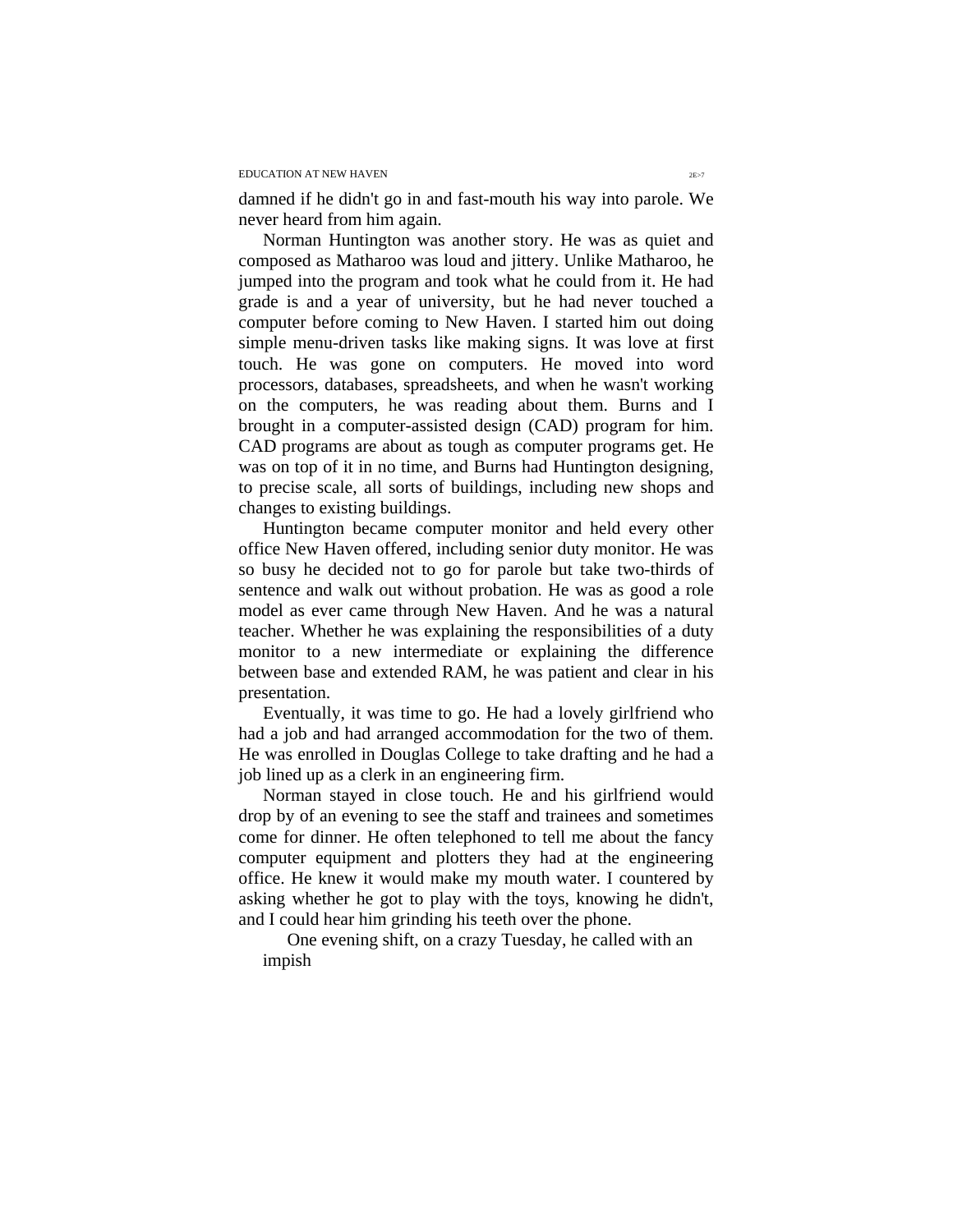damned if he didn't go in and fast-mouth his way into parole. We never heard from him again.

Norman Huntington was another story. He was as quiet and composed as Matharoo was loud and jittery. Unlike Matharoo, he jumped into the program and took what he could from it. He had grade is and a year of university, but he had never touched a computer before coming to New Haven. I started him out doing simple menu-driven tasks like making signs. It was love at first touch. He was gone on computers. He moved into word processors, databases, spreadsheets, and when he wasn't working on the computers, he was reading about them. Burns and I brought in a computer-assisted design (CAD) program for him. CAD programs are about as tough as computer programs get. He was on top of it in no time, and Burns had Huntington designing, to precise scale, all sorts of buildings, including new shops and changes to existing buildings.

Huntington became computer monitor and held every other office New Haven offered, including senior duty monitor. He was so busy he decided not to go for parole but take two-thirds of sentence and walk out without probation. He was as good a role model as ever came through New Haven. And he was a natural teacher. Whether he was explaining the responsibilities of a duty monitor to a new intermediate or explaining the difference between base and extended RAM, he was patient and clear in his presentation.

Eventually, it was time to go. He had a lovely girlfriend who had a job and had arranged accommodation for the two of them. He was enrolled in Douglas College to take drafting and he had a job lined up as a clerk in an engineering firm.

Norman stayed in close touch. He and his girlfriend would drop by of an evening to see the staff and trainees and sometimes come for dinner. He often telephoned to tell me about the fancy computer equipment and plotters they had at the engineering office. He knew it would make my mouth water. I countered by asking whether he got to play with the toys, knowing he didn't, and I could hear him grinding his teeth over the phone.

One evening shift, on a crazy Tuesday, he called with an impish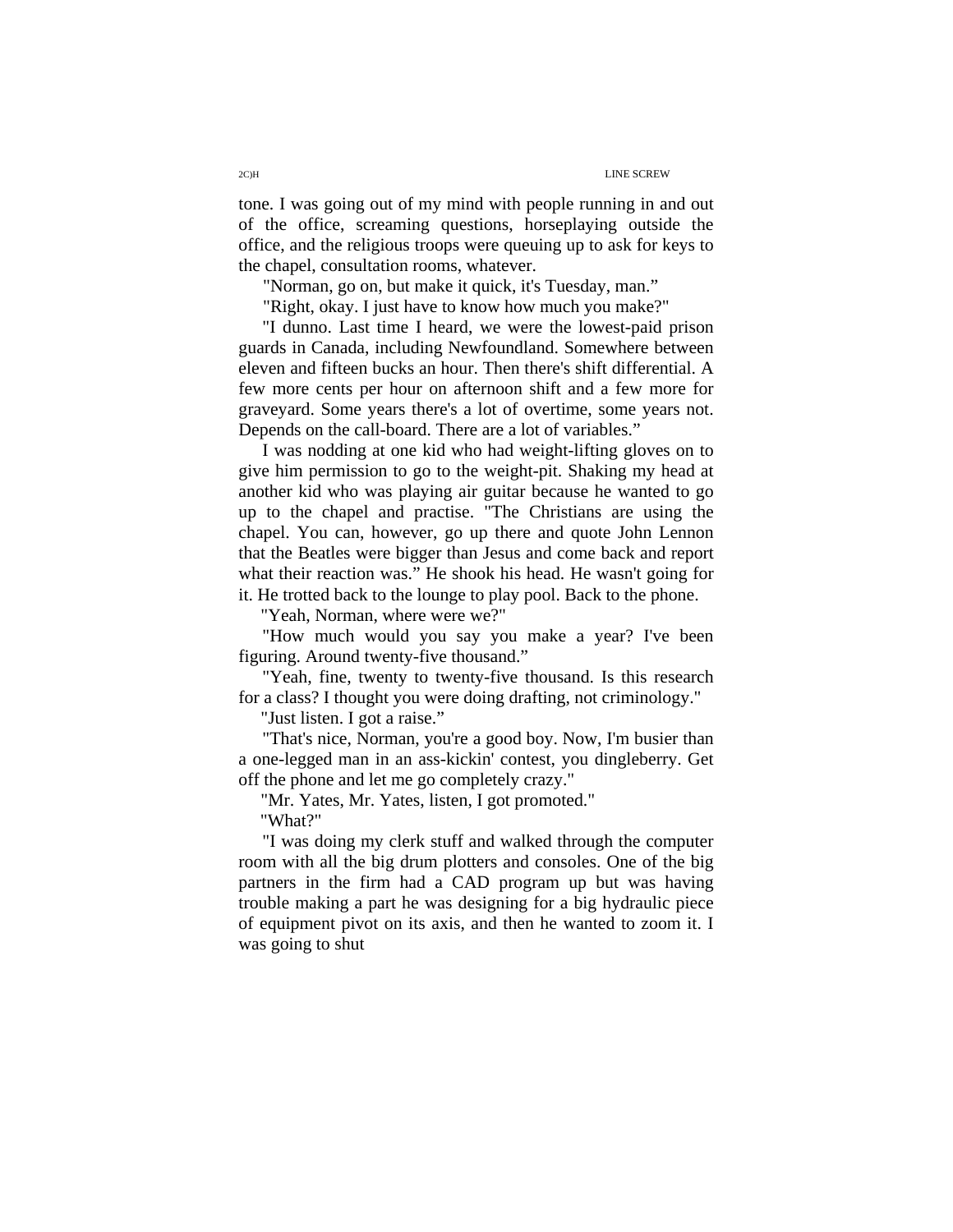tone. I was going out of my mind with people running in and out of the office, screaming questions, horseplaying outside the office, and the religious troops were queuing up to ask for keys to the chapel, consultation rooms, whatever.

"Norman, go on, but make it quick, it's Tuesday, man."

"Right, okay. I just have to know how much you make?"

"I dunno. Last time I heard, we were the lowest-paid prison guards in Canada, including Newfoundland. Somewhere between eleven and fifteen bucks an hour. Then there's shift differential. A few more cents per hour on afternoon shift and a few more for graveyard. Some years there's a lot of overtime, some years not. Depends on the call-board. There are a lot of variables."

I was nodding at one kid who had weight-lifting gloves on to give him permission to go to the weight-pit. Shaking my head at another kid who was playing air guitar because he wanted to go up to the chapel and practise. "The Christians are using the chapel. You can, however, go up there and quote John Lennon that the Beatles were bigger than Jesus and come back and report what their reaction was." He shook his head. He wasn't going for it. He trotted back to the lounge to play pool. Back to the phone.

"Yeah, Norman, where were we?"

"How much would you say you make a year? I've been figuring. Around twenty-five thousand."

"Yeah, fine, twenty to twenty-five thousand. Is this research for a class? I thought you were doing drafting, not criminology."

"Just listen. I got a raise."

"That's nice, Norman, you're a good boy. Now, I'm busier than a one-legged man in an ass-kickin' contest, you dingleberry. Get off the phone and let me go completely crazy."

"Mr. Yates, Mr. Yates, listen, I got promoted."

"What?"

"I was doing my clerk stuff and walked through the computer room with all the big drum plotters and consoles. One of the big partners in the firm had a CAD program up but was having trouble making a part he was designing for a big hydraulic piece of equipment pivot on its axis, and then he wanted to zoom it. I was going to shut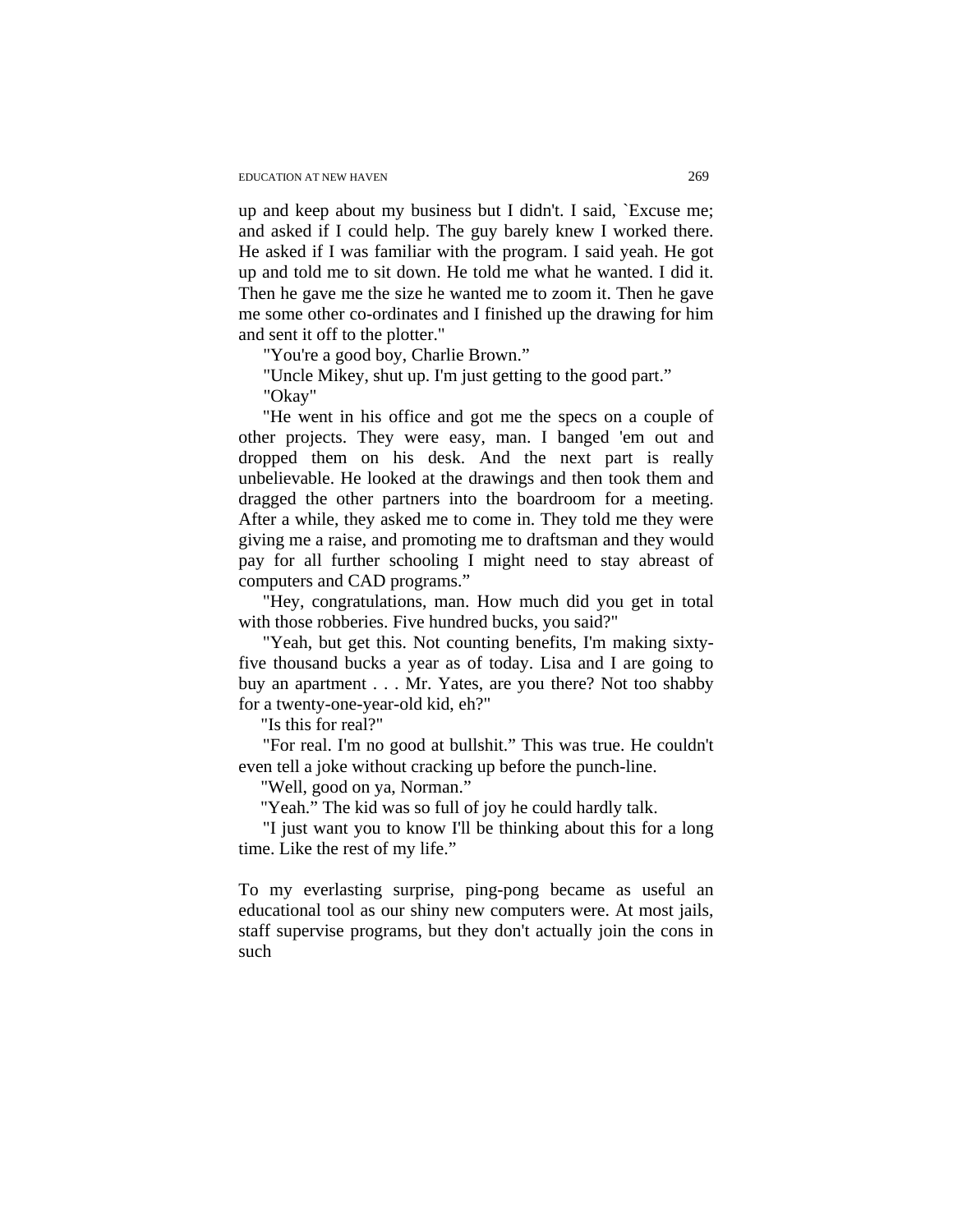up and keep about my business but I didn't. I said, `Excuse me; and asked if I could help. The guy barely knew I worked there. He asked if I was familiar with the program. I said yeah. He got up and told me to sit down. He told me what he wanted. I did it. Then he gave me the size he wanted me to zoom it. Then he gave me some other co-ordinates and I finished up the drawing for him and sent it off to the plotter."

"You're a good boy, Charlie Brown."

"Uncle Mikey, shut up. I'm just getting to the good part."

"Okay"

"He went in his office and got me the specs on a couple of other projects. They were easy, man. I banged 'em out and dropped them on his desk. And the next part is really unbelievable. He looked at the drawings and then took them and dragged the other partners into the boardroom for a meeting. After a while, they asked me to come in. They told me they were giving me a raise, and promoting me to draftsman and they would pay for all further schooling I might need to stay abreast of computers and CAD programs."

"Hey, congratulations, man. How much did you get in total with those robberies. Five hundred bucks, you said?"

"Yeah, but get this. Not counting benefits, I'm making sixtyfive thousand bucks a year as of today. Lisa and I are going to buy an apartment . . . Mr. Yates, are you there? Not too shabby for a twenty-one-year-old kid, eh?"

"Is this for real?"

"For real. I'm no good at bullshit." This was true. He couldn't even tell a joke without cracking up before the punch-line.

"Well, good on ya, Norman."

"Yeah." The kid was so full of joy he could hardly talk.

"I just want you to know I'll be thinking about this for a long time. Like the rest of my life."

To my everlasting surprise, ping-pong became as useful an educational tool as our shiny new computers were. At most jails, staff supervise programs, but they don't actually join the cons in such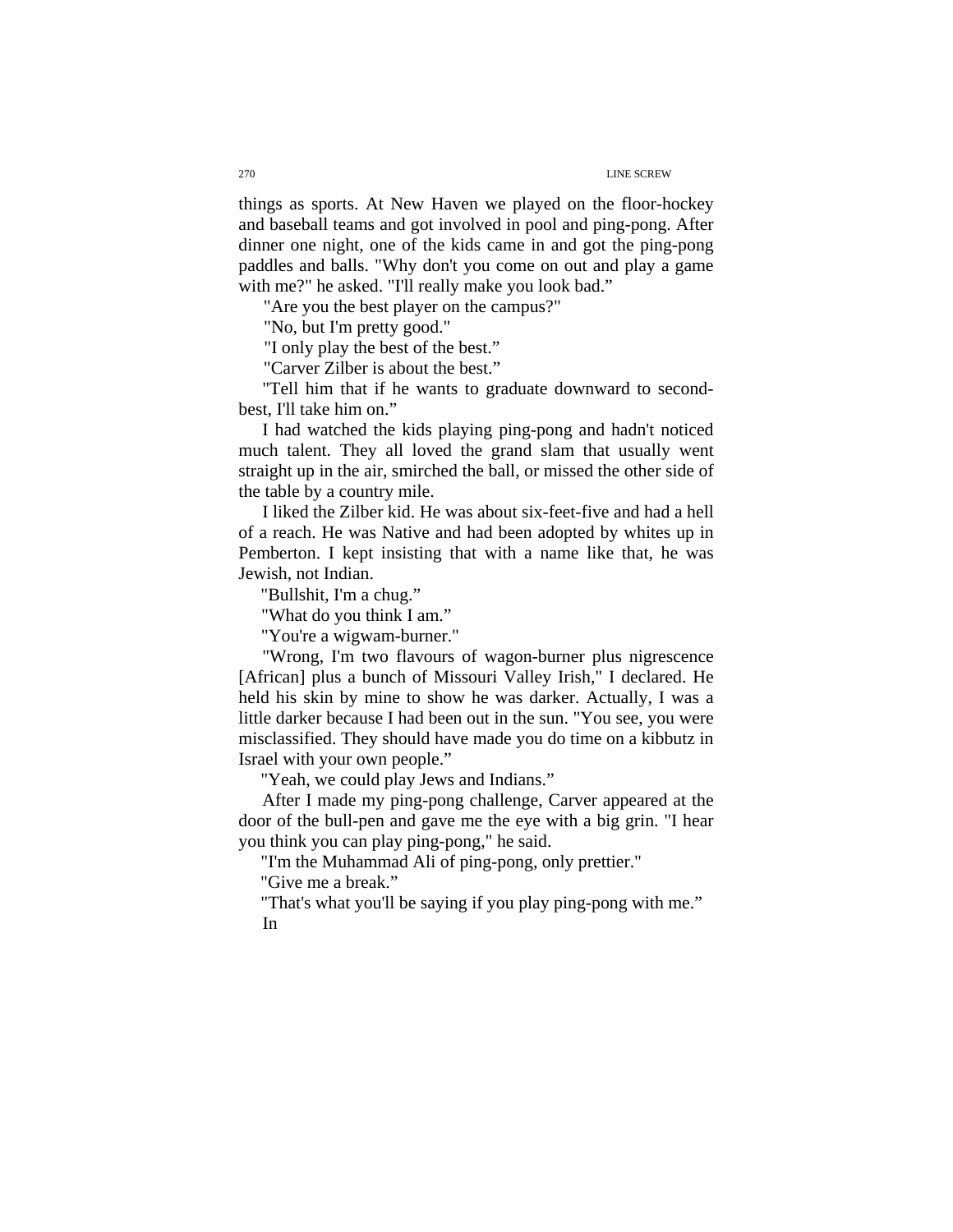things as sports. At New Haven we played on the floor-hockey and baseball teams and got involved in pool and ping-pong. After dinner one night, one of the kids came in and got the ping-pong paddles and balls. "Why don't you come on out and play a game with me?" he asked. "I'll really make you look bad."

"Are you the best player on the campus?"

"No, but I'm pretty good."

"I only play the best of the best."

"Carver Zilber is about the best."

"Tell him that if he wants to graduate downward to secondbest, I'll take him on."

I had watched the kids playing ping-pong and hadn't noticed much talent. They all loved the grand slam that usually went straight up in the air, smirched the ball, or missed the other side of the table by a country mile.

I liked the Zilber kid. He was about six-feet-five and had a hell of a reach. He was Native and had been adopted by whites up in Pemberton. I kept insisting that with a name like that, he was Jewish, not Indian.

"Bullshit, I'm a chug."

"What do you think I am."

"You're a wigwam-burner."

"Wrong, I'm two flavours of wagon-burner plus nigrescence [African] plus a bunch of Missouri Valley Irish," I declared. He held his skin by mine to show he was darker. Actually, I was a little darker because I had been out in the sun. "You see, you were misclassified. They should have made you do time on a kibbutz in Israel with your own people."

"Yeah, we could play Jews and Indians."

After I made my ping-pong challenge, Carver appeared at the door of the bull-pen and gave me the eye with a big grin. "I hear you think you can play ping-pong," he said.

"I'm the Muhammad Ali of ping-pong, only prettier."

"Give me a break."

"That's what you'll be saying if you play ping-pong with me." In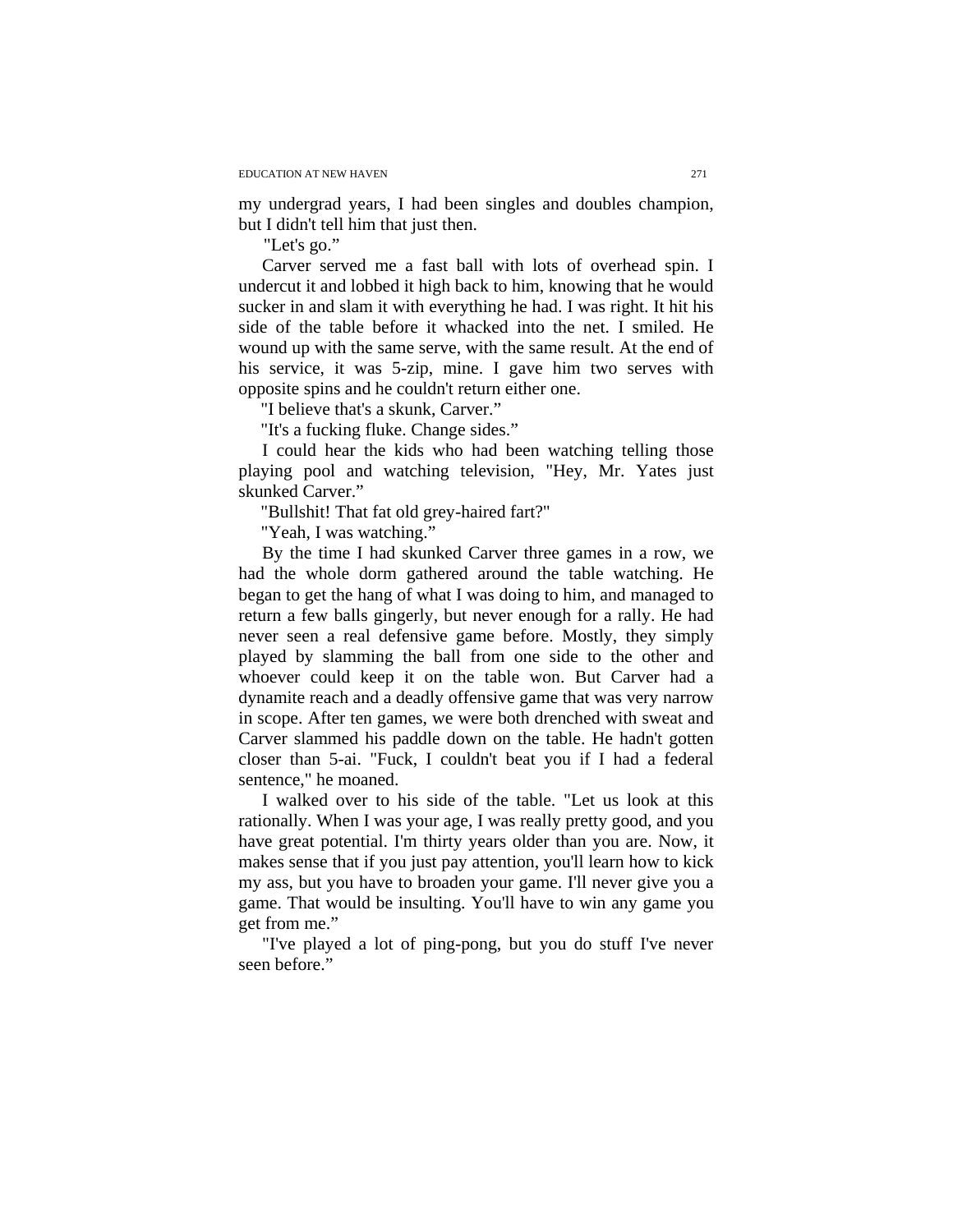my undergrad years, I had been singles and doubles champion, but I didn't tell him that just then.

"Let's go."

Carver served me a fast ball with lots of overhead spin. I undercut it and lobbed it high back to him, knowing that he would sucker in and slam it with everything he had. I was right. It hit his side of the table before it whacked into the net. I smiled. He wound up with the same serve, with the same result. At the end of his service, it was 5-zip, mine. I gave him two serves with opposite spins and he couldn't return either one.

"I believe that's a skunk, Carver."

"It's a fucking fluke. Change sides."

I could hear the kids who had been watching telling those playing pool and watching television, "Hey, Mr. Yates just skunked Carver."

"Bullshit! That fat old grey-haired fart?"

"Yeah, I was watching."

By the time I had skunked Carver three games in a row, we had the whole dorm gathered around the table watching. He began to get the hang of what I was doing to him, and managed to return a few balls gingerly, but never enough for a rally. He had never seen a real defensive game before. Mostly, they simply played by slamming the ball from one side to the other and whoever could keep it on the table won. But Carver had a dynamite reach and a deadly offensive game that was very narrow in scope. After ten games, we were both drenched with sweat and Carver slammed his paddle down on the table. He hadn't gotten closer than 5-ai. "Fuck, I couldn't beat you if I had a federal sentence," he moaned.

I walked over to his side of the table. "Let us look at this rationally. When I was your age, I was really pretty good, and you have great potential. I'm thirty years older than you are. Now, it makes sense that if you just pay attention, you'll learn how to kick my ass, but you have to broaden your game. I'll never give you a game. That would be insulting. You'll have to win any game you get from me."

"I've played a lot of ping-pong, but you do stuff I've never seen before."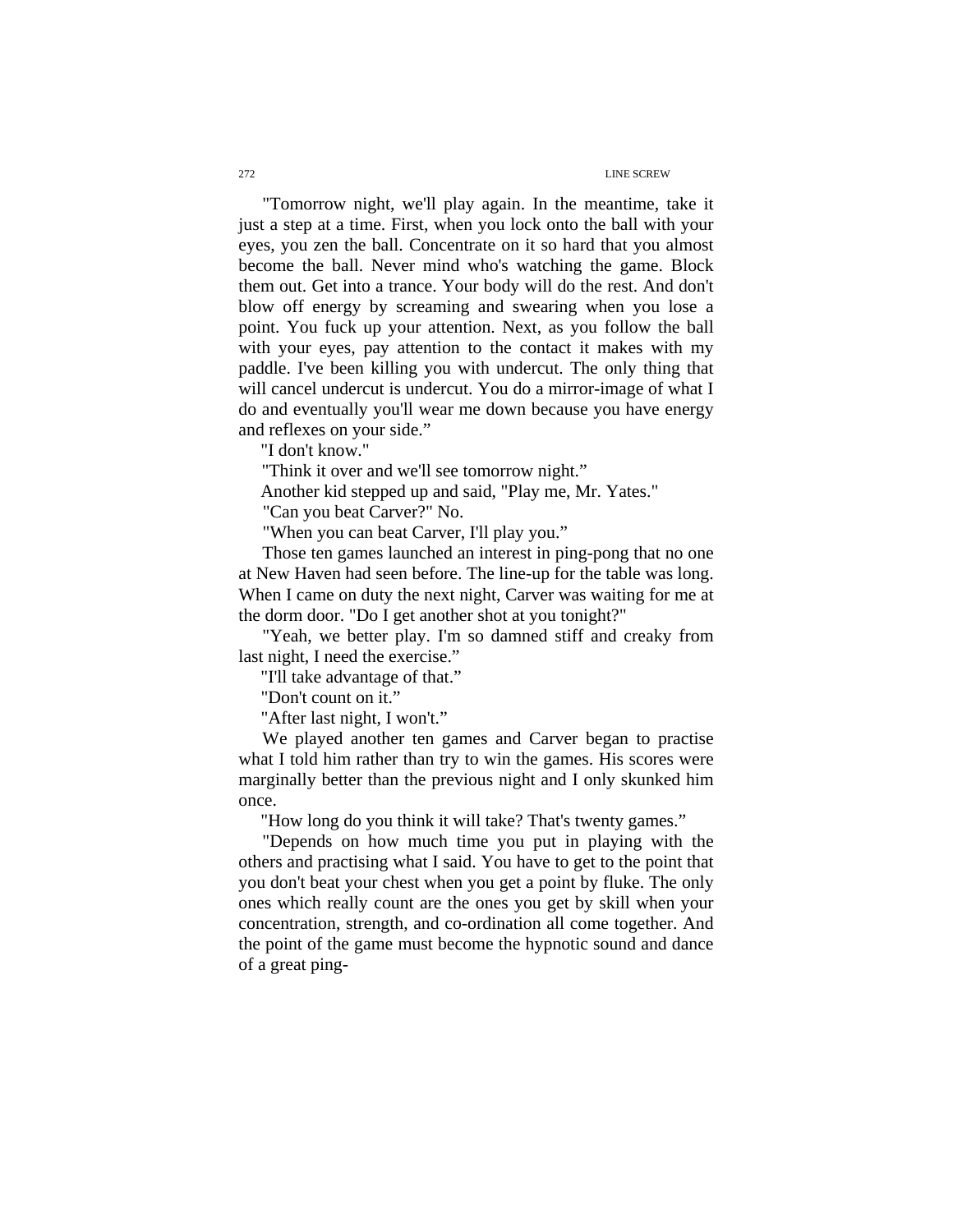"Tomorrow night, we'll play again. In the meantime, take it just a step at a time. First, when you lock onto the ball with your eyes, you zen the ball. Concentrate on it so hard that you almost become the ball. Never mind who's watching the game. Block them out. Get into a trance. Your body will do the rest. And don't blow off energy by screaming and swearing when you lose a point. You fuck up your attention. Next, as you follow the ball with your eyes, pay attention to the contact it makes with my paddle. I've been killing you with undercut. The only thing that will cancel undercut is undercut. You do a mirror-image of what I do and eventually you'll wear me down because you have energy and reflexes on your side."

"I don't know."

"Think it over and we'll see tomorrow night."

Another kid stepped up and said, "Play me, Mr. Yates."

"Can you beat Carver?" No.

"When you can beat Carver, I'll play you."

Those ten games launched an interest in ping-pong that no one at New Haven had seen before. The line-up for the table was long. When I came on duty the next night, Carver was waiting for me at the dorm door. "Do I get another shot at you tonight?"

"Yeah, we better play. I'm so damned stiff and creaky from last night, I need the exercise."

"I'll take advantage of that."

"Don't count on it."

"After last night, I won't."

We played another ten games and Carver began to practise what I told him rather than try to win the games. His scores were marginally better than the previous night and I only skunked him once.

"How long do you think it will take? That's twenty games."

"Depends on how much time you put in playing with the others and practising what I said. You have to get to the point that you don't beat your chest when you get a point by fluke. The only ones which really count are the ones you get by skill when your concentration, strength, and co-ordination all come together. And the point of the game must become the hypnotic sound and dance of a great ping-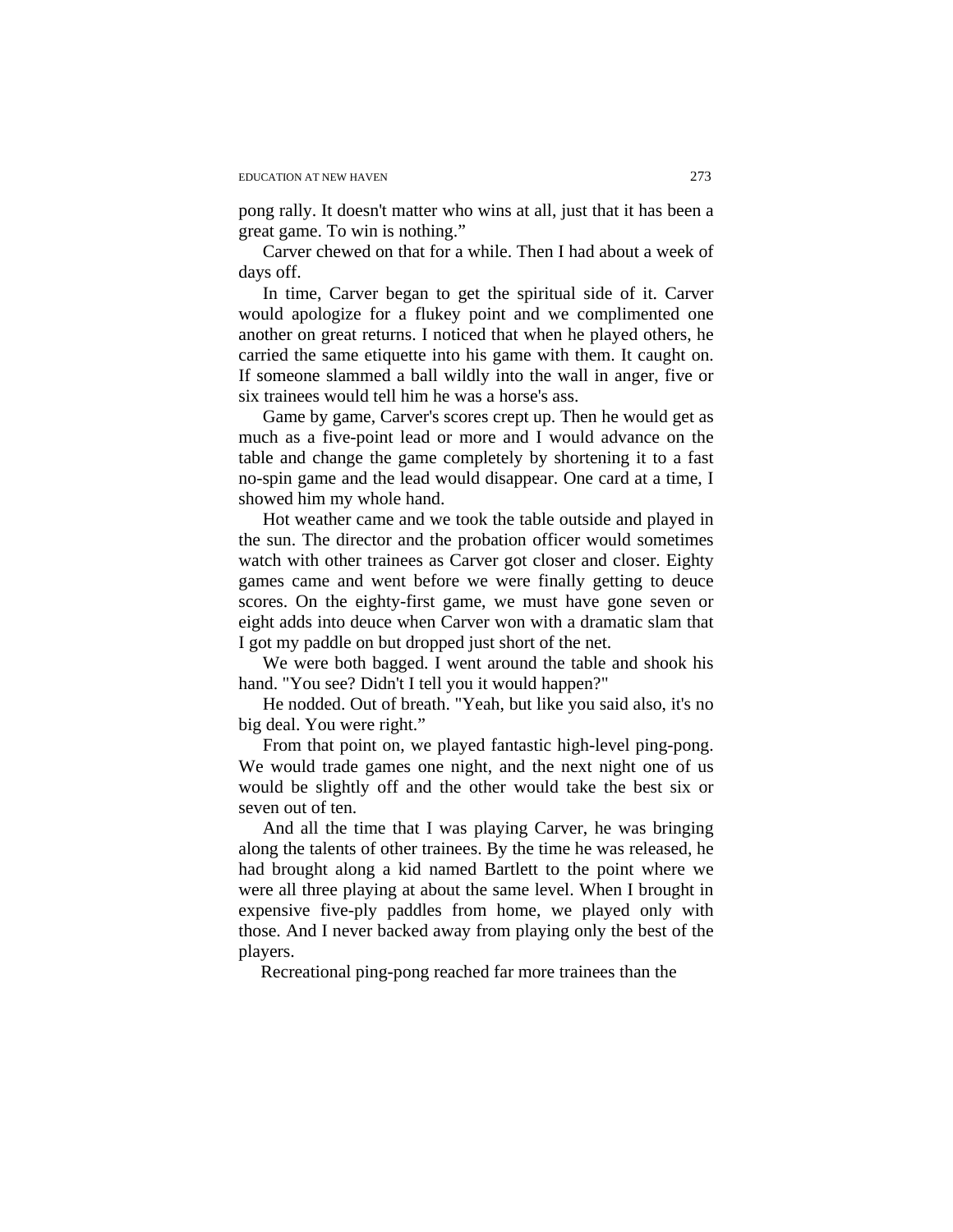pong rally. It doesn't matter who wins at all, just that it has been a great game. To win is nothing."

Carver chewed on that for a while. Then I had about a week of days off.

In time, Carver began to get the spiritual side of it. Carver would apologize for a flukey point and we complimented one another on great returns. I noticed that when he played others, he carried the same etiquette into his game with them. It caught on. If someone slammed a ball wildly into the wall in anger, five or six trainees would tell him he was a horse's ass.

Game by game, Carver's scores crept up. Then he would get as much as a five-point lead or more and I would advance on the table and change the game completely by shortening it to a fast no-spin game and the lead would disappear. One card at a time, I showed him my whole hand.

Hot weather came and we took the table outside and played in the sun. The director and the probation officer would sometimes watch with other trainees as Carver got closer and closer. Eighty games came and went before we were finally getting to deuce scores. On the eighty-first game, we must have gone seven or eight adds into deuce when Carver won with a dramatic slam that I got my paddle on but dropped just short of the net.

We were both bagged. I went around the table and shook his hand. "You see? Didn't I tell you it would happen?"

He nodded. Out of breath. "Yeah, but like you said also, it's no big deal. You were right."

From that point on, we played fantastic high-level ping-pong. We would trade games one night, and the next night one of us would be slightly off and the other would take the best six or seven out of ten.

And all the time that I was playing Carver, he was bringing along the talents of other trainees. By the time he was released, he had brought along a kid named Bartlett to the point where we were all three playing at about the same level. When I brought in expensive five-ply paddles from home, we played only with those. And I never backed away from playing only the best of the players.

Recreational ping-pong reached far more trainees than the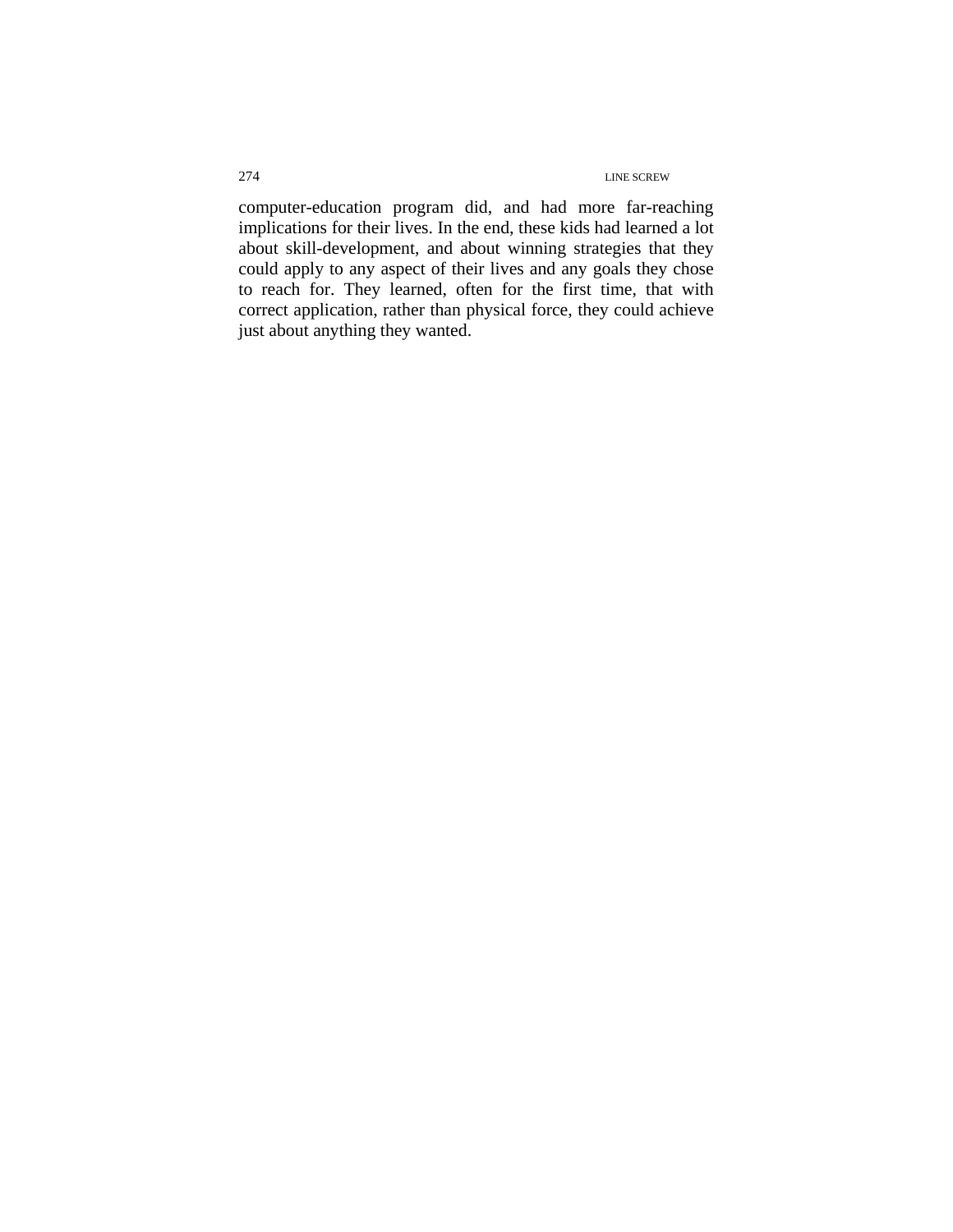computer-education program did, and had more far-reaching implications for their lives. In the end, these kids had learned a lot about skill-development, and about winning strategies that they could apply to any aspect of their lives and any goals they chose to reach for. They learned, often for the first time, that with correct application, rather than physical force, they could achieve just about anything they wanted.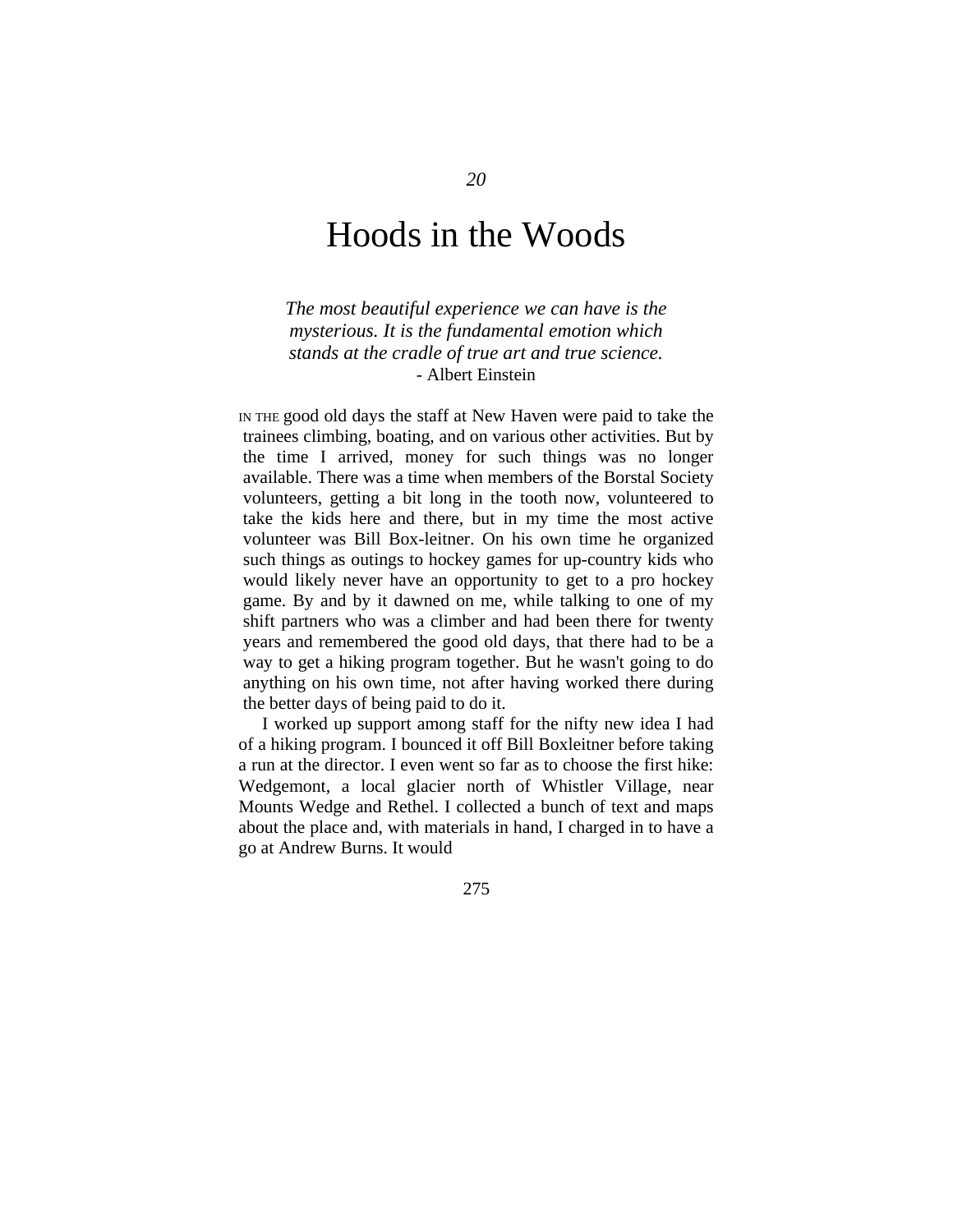# Hoods in the Woods

*The most beautiful experience we can have is the mysterious. It is the fundamental emotion which stands at the cradle of true art and true science.*  - Albert Einstein

IN THE good old days the staff at New Haven were paid to take the trainees climbing, boating, and on various other activities. But by the time I arrived, money for such things was no longer available. There was a time when members of the Borstal Society volunteers, getting a bit long in the tooth now, volunteered to take the kids here and there, but in my time the most active volunteer was Bill Box-leitner. On his own time he organized such things as outings to hockey games for up-country kids who would likely never have an opportunity to get to a pro hockey game. By and by it dawned on me, while talking to one of my shift partners who was a climber and had been there for twenty years and remembered the good old days, that there had to be a way to get a hiking program together. But he wasn't going to do anything on his own time, not after having worked there during the better days of being paid to do it.

I worked up support among staff for the nifty new idea I had of a hiking program. I bounced it off Bill Boxleitner before taking a run at the director. I even went so far as to choose the first hike: Wedgemont, a local glacier north of Whistler Village, near Mounts Wedge and Rethel. I collected a bunch of text and maps about the place and, with materials in hand, I charged in to have a go at Andrew Burns. It would

275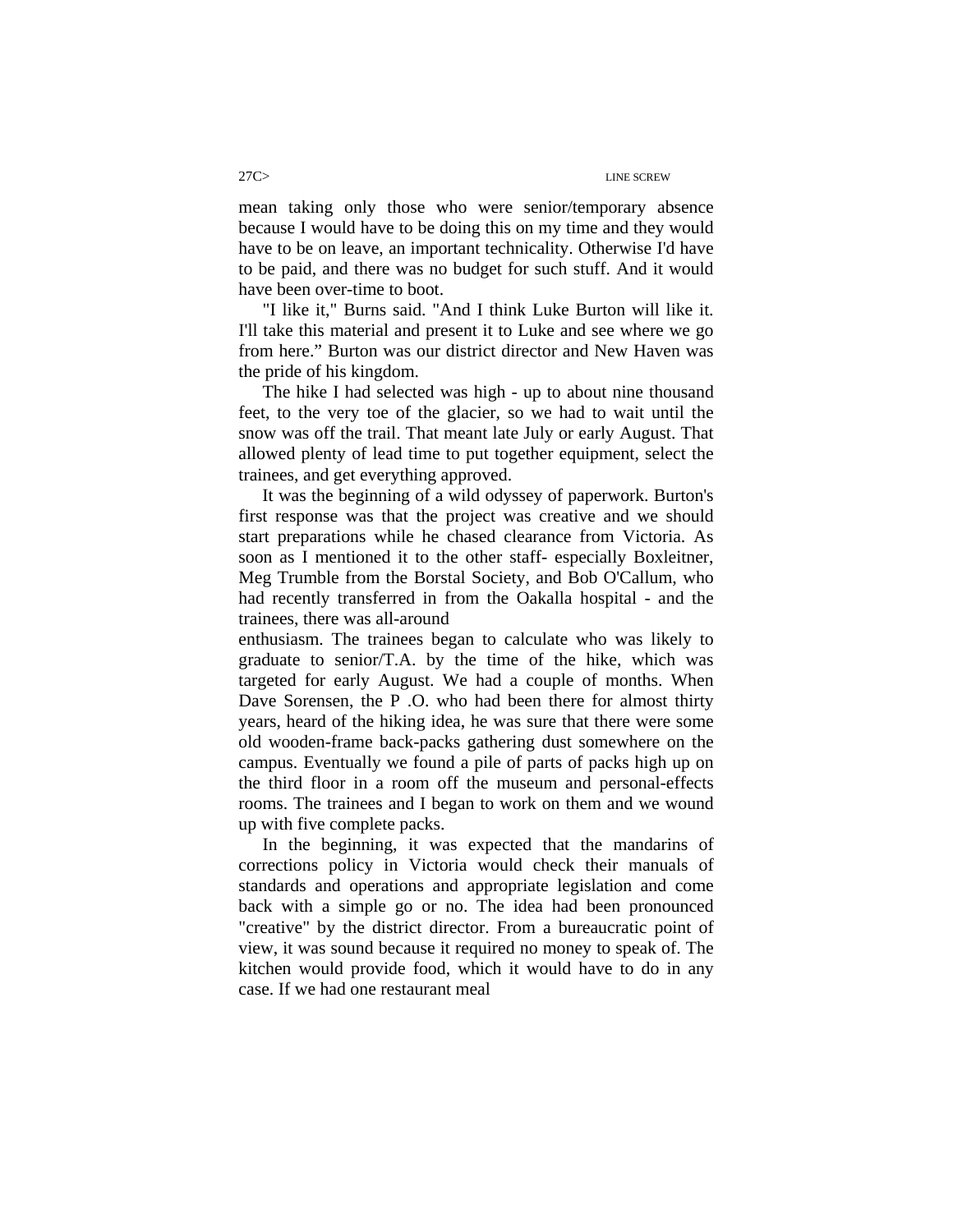mean taking only those who were senior/temporary absence because I would have to be doing this on my time and they would have to be on leave, an important technicality. Otherwise I'd have to be paid, and there was no budget for such stuff. And it would have been over-time to boot.

"I like it," Burns said. "And I think Luke Burton will like it. I'll take this material and present it to Luke and see where we go from here." Burton was our district director and New Haven was the pride of his kingdom.

The hike I had selected was high - up to about nine thousand feet, to the very toe of the glacier, so we had to wait until the snow was off the trail. That meant late July or early August. That allowed plenty of lead time to put together equipment, select the trainees, and get everything approved.

 It was the beginning of a wild odyssey of paperwork. Burton's first response was that the project was creative and we should start preparations while he chased clearance from Victoria. As soon as I mentioned it to the other staff- especially Boxleitner, Meg Trumble from the Borstal Society, and Bob O'Callum, who had recently transferred in from the Oakalla hospital - and the trainees, there was all-around

enthusiasm. The trainees began to calculate who was likely to graduate to senior/T.A. by the time of the hike, which was targeted for early August. We had a couple of months. When Dave Sorensen, the P .O. who had been there for almost thirty years, heard of the hiking idea, he was sure that there were some old wooden-frame back-packs gathering dust somewhere on the campus. Eventually we found a pile of parts of packs high up on the third floor in a room off the museum and personal-effects rooms. The trainees and I began to work on them and we wound up with five complete packs.

In the beginning, it was expected that the mandarins of corrections policy in Victoria would check their manuals of standards and operations and appropriate legislation and come back with a simple go or no. The idea had been pronounced "creative" by the district director. From a bureaucratic point of view, it was sound because it required no money to speak of. The kitchen would provide food, which it would have to do in any case. If we had one restaurant meal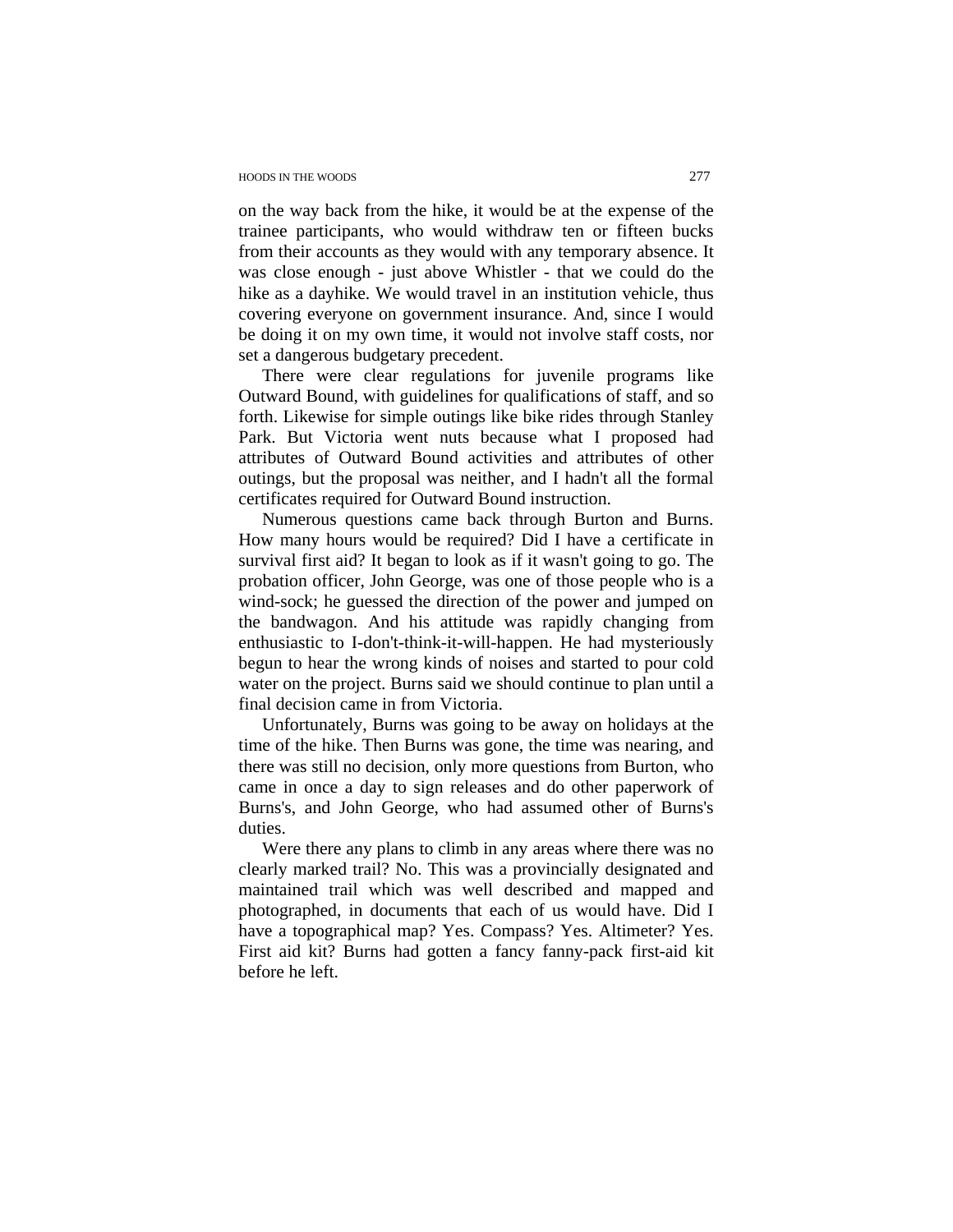#### HOODS IN THE WOODS 277

on the way back from the hike, it would be at the expense of the trainee participants, who would withdraw ten or fifteen bucks from their accounts as they would with any temporary absence. It was close enough - just above Whistler - that we could do the hike as a dayhike. We would travel in an institution vehicle, thus covering everyone on government insurance. And, since I would be doing it on my own time, it would not involve staff costs, nor set a dangerous budgetary precedent.

There were clear regulations for juvenile programs like Outward Bound, with guidelines for qualifications of staff, and so forth. Likewise for simple outings like bike rides through Stanley Park. But Victoria went nuts because what I proposed had attributes of Outward Bound activities and attributes of other outings, but the proposal was neither, and I hadn't all the formal certificates required for Outward Bound instruction.

Numerous questions came back through Burton and Burns. How many hours would be required? Did I have a certificate in survival first aid? It began to look as if it wasn't going to go. The probation officer, John George, was one of those people who is a wind-sock; he guessed the direction of the power and jumped on the bandwagon. And his attitude was rapidly changing from enthusiastic to I-don't-think-it-will-happen. He had mysteriously begun to hear the wrong kinds of noises and started to pour cold water on the project. Burns said we should continue to plan until a final decision came in from Victoria.

Unfortunately, Burns was going to be away on holidays at the time of the hike. Then Burns was gone, the time was nearing, and there was still no decision, only more questions from Burton, who came in once a day to sign releases and do other paperwork of Burns's, and John George, who had assumed other of Burns's duties.

Were there any plans to climb in any areas where there was no clearly marked trail? No. This was a provincially designated and maintained trail which was well described and mapped and photographed, in documents that each of us would have. Did I have a topographical map? Yes. Compass? Yes. Altimeter? Yes. First aid kit? Burns had gotten a fancy fanny-pack first-aid kit before he left.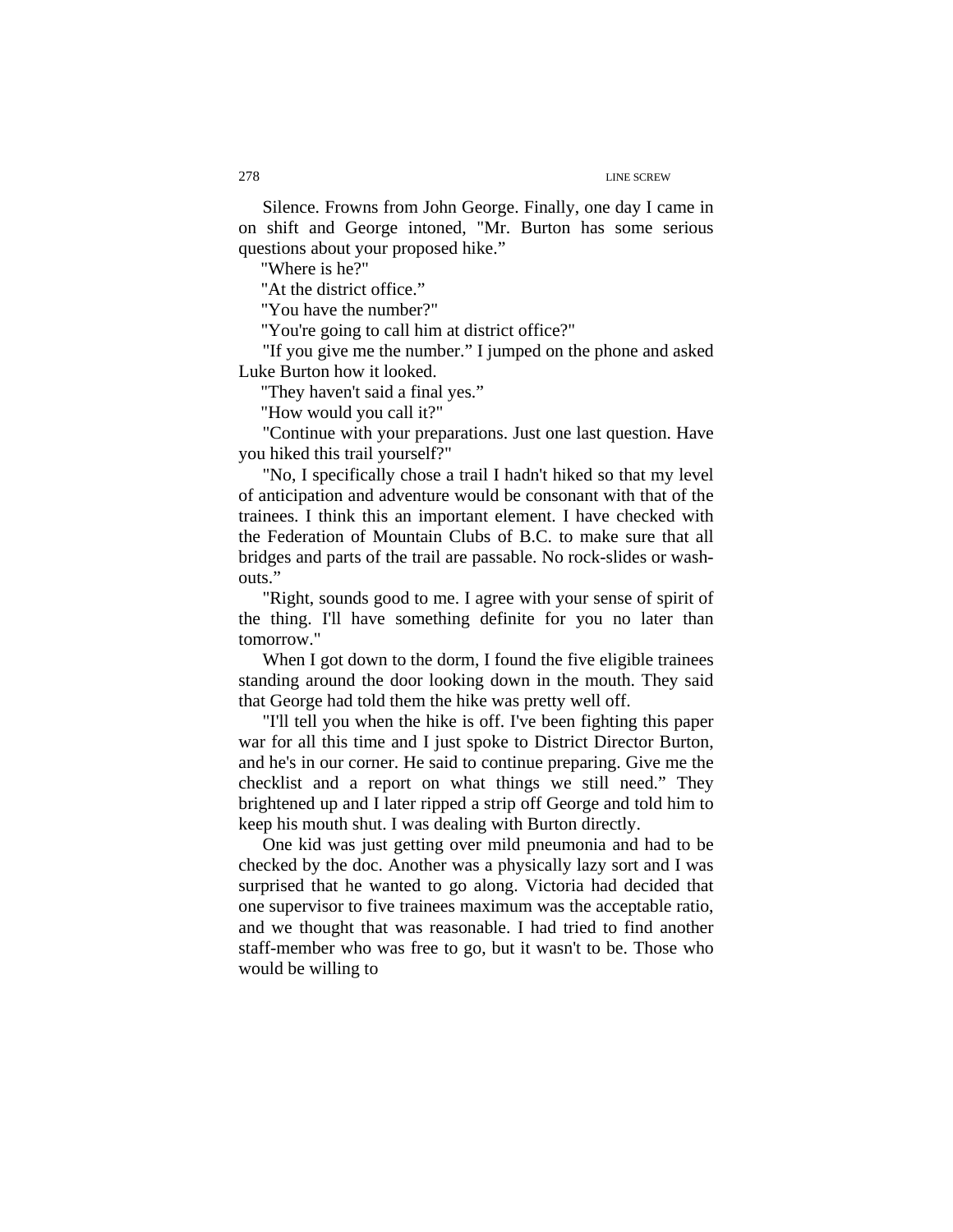Silence. Frowns from John George. Finally, one day I came in on shift and George intoned, "Mr. Burton has some serious questions about your proposed hike."

"Where is he?"

"At the district office."

"You have the number?"

"You're going to call him at district office?"

"If you give me the number." I jumped on the phone and asked Luke Burton how it looked.

"They haven't said a final yes."

"How would you call it?"

"Continue with your preparations. Just one last question. Have you hiked this trail yourself?"

"No, I specifically chose a trail I hadn't hiked so that my level of anticipation and adventure would be consonant with that of the trainees. I think this an important element. I have checked with the Federation of Mountain Clubs of B.C. to make sure that all bridges and parts of the trail are passable. No rock-slides or washouts."

"Right, sounds good to me. I agree with your sense of spirit of the thing. I'll have something definite for you no later than tomorrow."

When I got down to the dorm, I found the five eligible trainees standing around the door looking down in the mouth. They said that George had told them the hike was pretty well off.

"I'll tell you when the hike is off. I've been fighting this paper war for all this time and I just spoke to District Director Burton, and he's in our corner. He said to continue preparing. Give me the checklist and a report on what things we still need." They brightened up and I later ripped a strip off George and told him to keep his mouth shut. I was dealing with Burton directly.

One kid was just getting over mild pneumonia and had to be checked by the doc. Another was a physically lazy sort and I was surprised that he wanted to go along. Victoria had decided that one supervisor to five trainees maximum was the acceptable ratio, and we thought that was reasonable. I had tried to find another staff-member who was free to go, but it wasn't to be. Those who would be willing to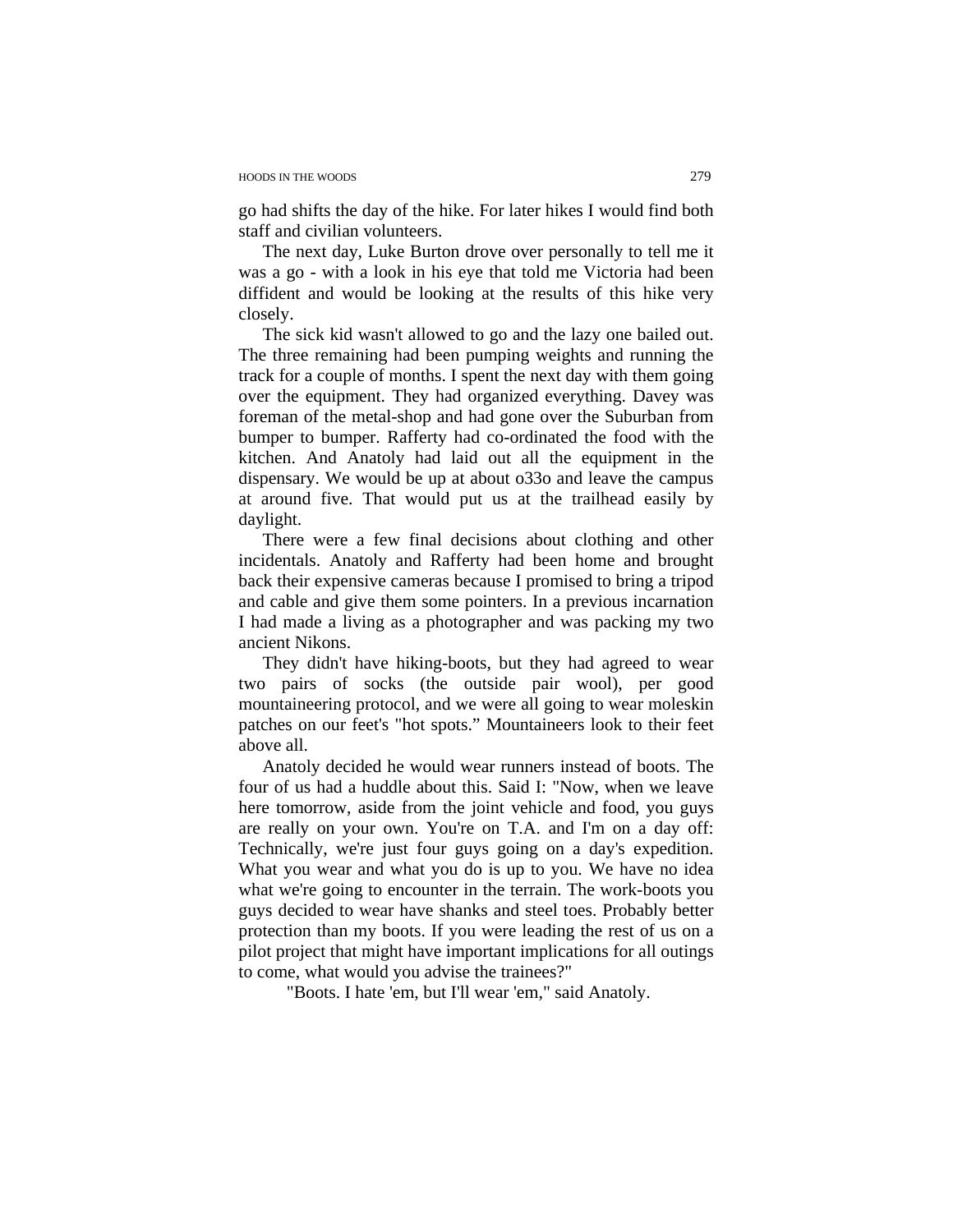go had shifts the day of the hike. For later hikes I would find both staff and civilian volunteers.

The next day, Luke Burton drove over personally to tell me it was a go - with a look in his eye that told me Victoria had been diffident and would be looking at the results of this hike very closely.

The sick kid wasn't allowed to go and the lazy one bailed out. The three remaining had been pumping weights and running the track for a couple of months. I spent the next day with them going over the equipment. They had organized everything. Davey was foreman of the metal-shop and had gone over the Suburban from bumper to bumper. Rafferty had co-ordinated the food with the kitchen. And Anatoly had laid out all the equipment in the dispensary. We would be up at about o33o and leave the campus at around five. That would put us at the trailhead easily by daylight.

There were a few final decisions about clothing and other incidentals. Anatoly and Rafferty had been home and brought back their expensive cameras because I promised to bring a tripod and cable and give them some pointers. In a previous incarnation I had made a living as a photographer and was packing my two ancient Nikons.

They didn't have hiking-boots, but they had agreed to wear two pairs of socks (the outside pair wool), per good mountaineering protocol, and we were all going to wear moleskin patches on our feet's "hot spots." Mountaineers look to their feet above all.

Anatoly decided he would wear runners instead of boots. The four of us had a huddle about this. Said I: "Now, when we leave here tomorrow, aside from the joint vehicle and food, you guys are really on your own. You're on T.A. and I'm on a day off: Technically, we're just four guys going on a day's expedition. What you wear and what you do is up to you. We have no idea what we're going to encounter in the terrain. The work-boots you guys decided to wear have shanks and steel toes. Probably better protection than my boots. If you were leading the rest of us on a pilot project that might have important implications for all outings to come, what would you advise the trainees?"

"Boots. I hate 'em, but I'll wear 'em," said Anatoly.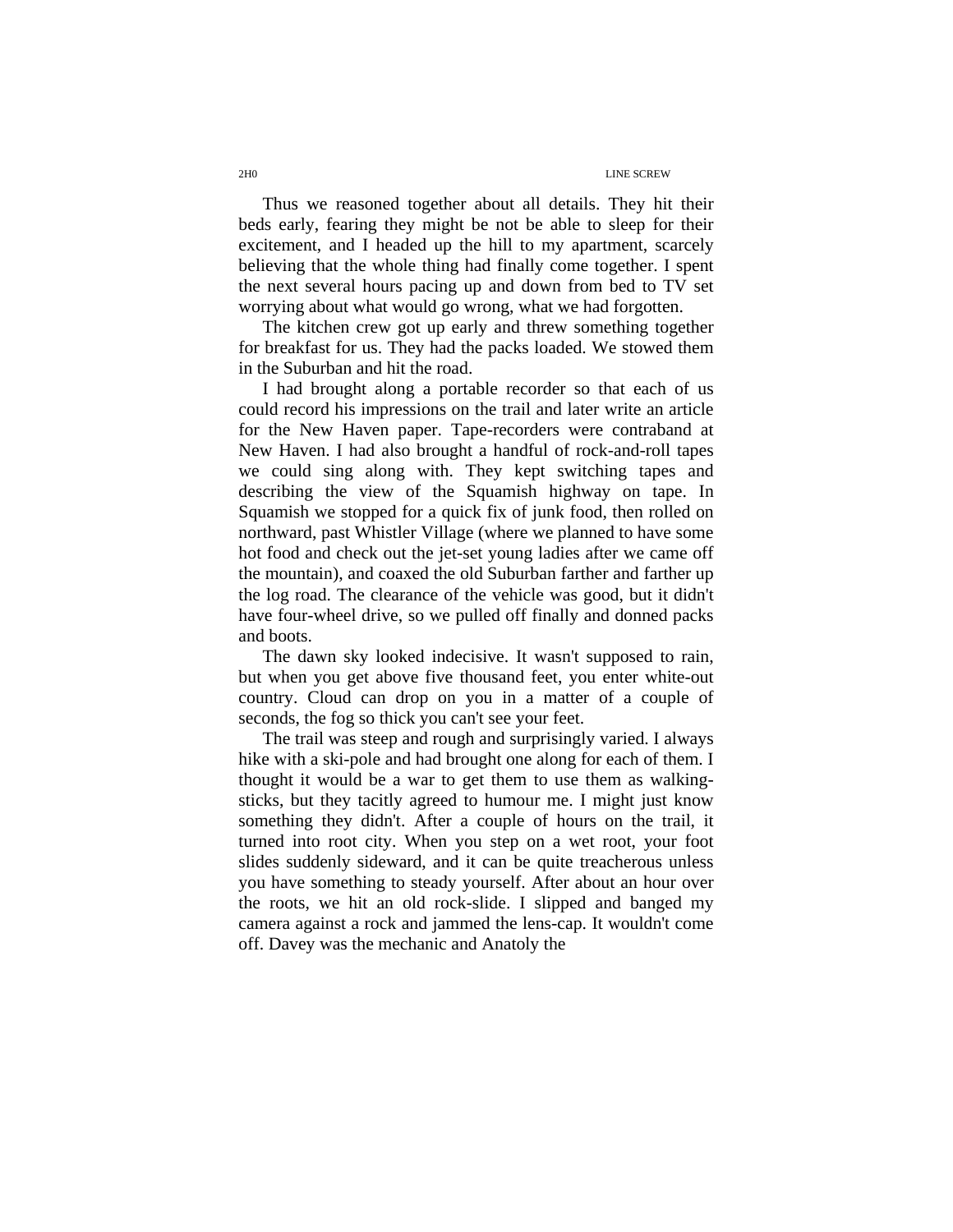## 2H0 LINE SCREW

Thus we reasoned together about all details. They hit their beds early, fearing they might be not be able to sleep for their excitement, and I headed up the hill to my apartment, scarcely believing that the whole thing had finally come together. I spent the next several hours pacing up and down from bed to TV set worrying about what would go wrong, what we had forgotten.

The kitchen crew got up early and threw something together for breakfast for us. They had the packs loaded. We stowed them in the Suburban and hit the road.

I had brought along a portable recorder so that each of us could record his impressions on the trail and later write an article for the New Haven paper. Tape-recorders were contraband at New Haven. I had also brought a handful of rock-and-roll tapes we could sing along with. They kept switching tapes and describing the view of the Squamish highway on tape. In Squamish we stopped for a quick fix of junk food, then rolled on northward, past Whistler Village (where we planned to have some hot food and check out the jet-set young ladies after we came off the mountain), and coaxed the old Suburban farther and farther up the log road. The clearance of the vehicle was good, but it didn't have four-wheel drive, so we pulled off finally and donned packs and boots.

The dawn sky looked indecisive. It wasn't supposed to rain, but when you get above five thousand feet, you enter white-out country. Cloud can drop on you in a matter of a couple of seconds, the fog so thick you can't see your feet.

The trail was steep and rough and surprisingly varied. I always hike with a ski-pole and had brought one along for each of them. I thought it would be a war to get them to use them as walkingsticks, but they tacitly agreed to humour me. I might just know something they didn't. After a couple of hours on the trail, it turned into root city. When you step on a wet root, your foot slides suddenly sideward, and it can be quite treacherous unless you have something to steady yourself. After about an hour over the roots, we hit an old rock-slide. I slipped and banged my camera against a rock and jammed the lens-cap. It wouldn't come off. Davey was the mechanic and Anatoly the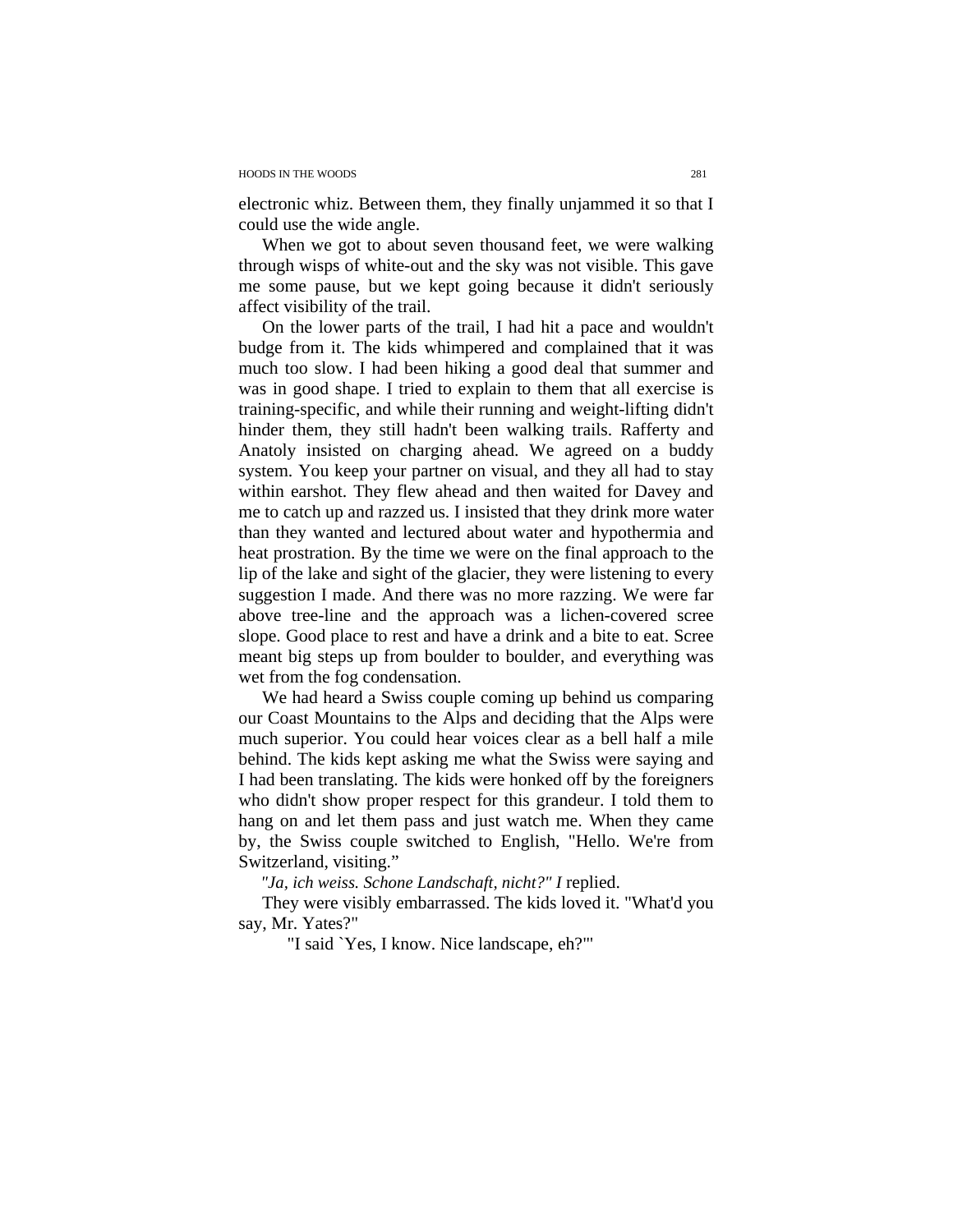electronic whiz. Between them, they finally unjammed it so that I could use the wide angle.

When we got to about seven thousand feet, we were walking through wisps of white-out and the sky was not visible. This gave me some pause, but we kept going because it didn't seriously affect visibility of the trail.

On the lower parts of the trail, I had hit a pace and wouldn't budge from it. The kids whimpered and complained that it was much too slow. I had been hiking a good deal that summer and was in good shape. I tried to explain to them that all exercise is training-specific, and while their running and weight-lifting didn't hinder them, they still hadn't been walking trails. Rafferty and Anatoly insisted on charging ahead. We agreed on a buddy system. You keep your partner on visual, and they all had to stay within earshot. They flew ahead and then waited for Davey and me to catch up and razzed us. I insisted that they drink more water than they wanted and lectured about water and hypothermia and heat prostration. By the time we were on the final approach to the lip of the lake and sight of the glacier, they were listening to every suggestion I made. And there was no more razzing. We were far above tree-line and the approach was a lichen-covered scree slope. Good place to rest and have a drink and a bite to eat. Scree meant big steps up from boulder to boulder, and everything was wet from the fog condensation.

We had heard a Swiss couple coming up behind us comparing our Coast Mountains to the Alps and deciding that the Alps were much superior. You could hear voices clear as a bell half a mile behind. The kids kept asking me what the Swiss were saying and I had been translating. The kids were honked off by the foreigners who didn't show proper respect for this grandeur. I told them to hang on and let them pass and just watch me. When they came by, the Swiss couple switched to English, "Hello. We're from Switzerland, visiting."

*"Ja, ich weiss. Schone Landschaft, nicht?" I* replied.

They were visibly embarrassed. The kids loved it. "What'd you say, Mr. Yates?"

"I said `Yes, I know. Nice landscape, eh?"'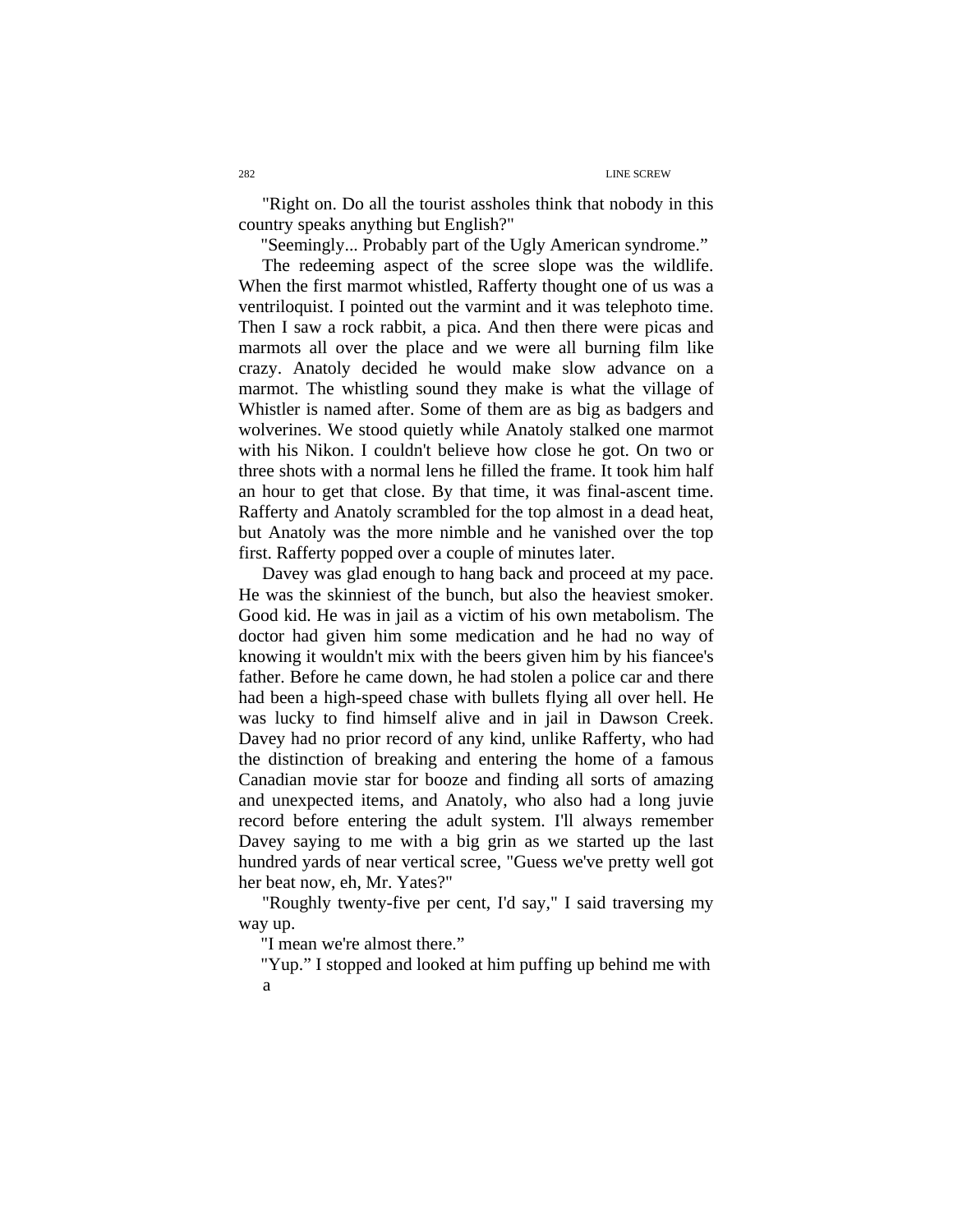"Right on. Do all the tourist assholes think that nobody in this country speaks anything but English?"

"Seemingly... Probably part of the Ugly American syndrome."

The redeeming aspect of the scree slope was the wildlife. When the first marmot whistled, Rafferty thought one of us was a ventriloquist. I pointed out the varmint and it was telephoto time. Then I saw a rock rabbit, a pica. And then there were picas and marmots all over the place and we were all burning film like crazy. Anatoly decided he would make slow advance on a marmot. The whistling sound they make is what the village of Whistler is named after. Some of them are as big as badgers and wolverines. We stood quietly while Anatoly stalked one marmot with his Nikon. I couldn't believe how close he got. On two or three shots with a normal lens he filled the frame. It took him half an hour to get that close. By that time, it was final-ascent time. Rafferty and Anatoly scrambled for the top almost in a dead heat, but Anatoly was the more nimble and he vanished over the top first. Rafferty popped over a couple of minutes later.

Davey was glad enough to hang back and proceed at my pace. He was the skinniest of the bunch, but also the heaviest smoker. Good kid. He was in jail as a victim of his own metabolism. The doctor had given him some medication and he had no way of knowing it wouldn't mix with the beers given him by his fiancee's father. Before he came down, he had stolen a police car and there had been a high-speed chase with bullets flying all over hell. He was lucky to find himself alive and in jail in Dawson Creek. Davey had no prior record of any kind, unlike Rafferty, who had the distinction of breaking and entering the home of a famous Canadian movie star for booze and finding all sorts of amazing and unexpected items, and Anatoly, who also had a long juvie record before entering the adult system. I'll always remember Davey saying to me with a big grin as we started up the last hundred yards of near vertical scree, "Guess we've pretty well got her beat now, eh, Mr. Yates?"

"Roughly twenty-five per cent, I'd say," I said traversing my way up.

"I mean we're almost there."

"Yup." I stopped and looked at him puffing up behind me with a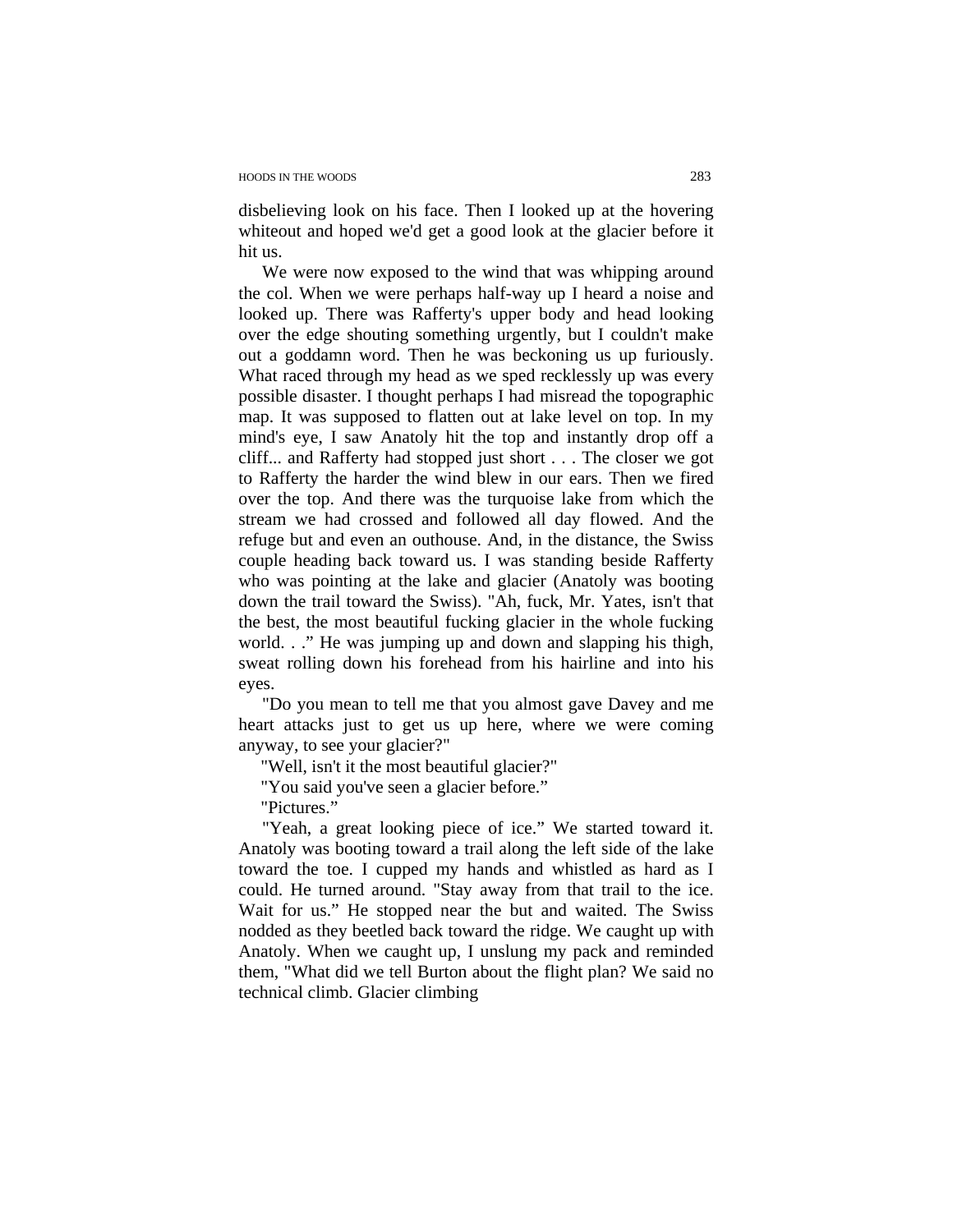disbelieving look on his face. Then I looked up at the hovering whiteout and hoped we'd get a good look at the glacier before it hit us.

We were now exposed to the wind that was whipping around the col. When we were perhaps half-way up I heard a noise and looked up. There was Rafferty's upper body and head looking over the edge shouting something urgently, but I couldn't make out a goddamn word. Then he was beckoning us up furiously. What raced through my head as we sped recklessly up was every possible disaster. I thought perhaps I had misread the topographic map. It was supposed to flatten out at lake level on top. In my mind's eye, I saw Anatoly hit the top and instantly drop off a cliff... and Rafferty had stopped just short . . . The closer we got to Rafferty the harder the wind blew in our ears. Then we fired over the top. And there was the turquoise lake from which the stream we had crossed and followed all day flowed. And the refuge but and even an outhouse. And, in the distance, the Swiss couple heading back toward us. I was standing beside Rafferty who was pointing at the lake and glacier (Anatoly was booting down the trail toward the Swiss). "Ah, fuck, Mr. Yates, isn't that the best, the most beautiful fucking glacier in the whole fucking world. . ." He was jumping up and down and slapping his thigh, sweat rolling down his forehead from his hairline and into his eyes.

"Do you mean to tell me that you almost gave Davey and me heart attacks just to get us up here, where we were coming anyway, to see your glacier?"

"Well, isn't it the most beautiful glacier?"

"You said you've seen a glacier before."

"Pictures."

"Yeah, a great looking piece of ice." We started toward it. Anatoly was booting toward a trail along the left side of the lake toward the toe. I cupped my hands and whistled as hard as I could. He turned around. "Stay away from that trail to the ice. Wait for us." He stopped near the but and waited. The Swiss nodded as they beetled back toward the ridge. We caught up with Anatoly. When we caught up, I unslung my pack and reminded them, "What did we tell Burton about the flight plan? We said no technical climb. Glacier climbing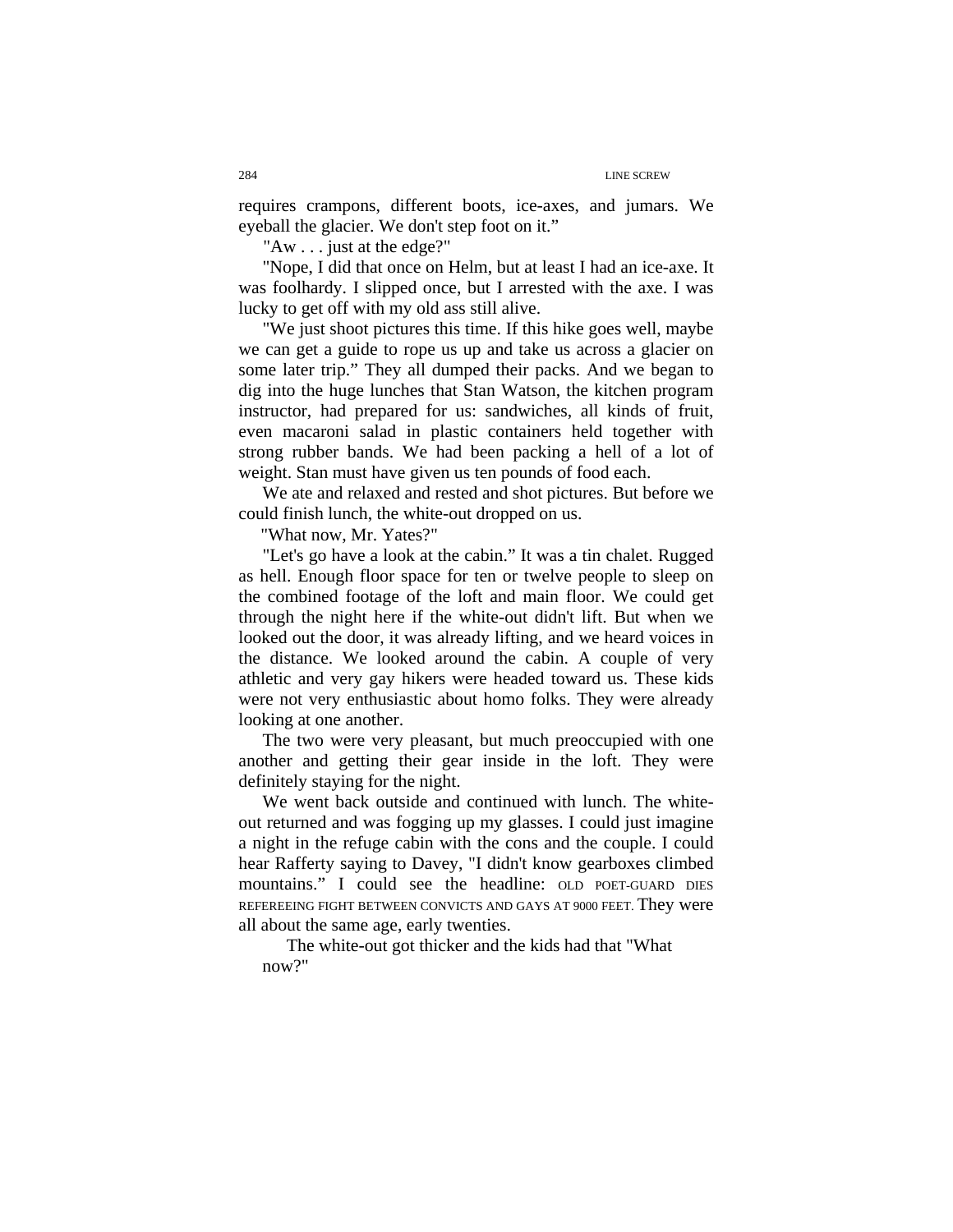requires crampons, different boots, ice-axes, and jumars. We eyeball the glacier. We don't step foot on it."

"Aw . . . just at the edge?"

"Nope, I did that once on Helm, but at least I had an ice-axe. It was foolhardy. I slipped once, but I arrested with the axe. I was lucky to get off with my old ass still alive.

"We just shoot pictures this time. If this hike goes well, maybe we can get a guide to rope us up and take us across a glacier on some later trip." They all dumped their packs. And we began to dig into the huge lunches that Stan Watson, the kitchen program instructor, had prepared for us: sandwiches, all kinds of fruit, even macaroni salad in plastic containers held together with strong rubber bands. We had been packing a hell of a lot of weight. Stan must have given us ten pounds of food each.

We ate and relaxed and rested and shot pictures. But before we could finish lunch, the white-out dropped on us.

"What now, Mr. Yates?"

"Let's go have a look at the cabin." It was a tin chalet. Rugged as hell. Enough floor space for ten or twelve people to sleep on the combined footage of the loft and main floor. We could get through the night here if the white-out didn't lift. But when we looked out the door, it was already lifting, and we heard voices in the distance. We looked around the cabin. A couple of very athletic and very gay hikers were headed toward us. These kids were not very enthusiastic about homo folks. They were already looking at one another.

The two were very pleasant, but much preoccupied with one another and getting their gear inside in the loft. They were definitely staying for the night.

We went back outside and continued with lunch. The whiteout returned and was fogging up my glasses. I could just imagine a night in the refuge cabin with the cons and the couple. I could hear Rafferty saying to Davey, "I didn't know gearboxes climbed mountains." I could see the headline: OLD POET-GUARD DIES REFEREEING FIGHT BETWEEN CONVICTS AND GAYS AT 9000 FEET. They were all about the same age, early twenties.

The white-out got thicker and the kids had that "What now?"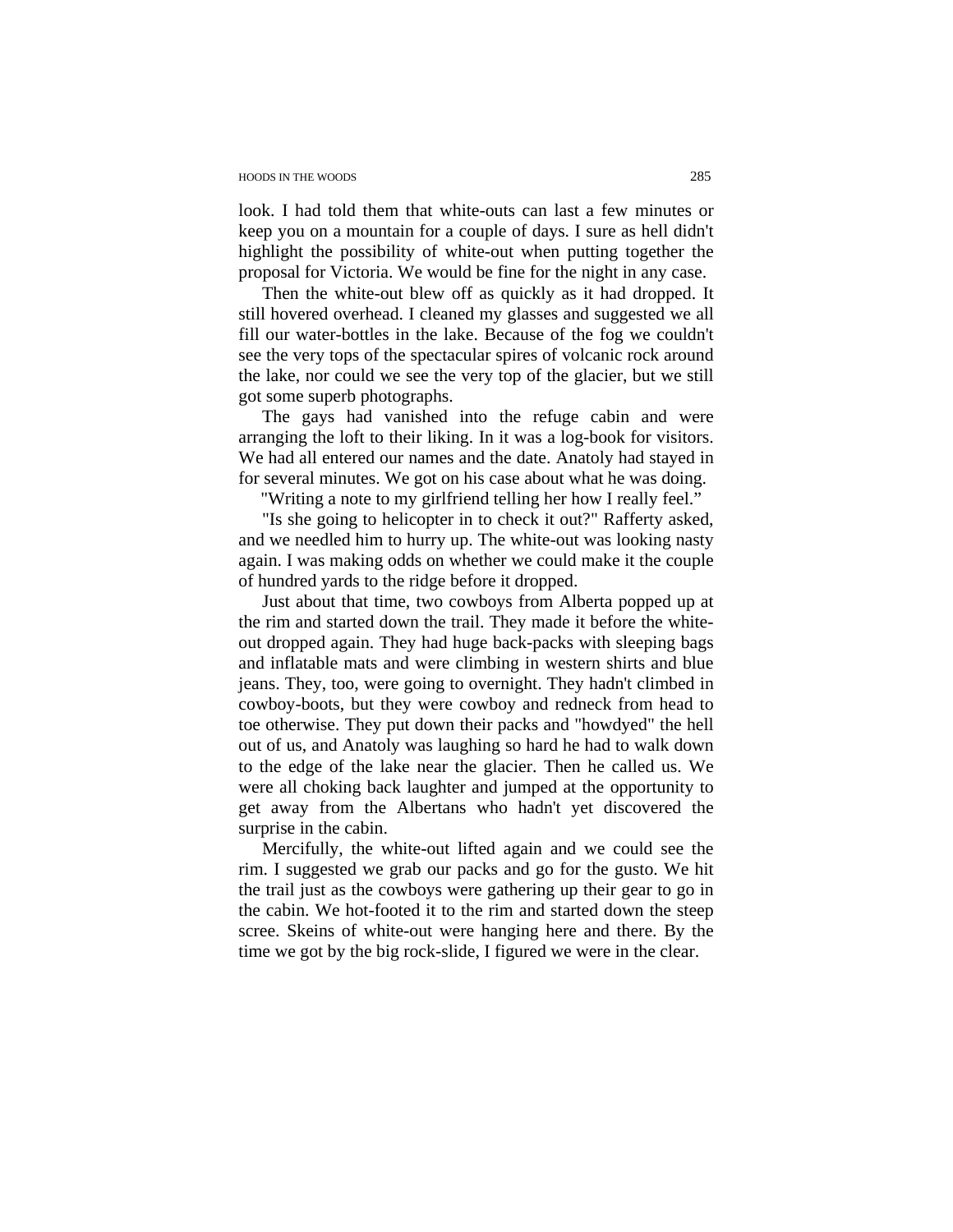## HOODS IN THE WOODS 285

look. I had told them that white-outs can last a few minutes or keep you on a mountain for a couple of days. I sure as hell didn't highlight the possibility of white-out when putting together the proposal for Victoria. We would be fine for the night in any case.

Then the white-out blew off as quickly as it had dropped. It still hovered overhead. I cleaned my glasses and suggested we all fill our water-bottles in the lake. Because of the fog we couldn't see the very tops of the spectacular spires of volcanic rock around the lake, nor could we see the very top of the glacier, but we still got some superb photographs.

The gays had vanished into the refuge cabin and were arranging the loft to their liking. In it was a log-book for visitors. We had all entered our names and the date. Anatoly had stayed in for several minutes. We got on his case about what he was doing.

"Writing a note to my girlfriend telling her how I really feel."

"Is she going to helicopter in to check it out?" Rafferty asked, and we needled him to hurry up. The white-out was looking nasty again. I was making odds on whether we could make it the couple of hundred yards to the ridge before it dropped.

Just about that time, two cowboys from Alberta popped up at the rim and started down the trail. They made it before the whiteout dropped again. They had huge back-packs with sleeping bags and inflatable mats and were climbing in western shirts and blue jeans. They, too, were going to overnight. They hadn't climbed in cowboy-boots, but they were cowboy and redneck from head to toe otherwise. They put down their packs and "howdyed" the hell out of us, and Anatoly was laughing so hard he had to walk down to the edge of the lake near the glacier. Then he called us. We were all choking back laughter and jumped at the opportunity to get away from the Albertans who hadn't yet discovered the surprise in the cabin.

Mercifully, the white-out lifted again and we could see the rim. I suggested we grab our packs and go for the gusto. We hit the trail just as the cowboys were gathering up their gear to go in the cabin. We hot-footed it to the rim and started down the steep scree. Skeins of white-out were hanging here and there. By the time we got by the big rock-slide, I figured we were in the clear.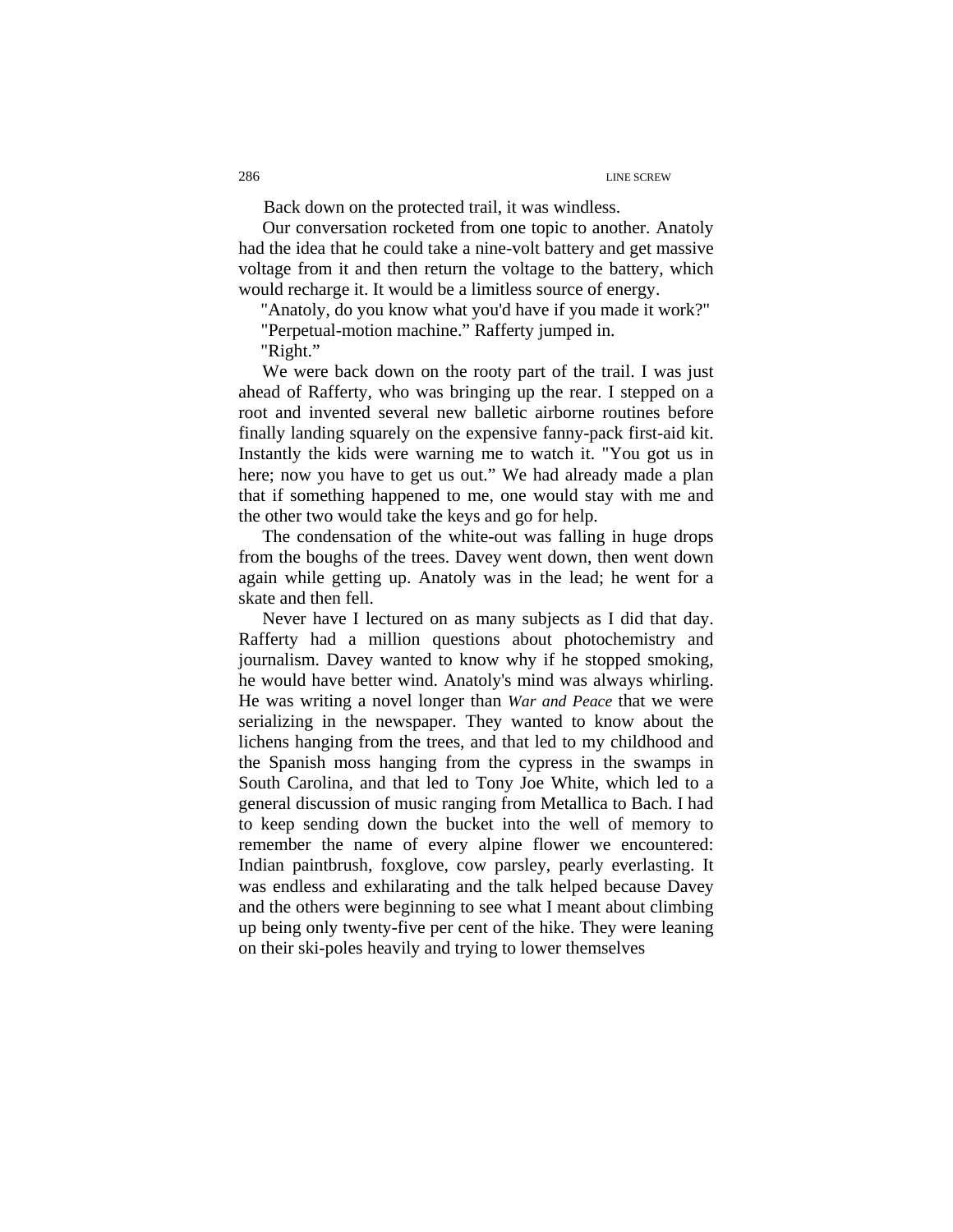Back down on the protected trail, it was windless.

Our conversation rocketed from one topic to another. Anatoly had the idea that he could take a nine-volt battery and get massive voltage from it and then return the voltage to the battery, which would recharge it. It would be a limitless source of energy.

"Anatoly, do you know what you'd have if you made it work?"

"Perpetual-motion machine." Rafferty jumped in.

"Right."

We were back down on the rooty part of the trail. I was just ahead of Rafferty, who was bringing up the rear. I stepped on a root and invented several new balletic airborne routines before finally landing squarely on the expensive fanny-pack first-aid kit. Instantly the kids were warning me to watch it. "You got us in here; now you have to get us out." We had already made a plan that if something happened to me, one would stay with me and the other two would take the keys and go for help.

The condensation of the white-out was falling in huge drops from the boughs of the trees. Davey went down, then went down again while getting up. Anatoly was in the lead; he went for a skate and then fell.

Never have I lectured on as many subjects as I did that day. Rafferty had a million questions about photochemistry and journalism. Davey wanted to know why if he stopped smoking, he would have better wind. Anatoly's mind was always whirling. He was writing a novel longer than *War and Peace* that we were serializing in the newspaper. They wanted to know about the lichens hanging from the trees, and that led to my childhood and the Spanish moss hanging from the cypress in the swamps in South Carolina, and that led to Tony Joe White, which led to a general discussion of music ranging from Metallica to Bach. I had to keep sending down the bucket into the well of memory to remember the name of every alpine flower we encountered: Indian paintbrush, foxglove, cow parsley, pearly everlasting. It was endless and exhilarating and the talk helped because Davey and the others were beginning to see what I meant about climbing up being only twenty-five per cent of the hike. They were leaning on their ski-poles heavily and trying to lower themselves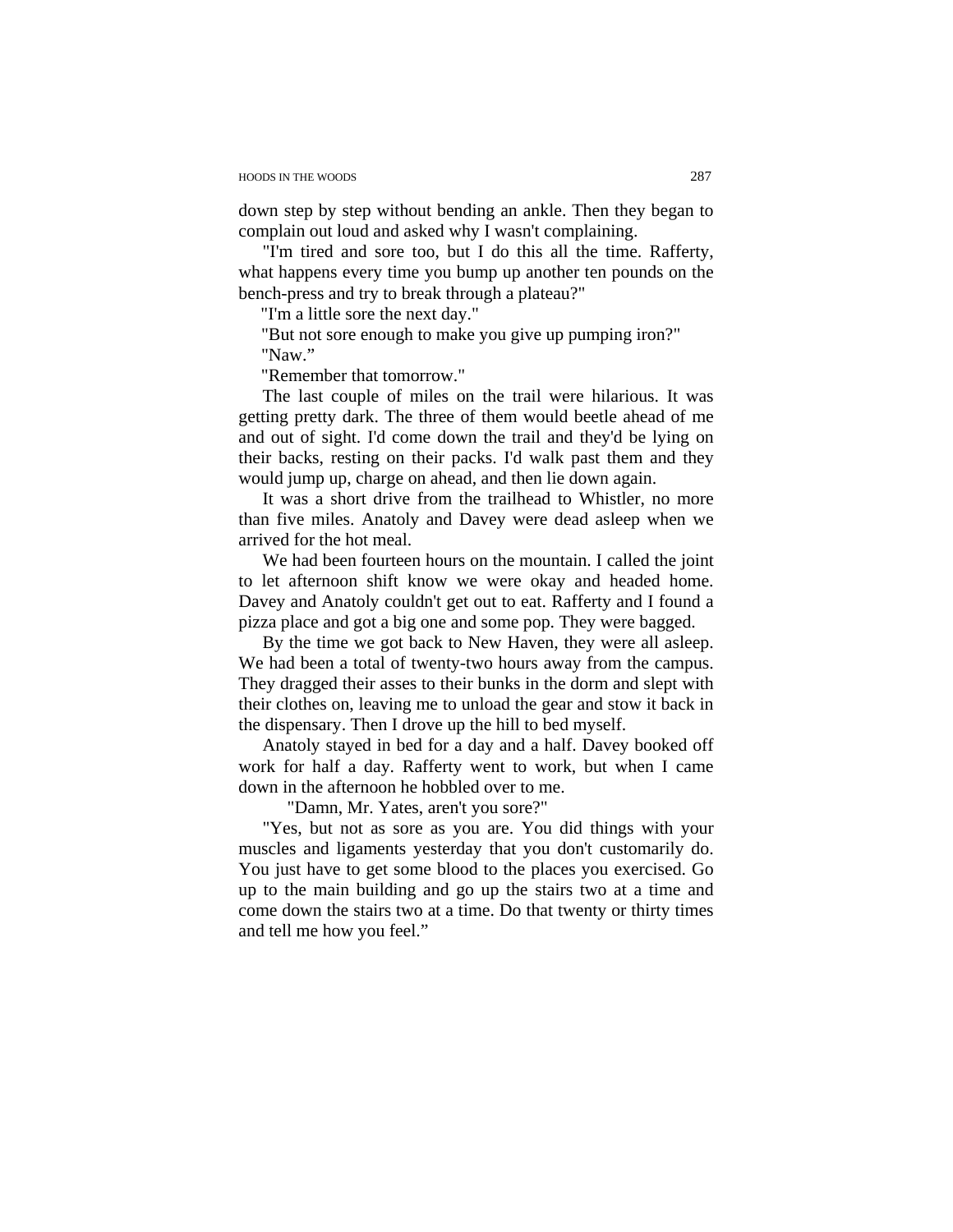down step by step without bending an ankle. Then they began to complain out loud and asked why I wasn't complaining.

"I'm tired and sore too, but I do this all the time. Rafferty, what happens every time you bump up another ten pounds on the bench-press and try to break through a plateau?"

"I'm a little sore the next day."

"But not sore enough to make you give up pumping iron?" "Naw."

"Remember that tomorrow."

The last couple of miles on the trail were hilarious. It was getting pretty dark. The three of them would beetle ahead of me and out of sight. I'd come down the trail and they'd be lying on their backs, resting on their packs. I'd walk past them and they would jump up, charge on ahead, and then lie down again.

It was a short drive from the trailhead to Whistler, no more than five miles. Anatoly and Davey were dead asleep when we arrived for the hot meal.

We had been fourteen hours on the mountain. I called the joint to let afternoon shift know we were okay and headed home. Davey and Anatoly couldn't get out to eat. Rafferty and I found a pizza place and got a big one and some pop. They were bagged.

By the time we got back to New Haven, they were all asleep. We had been a total of twenty-two hours away from the campus. They dragged their asses to their bunks in the dorm and slept with their clothes on, leaving me to unload the gear and stow it back in the dispensary. Then I drove up the hill to bed myself.

Anatoly stayed in bed for a day and a half. Davey booked off work for half a day. Rafferty went to work, but when I came down in the afternoon he hobbled over to me.

"Damn, Mr. Yates, aren't you sore?"

"Yes, but not as sore as you are. You did things with your muscles and ligaments yesterday that you don't customarily do. You just have to get some blood to the places you exercised. Go up to the main building and go up the stairs two at a time and come down the stairs two at a time. Do that twenty or thirty times and tell me how you feel."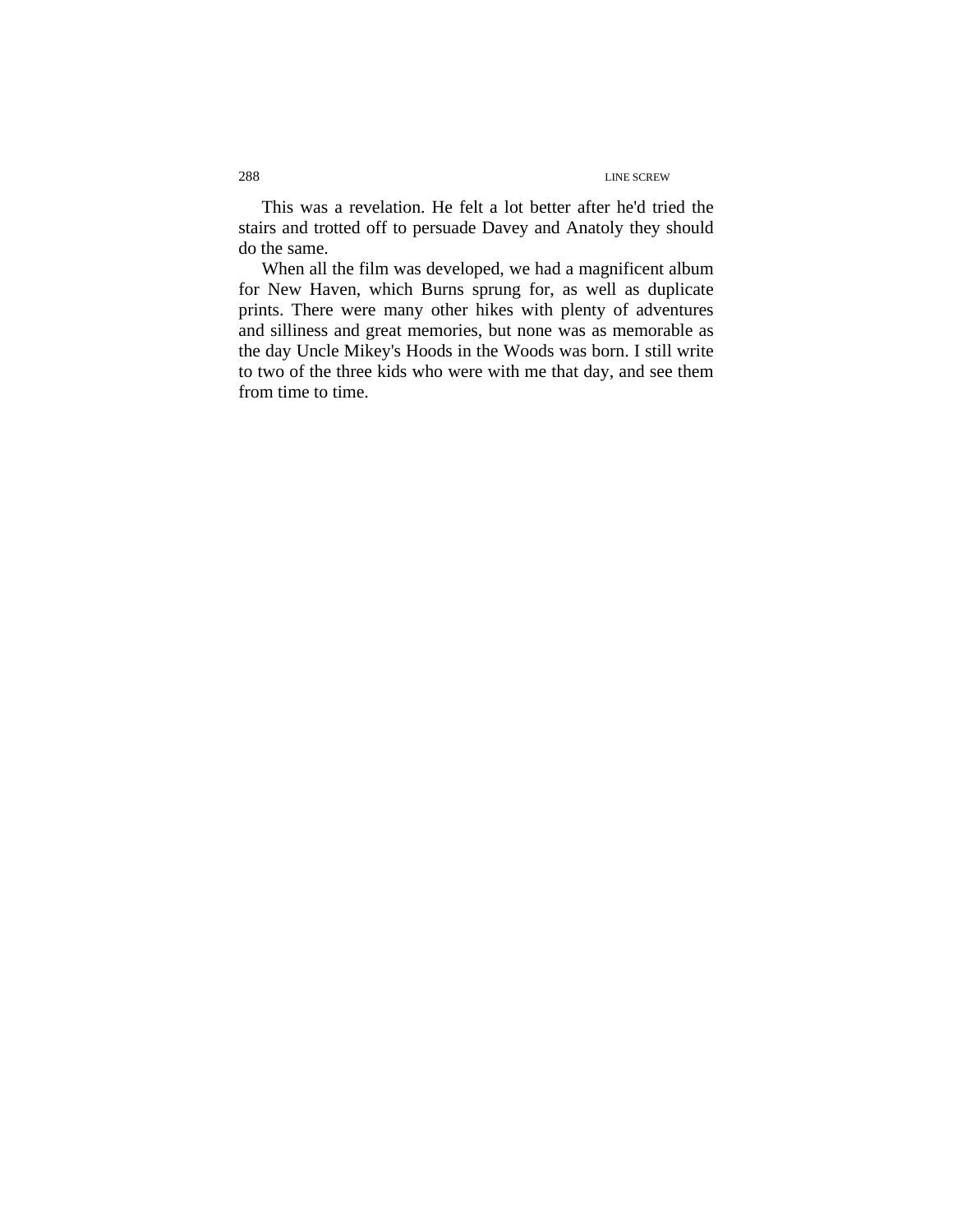This was a revelation. He felt a lot better after he'd tried the stairs and trotted off to persuade Davey and Anatoly they should do the same.

When all the film was developed, we had a magnificent album for New Haven, which Burns sprung for, as well as duplicate prints. There were many other hikes with plenty of adventures and silliness and great memories, but none was as memorable as the day Uncle Mikey's Hoods in the Woods was born. I still write to two of the three kids who were with me that day, and see them from time to time.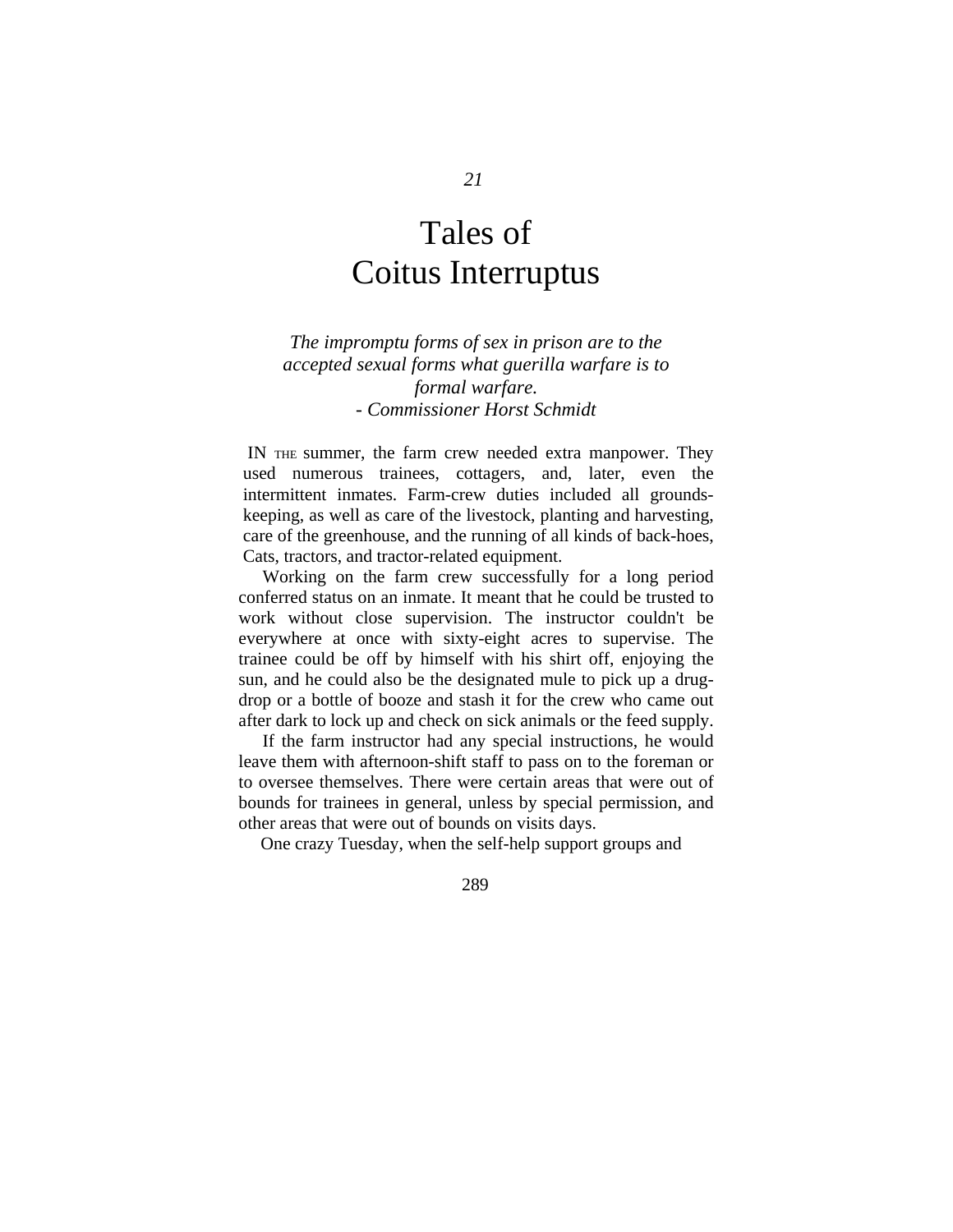# Tales of Coitus Interruptus

*The impromptu forms of sex in prison are to the accepted sexual forms what guerilla warfare is to formal warfare. - Commissioner Horst Schmidt* 

 IN THE summer, the farm crew needed extra manpower. They used numerous trainees, cottagers, and, later, even the intermittent inmates. Farm-crew duties included all groundskeeping, as well as care of the livestock, planting and harvesting, care of the greenhouse, and the running of all kinds of back-hoes, Cats, tractors, and tractor-related equipment.

Working on the farm crew successfully for a long period conferred status on an inmate. It meant that he could be trusted to work without close supervision. The instructor couldn't be everywhere at once with sixty-eight acres to supervise. The trainee could be off by himself with his shirt off, enjoying the sun, and he could also be the designated mule to pick up a drugdrop or a bottle of booze and stash it for the crew who came out after dark to lock up and check on sick animals or the feed supply.

If the farm instructor had any special instructions, he would leave them with afternoon-shift staff to pass on to the foreman or to oversee themselves. There were certain areas that were out of bounds for trainees in general, unless by special permission, and other areas that were out of bounds on visits days.

One crazy Tuesday, when the self-help support groups and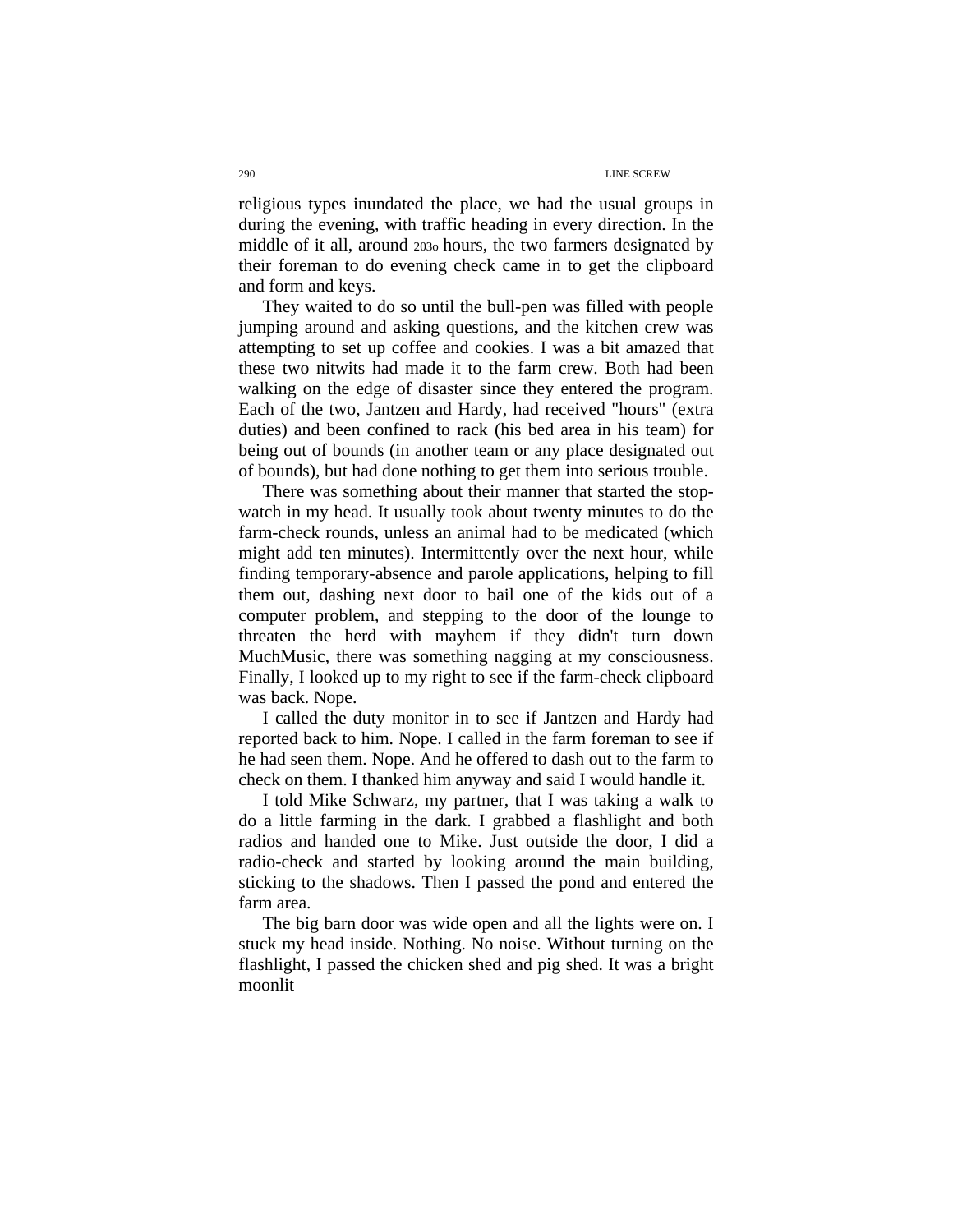religious types inundated the place, we had the usual groups in during the evening, with traffic heading in every direction. In the middle of it all, around 203o hours, the two farmers designated by their foreman to do evening check came in to get the clipboard and form and keys.

They waited to do so until the bull-pen was filled with people jumping around and asking questions, and the kitchen crew was attempting to set up coffee and cookies. I was a bit amazed that these two nitwits had made it to the farm crew. Both had been walking on the edge of disaster since they entered the program. Each of the two, Jantzen and Hardy, had received "hours" (extra duties) and been confined to rack (his bed area in his team) for being out of bounds (in another team or any place designated out of bounds), but had done nothing to get them into serious trouble.

There was something about their manner that started the stopwatch in my head. It usually took about twenty minutes to do the farm-check rounds, unless an animal had to be medicated (which might add ten minutes). Intermittently over the next hour, while finding temporary-absence and parole applications, helping to fill them out, dashing next door to bail one of the kids out of a computer problem, and stepping to the door of the lounge to threaten the herd with mayhem if they didn't turn down MuchMusic, there was something nagging at my consciousness. Finally, I looked up to my right to see if the farm-check clipboard was back. Nope.

I called the duty monitor in to see if Jantzen and Hardy had reported back to him. Nope. I called in the farm foreman to see if he had seen them. Nope. And he offered to dash out to the farm to check on them. I thanked him anyway and said I would handle it.

I told Mike Schwarz, my partner, that I was taking a walk to do a little farming in the dark. I grabbed a flashlight and both radios and handed one to Mike. Just outside the door, I did a radio-check and started by looking around the main building, sticking to the shadows. Then I passed the pond and entered the farm area.

The big barn door was wide open and all the lights were on. I stuck my head inside. Nothing. No noise. Without turning on the flashlight, I passed the chicken shed and pig shed. It was a bright moonlit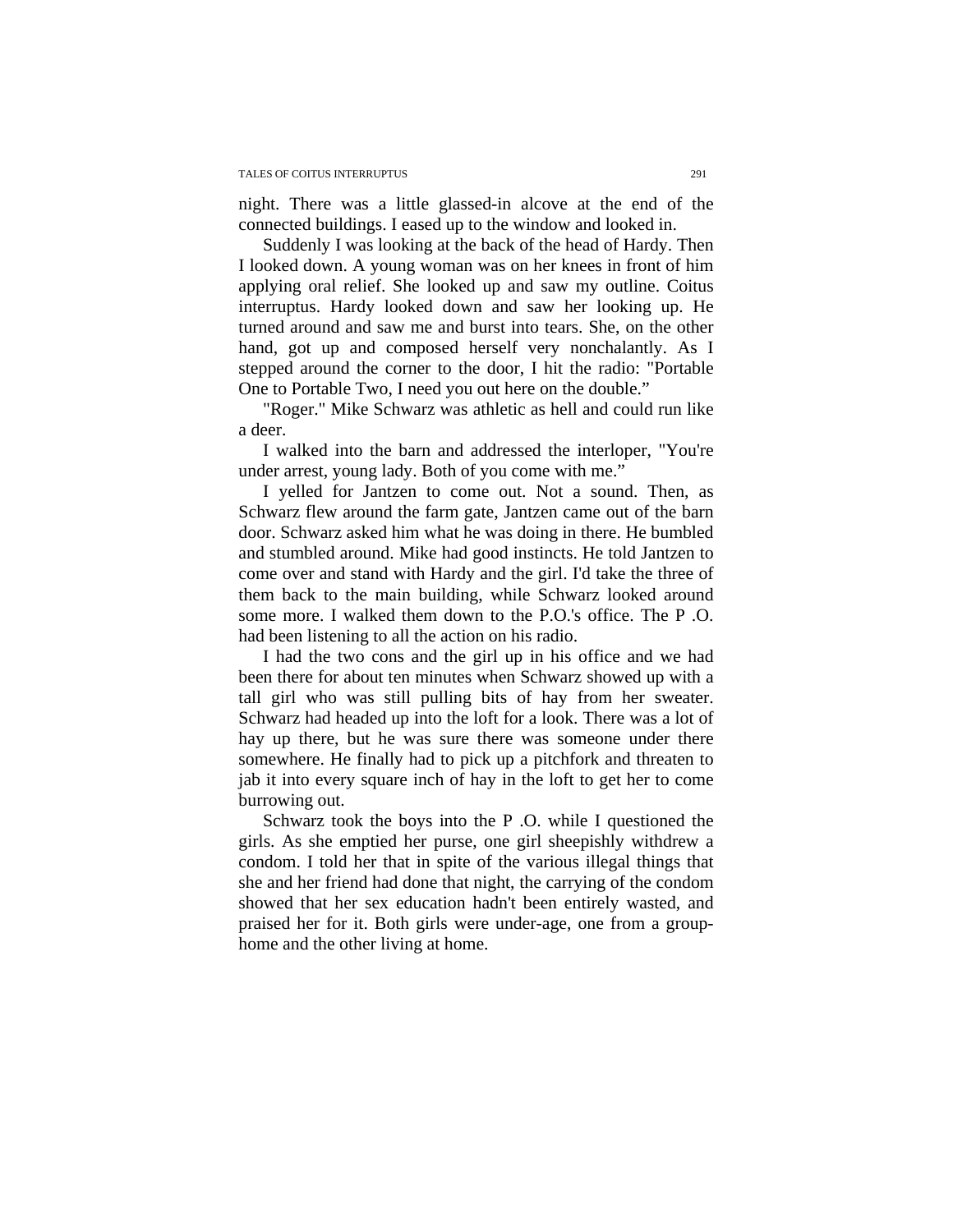night. There was a little glassed-in alcove at the end of the connected buildings. I eased up to the window and looked in.

Suddenly I was looking at the back of the head of Hardy. Then I looked down. A young woman was on her knees in front of him applying oral relief. She looked up and saw my outline. Coitus interruptus. Hardy looked down and saw her looking up. He turned around and saw me and burst into tears. She, on the other hand, got up and composed herself very nonchalantly. As I stepped around the corner to the door, I hit the radio: "Portable One to Portable Two, I need you out here on the double."

"Roger." Mike Schwarz was athletic as hell and could run like a deer.

I walked into the barn and addressed the interloper, "You're under arrest, young lady. Both of you come with me."

 I yelled for Jantzen to come out. Not a sound. Then, as Schwarz flew around the farm gate, Jantzen came out of the barn door. Schwarz asked him what he was doing in there. He bumbled and stumbled around. Mike had good instincts. He told Jantzen to come over and stand with Hardy and the girl. I'd take the three of them back to the main building, while Schwarz looked around some more. I walked them down to the P.O.'s office. The P .O. had been listening to all the action on his radio.

I had the two cons and the girl up in his office and we had been there for about ten minutes when Schwarz showed up with a tall girl who was still pulling bits of hay from her sweater. Schwarz had headed up into the loft for a look. There was a lot of hay up there, but he was sure there was someone under there somewhere. He finally had to pick up a pitchfork and threaten to jab it into every square inch of hay in the loft to get her to come burrowing out.

 Schwarz took the boys into the P .O. while I questioned the girls. As she emptied her purse, one girl sheepishly withdrew a condom. I told her that in spite of the various illegal things that she and her friend had done that night, the carrying of the condom showed that her sex education hadn't been entirely wasted, and praised her for it. Both girls were under-age, one from a grouphome and the other living at home.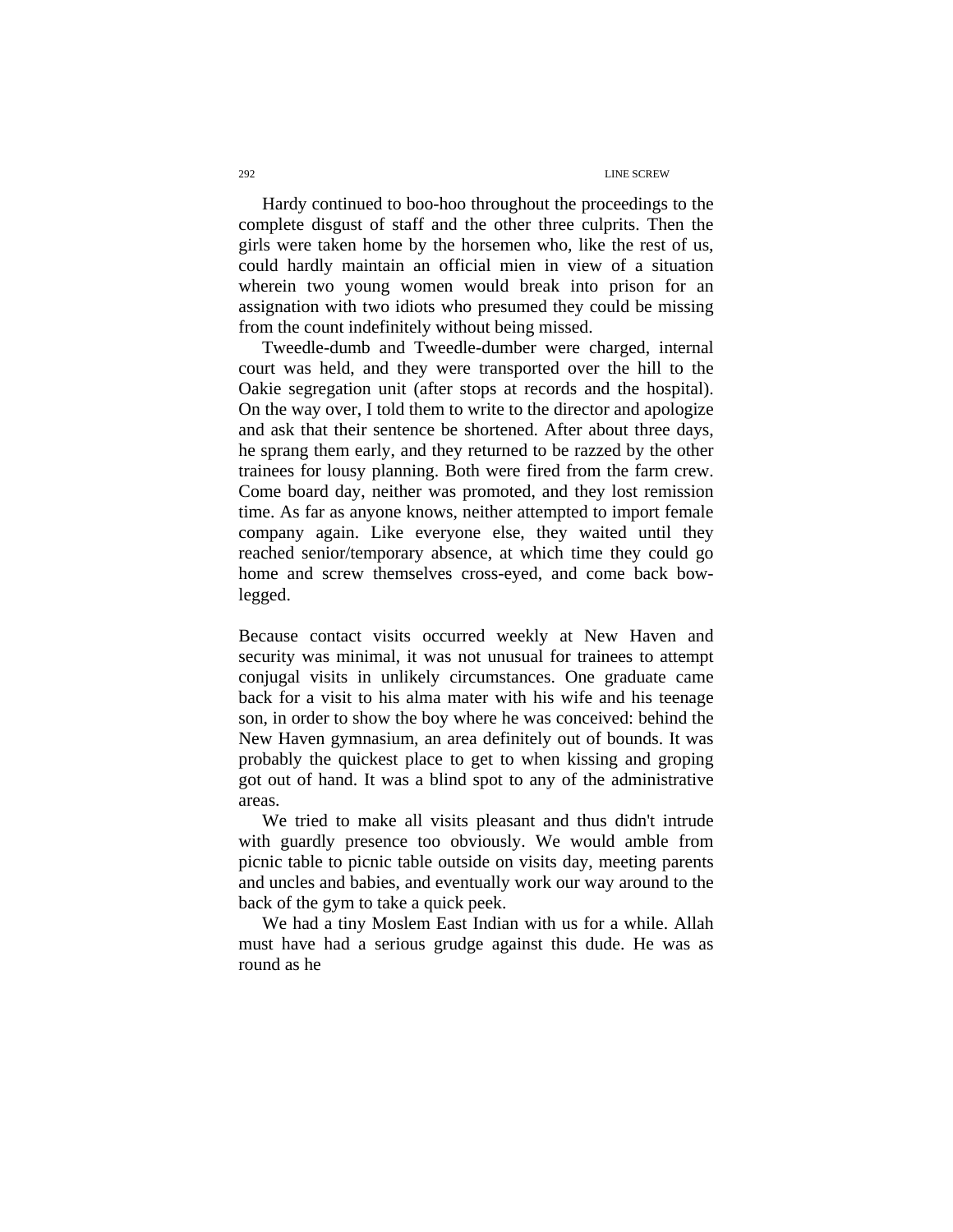Hardy continued to boo-hoo throughout the proceedings to the complete disgust of staff and the other three culprits. Then the girls were taken home by the horsemen who, like the rest of us, could hardly maintain an official mien in view of a situation wherein two young women would break into prison for an assignation with two idiots who presumed they could be missing from the count indefinitely without being missed.

Tweedle-dumb and Tweedle-dumber were charged, internal court was held, and they were transported over the hill to the Oakie segregation unit (after stops at records and the hospital). On the way over, I told them to write to the director and apologize and ask that their sentence be shortened. After about three days, he sprang them early, and they returned to be razzed by the other trainees for lousy planning. Both were fired from the farm crew. Come board day, neither was promoted, and they lost remission time. As far as anyone knows, neither attempted to import female company again. Like everyone else, they waited until they reached senior/temporary absence, at which time they could go home and screw themselves cross-eyed, and come back bowlegged.

Because contact visits occurred weekly at New Haven and security was minimal, it was not unusual for trainees to attempt conjugal visits in unlikely circumstances. One graduate came back for a visit to his alma mater with his wife and his teenage son, in order to show the boy where he was conceived: behind the New Haven gymnasium, an area definitely out of bounds. It was probably the quickest place to get to when kissing and groping got out of hand. It was a blind spot to any of the administrative areas.

We tried to make all visits pleasant and thus didn't intrude with guardly presence too obviously. We would amble from picnic table to picnic table outside on visits day, meeting parents and uncles and babies, and eventually work our way around to the back of the gym to take a quick peek.

We had a tiny Moslem East Indian with us for a while. Allah must have had a serious grudge against this dude. He was as round as he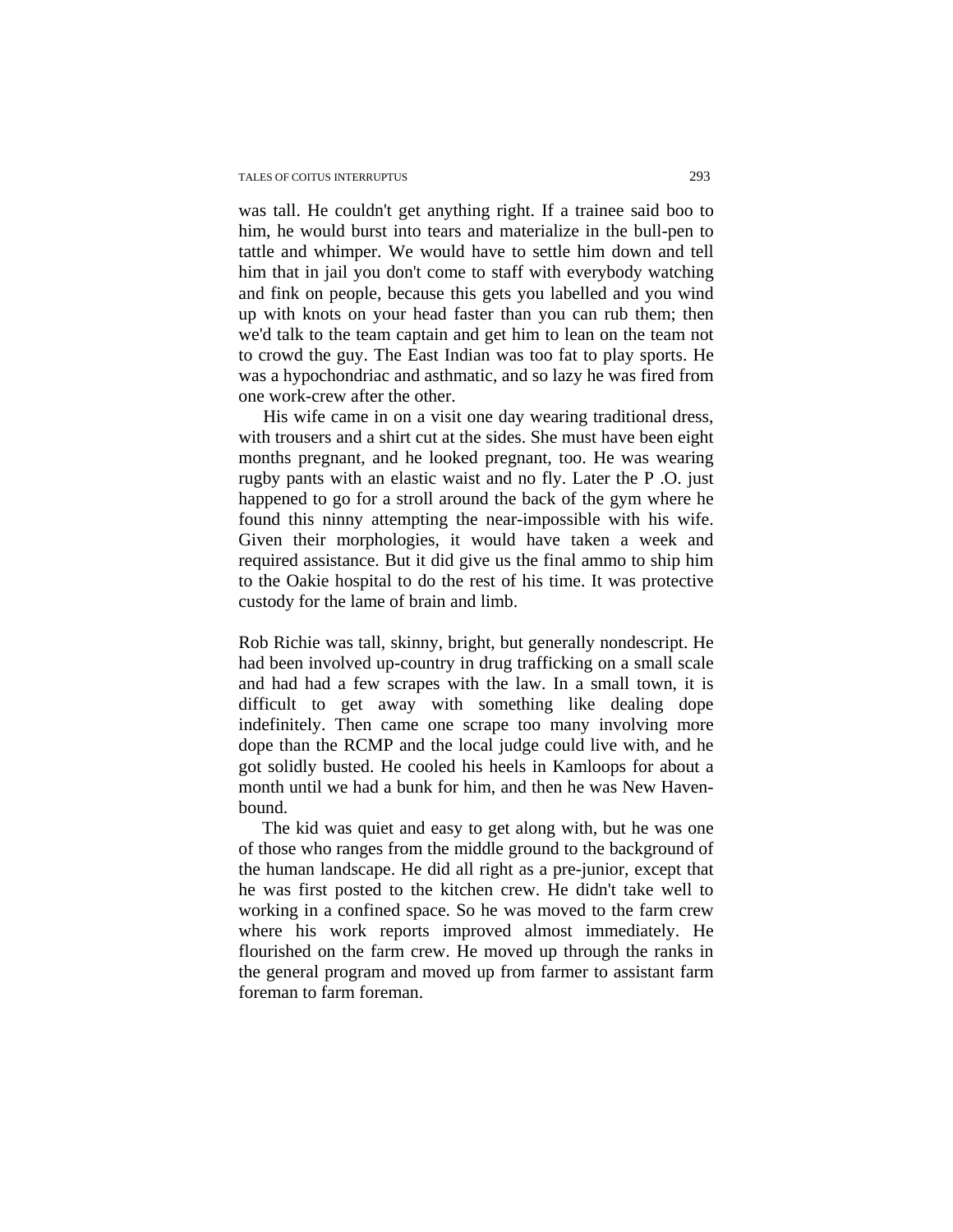was tall. He couldn't get anything right. If a trainee said boo to him, he would burst into tears and materialize in the bull-pen to tattle and whimper. We would have to settle him down and tell him that in jail you don't come to staff with everybody watching and fink on people, because this gets you labelled and you wind up with knots on your head faster than you can rub them; then we'd talk to the team captain and get him to lean on the team not to crowd the guy. The East Indian was too fat to play sports. He was a hypochondriac and asthmatic, and so lazy he was fired from one work-crew after the other.

 His wife came in on a visit one day wearing traditional dress, with trousers and a shirt cut at the sides. She must have been eight months pregnant, and he looked pregnant, too. He was wearing rugby pants with an elastic waist and no fly. Later the P .O. just happened to go for a stroll around the back of the gym where he found this ninny attempting the near-impossible with his wife. Given their morphologies, it would have taken a week and required assistance. But it did give us the final ammo to ship him to the Oakie hospital to do the rest of his time. It was protective custody for the lame of brain and limb.

Rob Richie was tall, skinny, bright, but generally nondescript. He had been involved up-country in drug trafficking on a small scale and had had a few scrapes with the law. In a small town, it is difficult to get away with something like dealing dope indefinitely. Then came one scrape too many involving more dope than the RCMP and the local judge could live with, and he got solidly busted. He cooled his heels in Kamloops for about a month until we had a bunk for him, and then he was New Havenbound.

The kid was quiet and easy to get along with, but he was one of those who ranges from the middle ground to the background of the human landscape. He did all right as a pre-junior, except that he was first posted to the kitchen crew. He didn't take well to working in a confined space. So he was moved to the farm crew where his work reports improved almost immediately. He flourished on the farm crew. He moved up through the ranks in the general program and moved up from farmer to assistant farm foreman to farm foreman.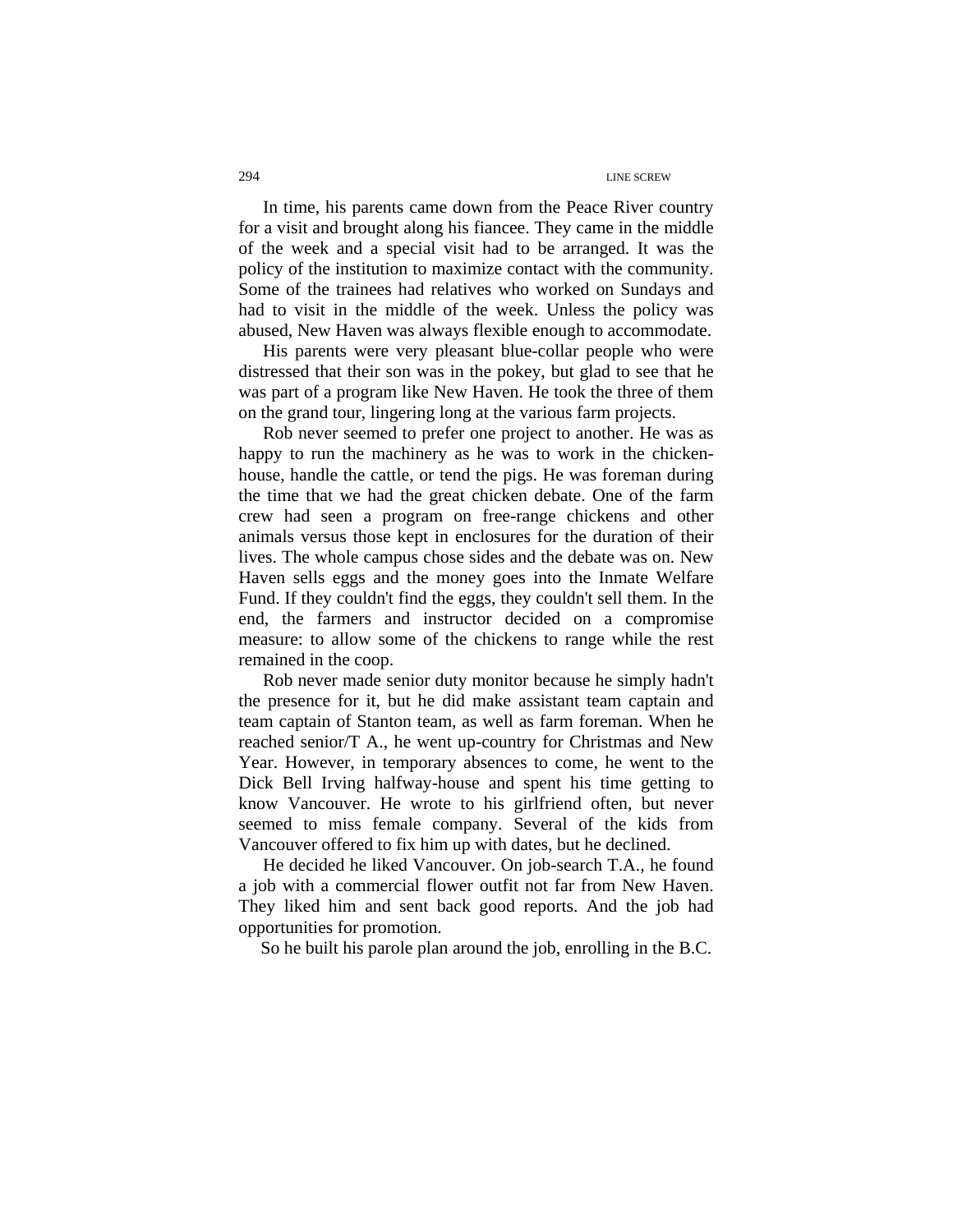In time, his parents came down from the Peace River country for a visit and brought along his fiancee. They came in the middle of the week and a special visit had to be arranged. It was the policy of the institution to maximize contact with the community. Some of the trainees had relatives who worked on Sundays and had to visit in the middle of the week. Unless the policy was abused, New Haven was always flexible enough to accommodate.

His parents were very pleasant blue-collar people who were distressed that their son was in the pokey, but glad to see that he was part of a program like New Haven. He took the three of them on the grand tour, lingering long at the various farm projects.

Rob never seemed to prefer one project to another. He was as happy to run the machinery as he was to work in the chickenhouse, handle the cattle, or tend the pigs. He was foreman during the time that we had the great chicken debate. One of the farm crew had seen a program on free-range chickens and other animals versus those kept in enclosures for the duration of their lives. The whole campus chose sides and the debate was on. New Haven sells eggs and the money goes into the Inmate Welfare Fund. If they couldn't find the eggs, they couldn't sell them. In the end, the farmers and instructor decided on a compromise measure: to allow some of the chickens to range while the rest remained in the coop.

Rob never made senior duty monitor because he simply hadn't the presence for it, but he did make assistant team captain and team captain of Stanton team, as well as farm foreman. When he reached senior/T A., he went up-country for Christmas and New Year. However, in temporary absences to come, he went to the Dick Bell Irving halfway-house and spent his time getting to know Vancouver. He wrote to his girlfriend often, but never seemed to miss female company. Several of the kids from Vancouver offered to fix him up with dates, but he declined.

He decided he liked Vancouver. On job-search T.A., he found a job with a commercial flower outfit not far from New Haven. They liked him and sent back good reports. And the job had opportunities for promotion.

So he built his parole plan around the job, enrolling in the B.C.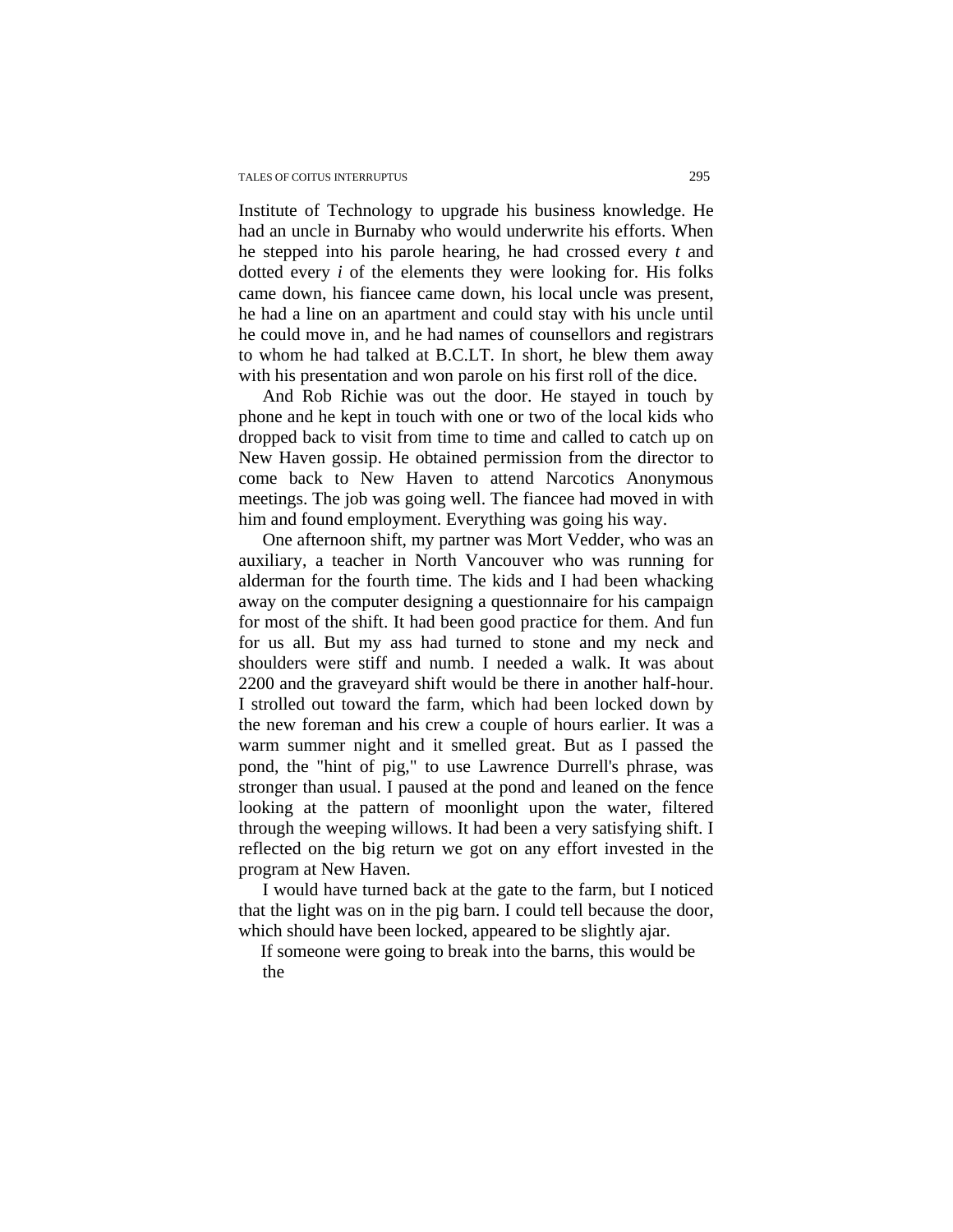Institute of Technology to upgrade his business knowledge. He had an uncle in Burnaby who would underwrite his efforts. When he stepped into his parole hearing, he had crossed every *t* and dotted every *i* of the elements they were looking for. His folks came down, his fiancee came down, his local uncle was present, he had a line on an apartment and could stay with his uncle until he could move in, and he had names of counsellors and registrars to whom he had talked at B.C.LT. In short, he blew them away with his presentation and won parole on his first roll of the dice.

And Rob Richie was out the door. He stayed in touch by phone and he kept in touch with one or two of the local kids who dropped back to visit from time to time and called to catch up on New Haven gossip. He obtained permission from the director to come back to New Haven to attend Narcotics Anonymous meetings. The job was going well. The fiancee had moved in with him and found employment. Everything was going his way.

One afternoon shift, my partner was Mort Vedder, who was an auxiliary, a teacher in North Vancouver who was running for alderman for the fourth time. The kids and I had been whacking away on the computer designing a questionnaire for his campaign for most of the shift. It had been good practice for them. And fun for us all. But my ass had turned to stone and my neck and shoulders were stiff and numb. I needed a walk. It was about 2200 and the graveyard shift would be there in another half-hour. I strolled out toward the farm, which had been locked down by the new foreman and his crew a couple of hours earlier. It was a warm summer night and it smelled great. But as I passed the pond, the "hint of pig," to use Lawrence Durrell's phrase, was stronger than usual. I paused at the pond and leaned on the fence looking at the pattern of moonlight upon the water, filtered through the weeping willows. It had been a very satisfying shift. I reflected on the big return we got on any effort invested in the program at New Haven.

I would have turned back at the gate to the farm, but I noticed that the light was on in the pig barn. I could tell because the door, which should have been locked, appeared to be slightly ajar.

If someone were going to break into the barns, this would be the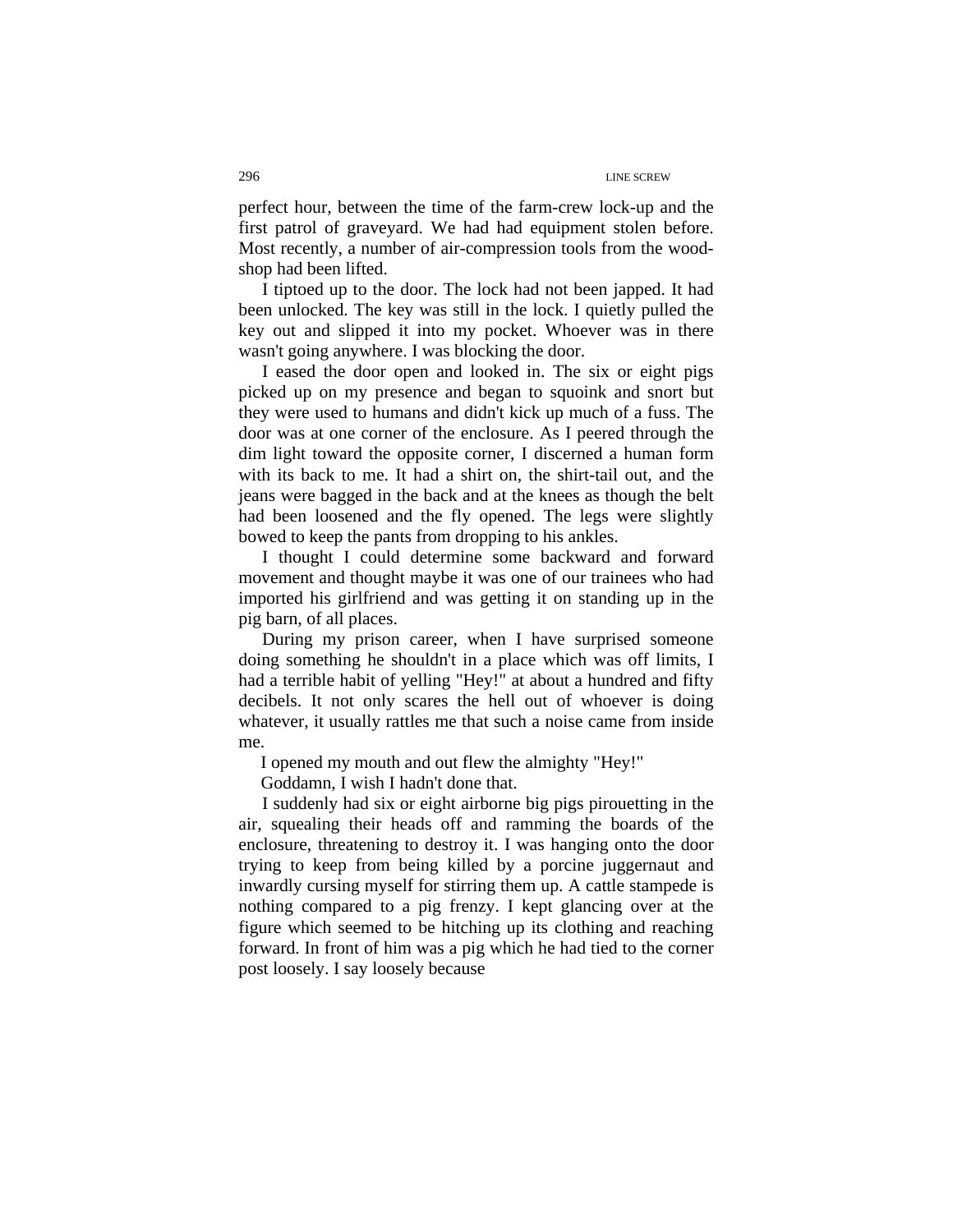perfect hour, between the time of the farm-crew lock-up and the first patrol of graveyard. We had had equipment stolen before. Most recently, a number of air-compression tools from the woodshop had been lifted.

I tiptoed up to the door. The lock had not been japped. It had been unlocked. The key was still in the lock. I quietly pulled the key out and slipped it into my pocket. Whoever was in there wasn't going anywhere. I was blocking the door.

I eased the door open and looked in. The six or eight pigs picked up on my presence and began to squoink and snort but they were used to humans and didn't kick up much of a fuss. The door was at one corner of the enclosure. As I peered through the dim light toward the opposite corner, I discerned a human form with its back to me. It had a shirt on, the shirt-tail out, and the jeans were bagged in the back and at the knees as though the belt had been loosened and the fly opened. The legs were slightly bowed to keep the pants from dropping to his ankles.

I thought I could determine some backward and forward movement and thought maybe it was one of our trainees who had imported his girlfriend and was getting it on standing up in the pig barn, of all places.

During my prison career, when I have surprised someone doing something he shouldn't in a place which was off limits, I had a terrible habit of yelling "Hey!" at about a hundred and fifty decibels. It not only scares the hell out of whoever is doing whatever, it usually rattles me that such a noise came from inside me.

I opened my mouth and out flew the almighty "Hey!"

Goddamn, I wish I hadn't done that.

I suddenly had six or eight airborne big pigs pirouetting in the air, squealing their heads off and ramming the boards of the enclosure, threatening to destroy it. I was hanging onto the door trying to keep from being killed by a porcine juggernaut and inwardly cursing myself for stirring them up. A cattle stampede is nothing compared to a pig frenzy. I kept glancing over at the figure which seemed to be hitching up its clothing and reaching forward. In front of him was a pig which he had tied to the corner post loosely. I say loosely because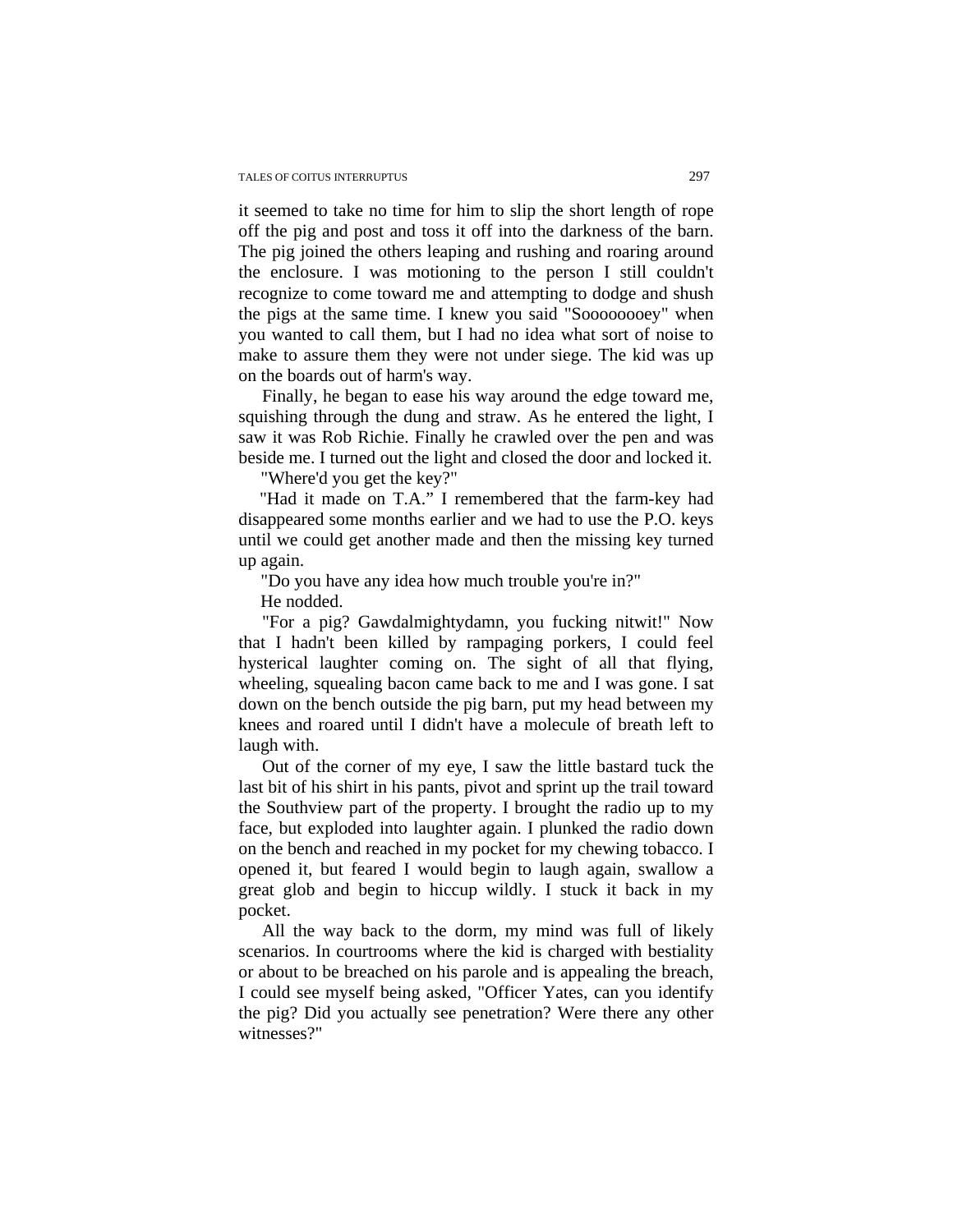it seemed to take no time for him to slip the short length of rope off the pig and post and toss it off into the darkness of the barn. The pig joined the others leaping and rushing and roaring around the enclosure. I was motioning to the person I still couldn't recognize to come toward me and attempting to dodge and shush the pigs at the same time. I knew you said "Soooooooey" when you wanted to call them, but I had no idea what sort of noise to make to assure them they were not under siege. The kid was up on the boards out of harm's way.

Finally, he began to ease his way around the edge toward me, squishing through the dung and straw. As he entered the light, I saw it was Rob Richie. Finally he crawled over the pen and was beside me. I turned out the light and closed the door and locked it.

"Where'd you get the key?"

"Had it made on T.A." I remembered that the farm-key had disappeared some months earlier and we had to use the P.O. keys until we could get another made and then the missing key turned up again.

"Do you have any idea how much trouble you're in?"

He nodded.

"For a pig? Gawdalmightydamn, you fucking nitwit!" Now that I hadn't been killed by rampaging porkers, I could feel hysterical laughter coming on. The sight of all that flying, wheeling, squealing bacon came back to me and I was gone. I sat down on the bench outside the pig barn, put my head between my knees and roared until I didn't have a molecule of breath left to laugh with.

Out of the corner of my eye, I saw the little bastard tuck the last bit of his shirt in his pants, pivot and sprint up the trail toward the Southview part of the property. I brought the radio up to my face, but exploded into laughter again. I plunked the radio down on the bench and reached in my pocket for my chewing tobacco. I opened it, but feared I would begin to laugh again, swallow a great glob and begin to hiccup wildly. I stuck it back in my pocket.

All the way back to the dorm, my mind was full of likely scenarios. In courtrooms where the kid is charged with bestiality or about to be breached on his parole and is appealing the breach, I could see myself being asked, "Officer Yates, can you identify the pig? Did you actually see penetration? Were there any other witnesses?"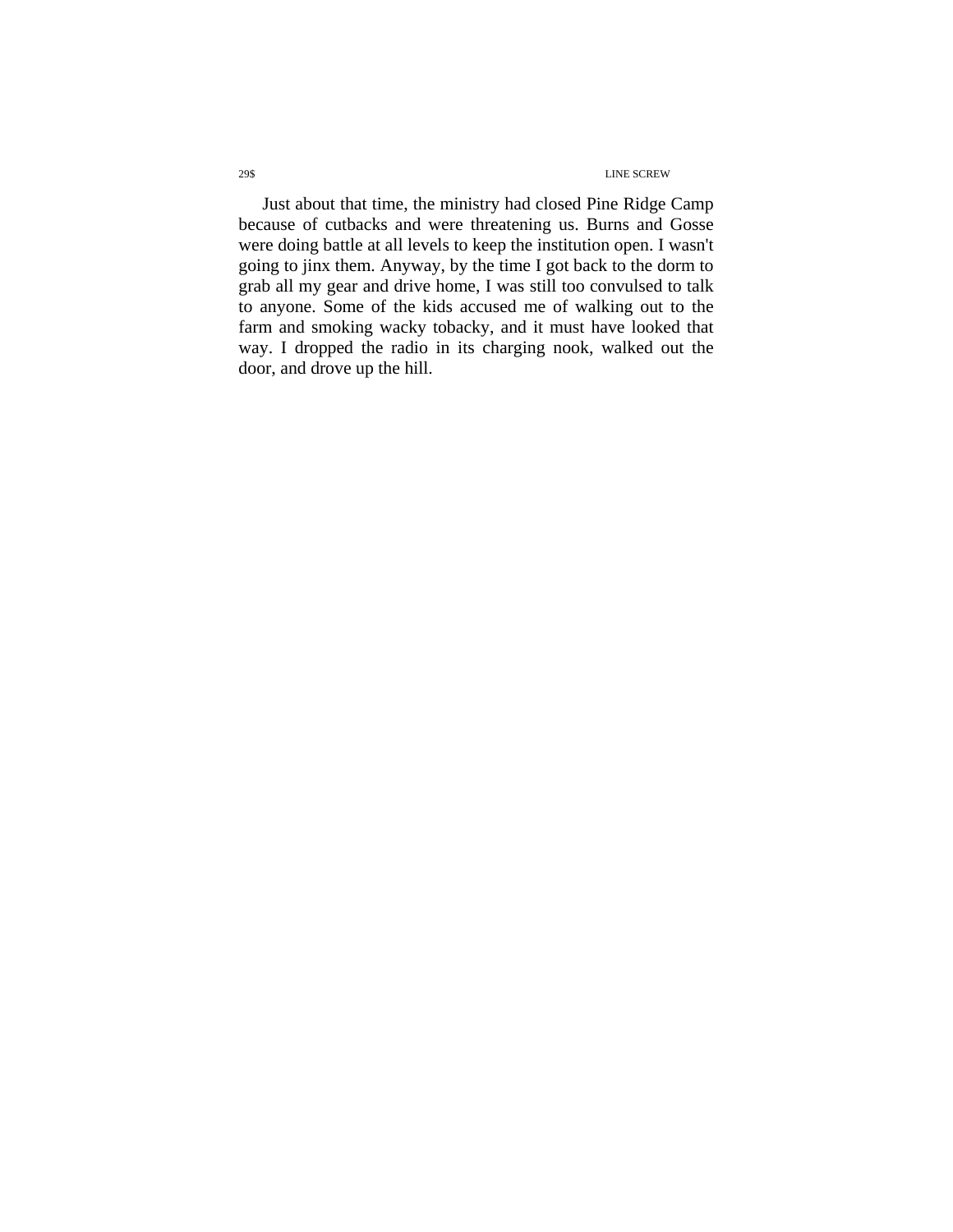Just about that time, the ministry had closed Pine Ridge Camp because of cutbacks and were threatening us. Burns and Gosse were doing battle at all levels to keep the institution open. I wasn't going to jinx them. Anyway, by the time I got back to the dorm to grab all my gear and drive home, I was still too convulsed to talk to anyone. Some of the kids accused me of walking out to the farm and smoking wacky tobacky, and it must have looked that way. I dropped the radio in its charging nook, walked out the door, and drove up the hill.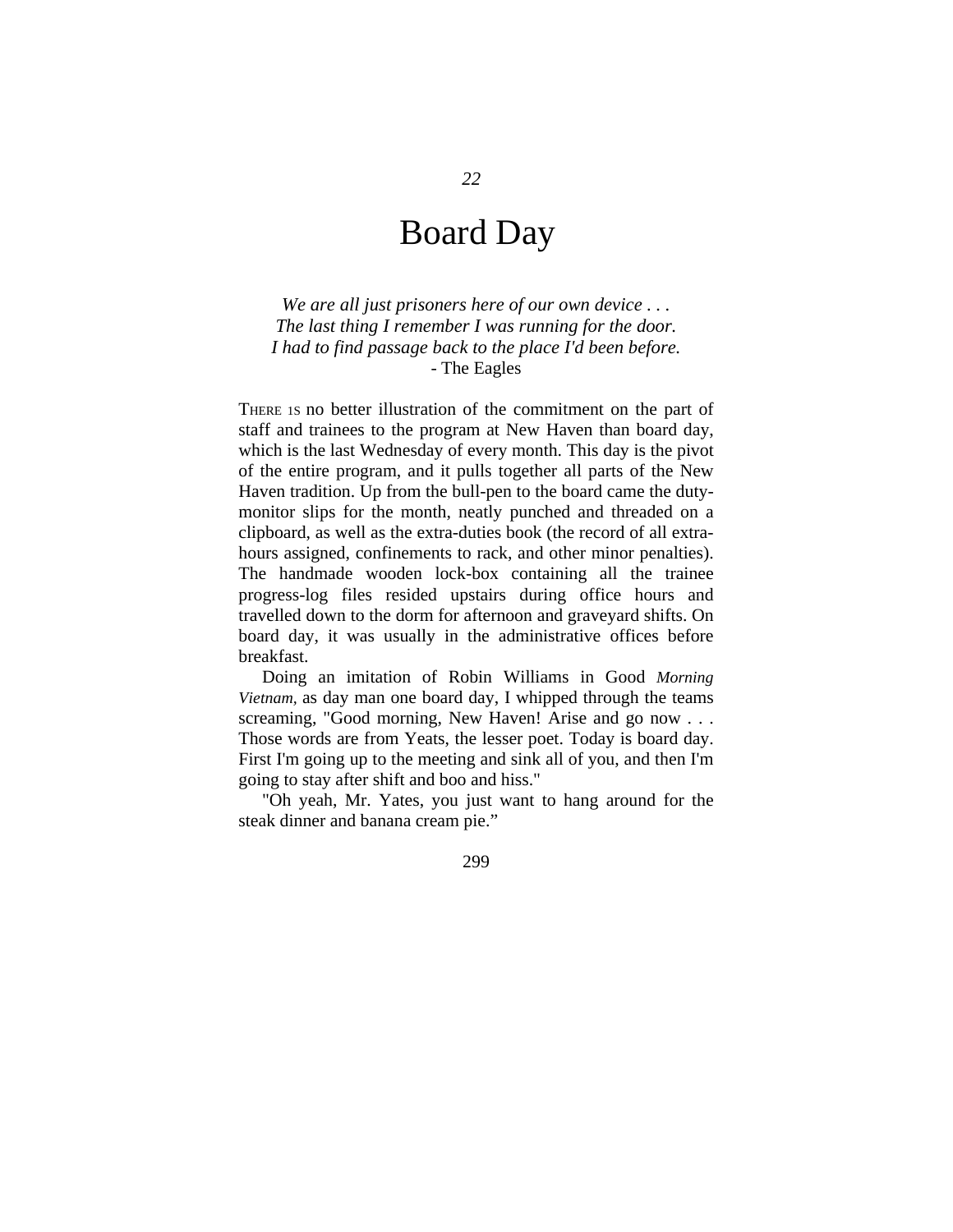## Board Day

*We are all just prisoners here of our own device . . . The last thing I remember I was running for the door. I had to find passage back to the place I'd been before.*  - The Eagles

THERE 1S no better illustration of the commitment on the part of staff and trainees to the program at New Haven than board day, which is the last Wednesday of every month. This day is the pivot of the entire program, and it pulls together all parts of the New Haven tradition. Up from the bull-pen to the board came the dutymonitor slips for the month, neatly punched and threaded on a clipboard, as well as the extra-duties book (the record of all extrahours assigned, confinements to rack, and other minor penalties). The handmade wooden lock-box containing all the trainee progress-log files resided upstairs during office hours and travelled down to the dorm for afternoon and graveyard shifts. On board day, it was usually in the administrative offices before breakfast.

Doing an imitation of Robin Williams in Good *Morning Vietnam,* as day man one board day, I whipped through the teams screaming, "Good morning, New Haven! Arise and go now . . . Those words are from Yeats, the lesser poet. Today is board day. First I'm going up to the meeting and sink all of you, and then I'm going to stay after shift and boo and hiss."

"Oh yeah, Mr. Yates, you just want to hang around for the steak dinner and banana cream pie."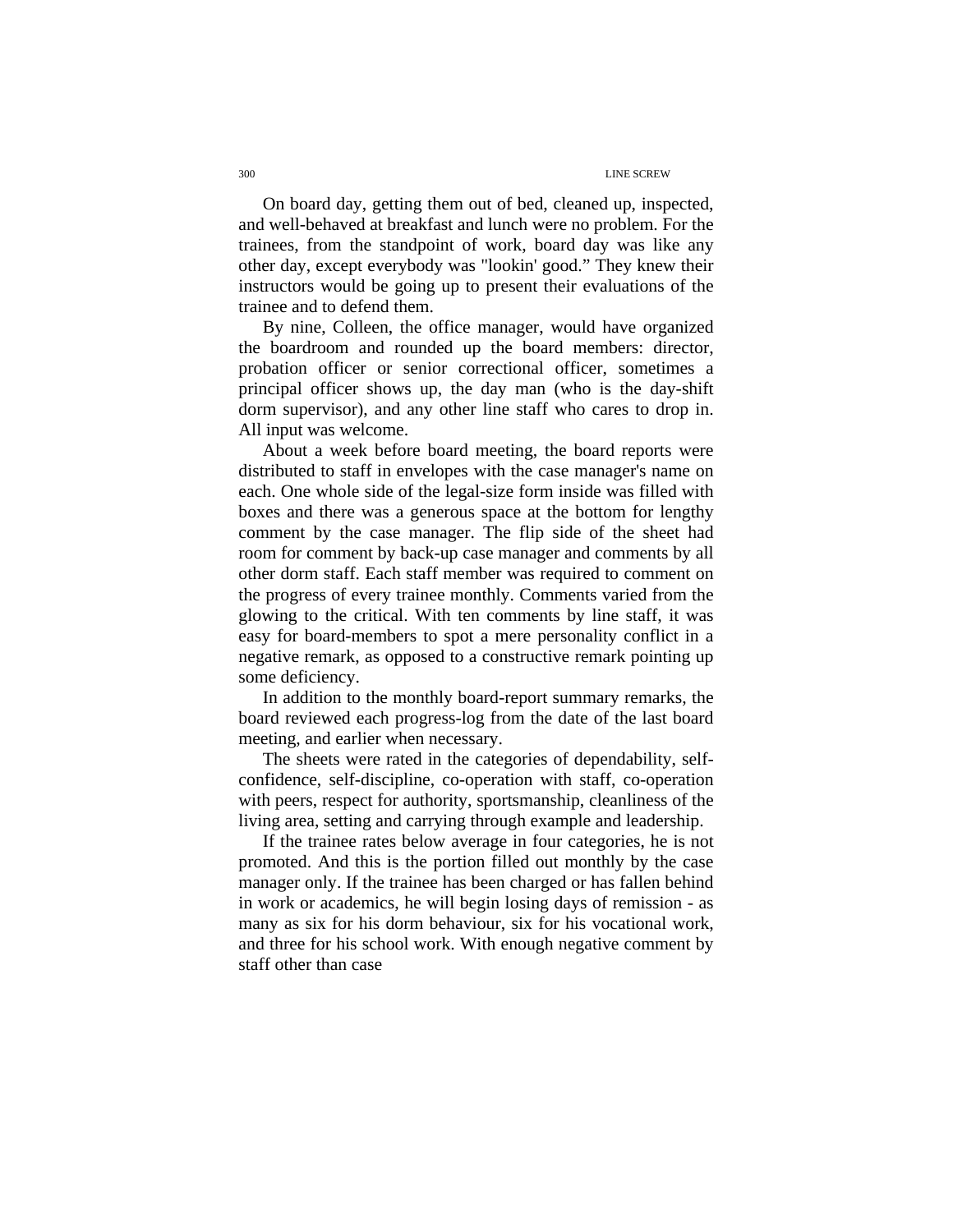On board day, getting them out of bed, cleaned up, inspected, and well-behaved at breakfast and lunch were no problem. For the trainees, from the standpoint of work, board day was like any other day, except everybody was "lookin' good." They knew their instructors would be going up to present their evaluations of the trainee and to defend them.

By nine, Colleen, the office manager, would have organized the boardroom and rounded up the board members: director, probation officer or senior correctional officer, sometimes a principal officer shows up, the day man (who is the day-shift dorm supervisor), and any other line staff who cares to drop in. All input was welcome.

About a week before board meeting, the board reports were distributed to staff in envelopes with the case manager's name on each. One whole side of the legal-size form inside was filled with boxes and there was a generous space at the bottom for lengthy comment by the case manager. The flip side of the sheet had room for comment by back-up case manager and comments by all other dorm staff. Each staff member was required to comment on the progress of every trainee monthly. Comments varied from the glowing to the critical. With ten comments by line staff, it was easy for board-members to spot a mere personality conflict in a negative remark, as opposed to a constructive remark pointing up some deficiency.

In addition to the monthly board-report summary remarks, the board reviewed each progress-log from the date of the last board meeting, and earlier when necessary.

The sheets were rated in the categories of dependability, selfconfidence, self-discipline, co-operation with staff, co-operation with peers, respect for authority, sportsmanship, cleanliness of the living area, setting and carrying through example and leadership.

If the trainee rates below average in four categories, he is not promoted. And this is the portion filled out monthly by the case manager only. If the trainee has been charged or has fallen behind in work or academics, he will begin losing days of remission - as many as six for his dorm behaviour, six for his vocational work, and three for his school work. With enough negative comment by staff other than case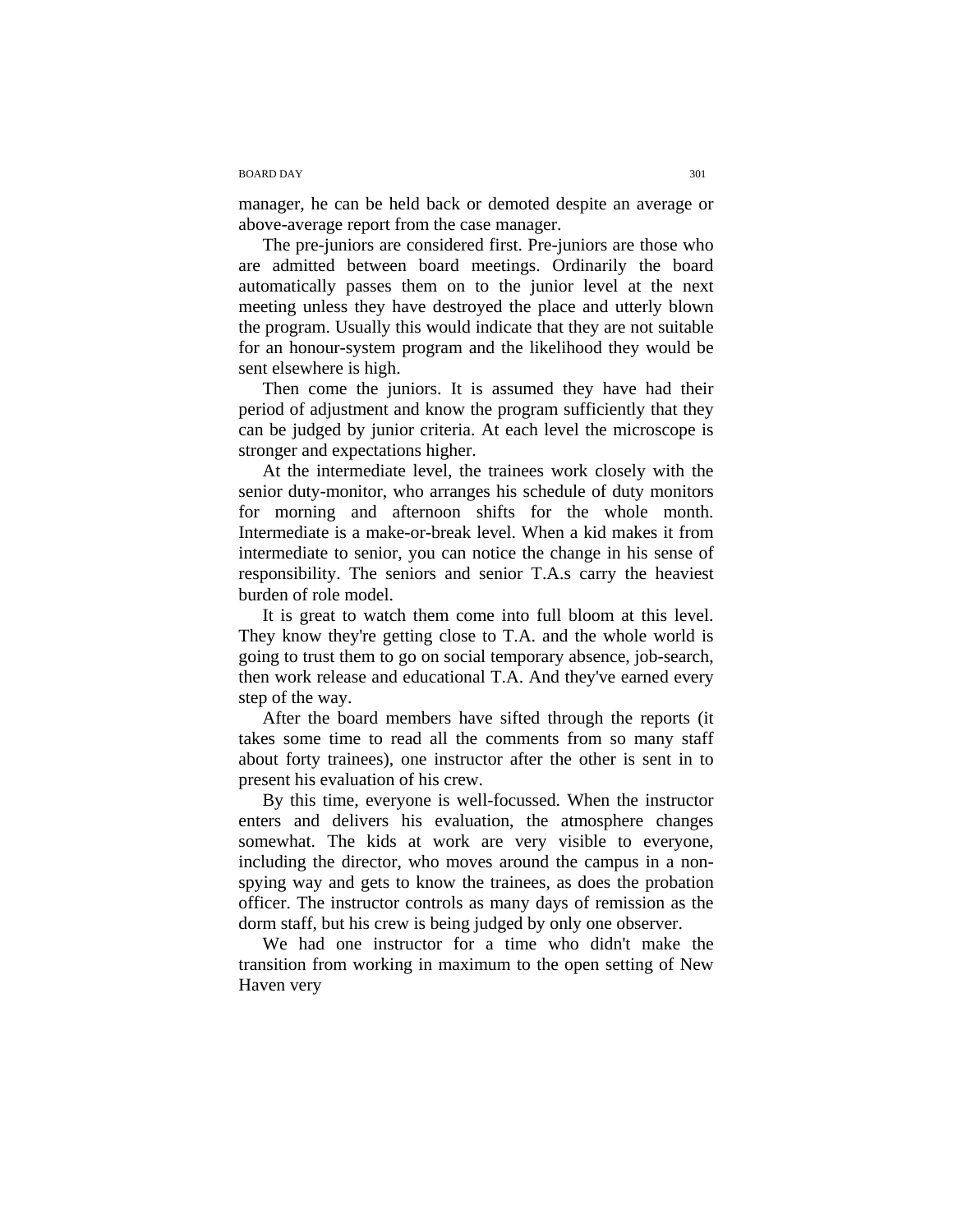#### BOARD DAY 301

manager, he can be held back or demoted despite an average or above-average report from the case manager.

The pre-juniors are considered first. Pre-juniors are those who are admitted between board meetings. Ordinarily the board automatically passes them on to the junior level at the next meeting unless they have destroyed the place and utterly blown the program. Usually this would indicate that they are not suitable for an honour-system program and the likelihood they would be sent elsewhere is high.

Then come the juniors. It is assumed they have had their period of adjustment and know the program sufficiently that they can be judged by junior criteria. At each level the microscope is stronger and expectations higher.

At the intermediate level, the trainees work closely with the senior duty-monitor, who arranges his schedule of duty monitors for morning and afternoon shifts for the whole month. Intermediate is a make-or-break level. When a kid makes it from intermediate to senior, you can notice the change in his sense of responsibility. The seniors and senior T.A.s carry the heaviest burden of role model.

It is great to watch them come into full bloom at this level. They know they're getting close to T.A. and the whole world is going to trust them to go on social temporary absence, job-search, then work release and educational T.A. And they've earned every step of the way.

After the board members have sifted through the reports (it takes some time to read all the comments from so many staff about forty trainees), one instructor after the other is sent in to present his evaluation of his crew.

By this time, everyone is well-focussed. When the instructor enters and delivers his evaluation, the atmosphere changes somewhat. The kids at work are very visible to everyone, including the director, who moves around the campus in a nonspying way and gets to know the trainees, as does the probation officer. The instructor controls as many days of remission as the dorm staff, but his crew is being judged by only one observer.

We had one instructor for a time who didn't make the transition from working in maximum to the open setting of New Haven very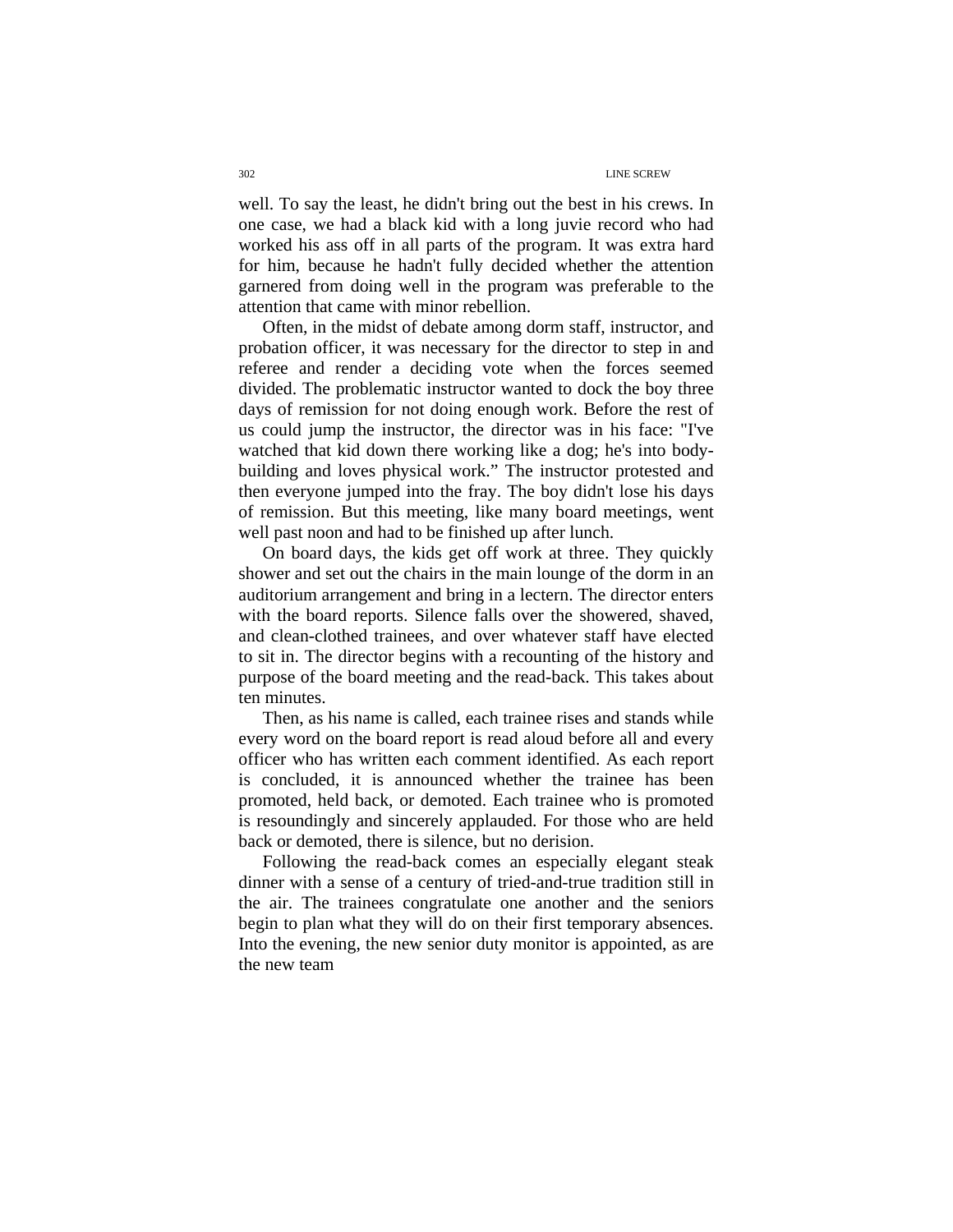well. To say the least, he didn't bring out the best in his crews. In one case, we had a black kid with a long juvie record who had worked his ass off in all parts of the program. It was extra hard for him, because he hadn't fully decided whether the attention garnered from doing well in the program was preferable to the attention that came with minor rebellion.

Often, in the midst of debate among dorm staff, instructor, and probation officer, it was necessary for the director to step in and referee and render a deciding vote when the forces seemed divided. The problematic instructor wanted to dock the boy three days of remission for not doing enough work. Before the rest of us could jump the instructor, the director was in his face: "I've watched that kid down there working like a dog; he's into bodybuilding and loves physical work." The instructor protested and then everyone jumped into the fray. The boy didn't lose his days of remission. But this meeting, like many board meetings, went well past noon and had to be finished up after lunch.

On board days, the kids get off work at three. They quickly shower and set out the chairs in the main lounge of the dorm in an auditorium arrangement and bring in a lectern. The director enters with the board reports. Silence falls over the showered, shaved, and clean-clothed trainees, and over whatever staff have elected to sit in. The director begins with a recounting of the history and purpose of the board meeting and the read-back. This takes about ten minutes.

Then, as his name is called, each trainee rises and stands while every word on the board report is read aloud before all and every officer who has written each comment identified. As each report is concluded, it is announced whether the trainee has been promoted, held back, or demoted. Each trainee who is promoted is resoundingly and sincerely applauded. For those who are held back or demoted, there is silence, but no derision.

Following the read-back comes an especially elegant steak dinner with a sense of a century of tried-and-true tradition still in the air. The trainees congratulate one another and the seniors begin to plan what they will do on their first temporary absences. Into the evening, the new senior duty monitor is appointed, as are the new team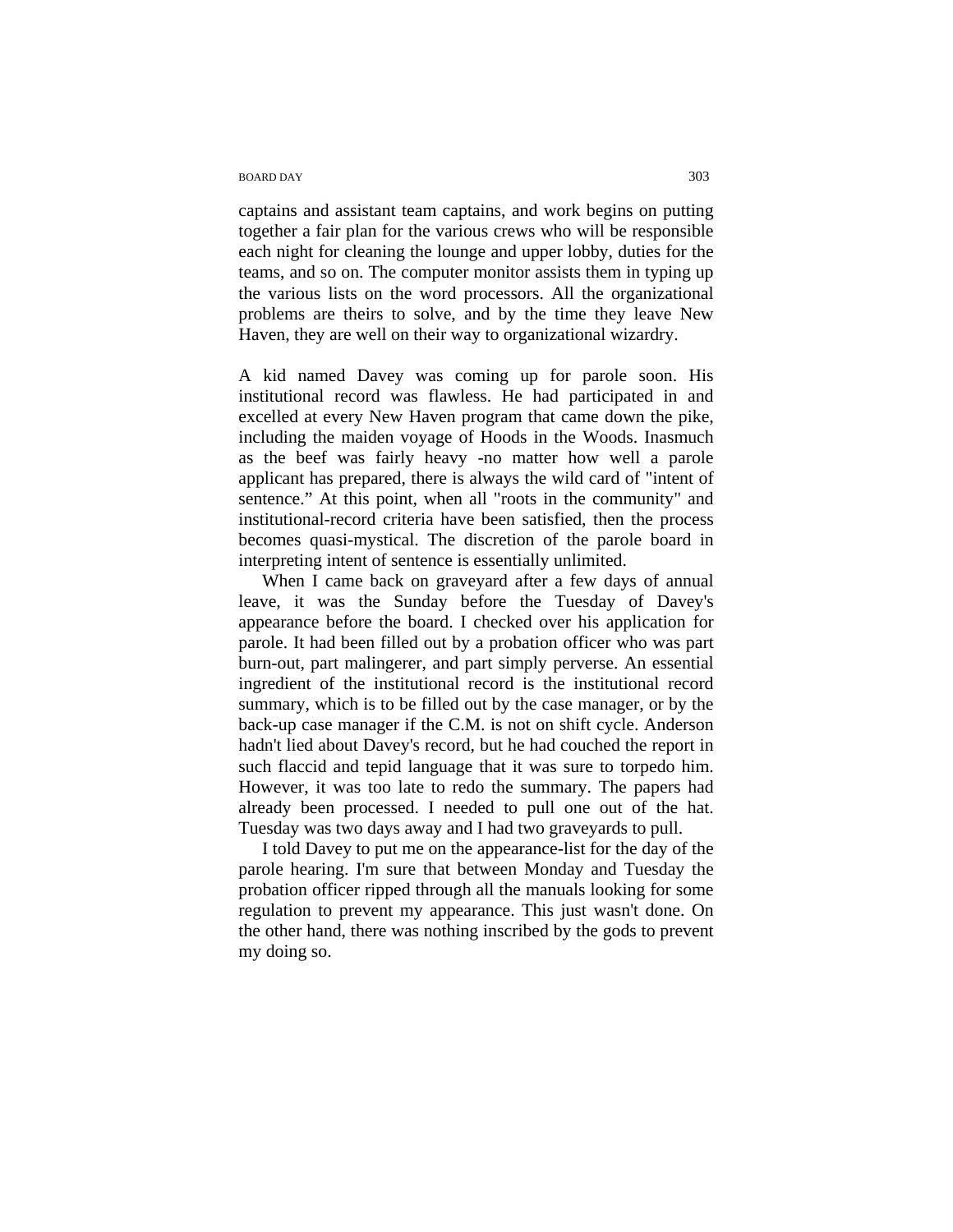## BOARD DAY 303

captains and assistant team captains, and work begins on putting together a fair plan for the various crews who will be responsible each night for cleaning the lounge and upper lobby, duties for the teams, and so on. The computer monitor assists them in typing up the various lists on the word processors. All the organizational problems are theirs to solve, and by the time they leave New Haven, they are well on their way to organizational wizardry.

A kid named Davey was coming up for parole soon. His institutional record was flawless. He had participated in and excelled at every New Haven program that came down the pike, including the maiden voyage of Hoods in the Woods. Inasmuch as the beef was fairly heavy -no matter how well a parole applicant has prepared, there is always the wild card of "intent of sentence." At this point, when all "roots in the community" and institutional-record criteria have been satisfied, then the process becomes quasi-mystical. The discretion of the parole board in interpreting intent of sentence is essentially unlimited.

When I came back on graveyard after a few days of annual leave, it was the Sunday before the Tuesday of Davey's appearance before the board. I checked over his application for parole. It had been filled out by a probation officer who was part burn-out, part malingerer, and part simply perverse. An essential ingredient of the institutional record is the institutional record summary, which is to be filled out by the case manager, or by the back-up case manager if the C.M. is not on shift cycle. Anderson hadn't lied about Davey's record, but he had couched the report in such flaccid and tepid language that it was sure to torpedo him. However, it was too late to redo the summary. The papers had already been processed. I needed to pull one out of the hat. Tuesday was two days away and I had two graveyards to pull.

I told Davey to put me on the appearance-list for the day of the parole hearing. I'm sure that between Monday and Tuesday the probation officer ripped through all the manuals looking for some regulation to prevent my appearance. This just wasn't done. On the other hand, there was nothing inscribed by the gods to prevent my doing so.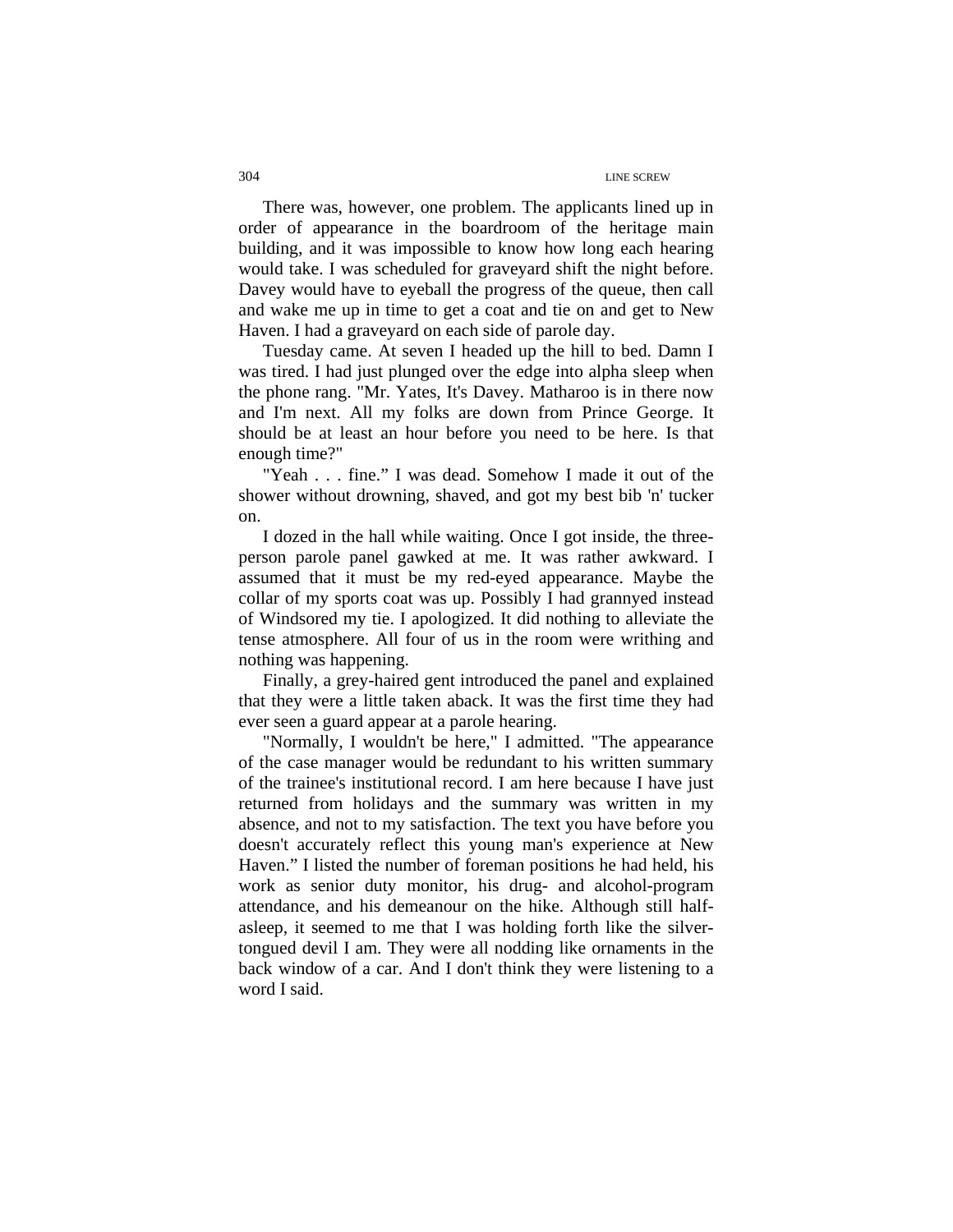There was, however, one problem. The applicants lined up in order of appearance in the boardroom of the heritage main building, and it was impossible to know how long each hearing would take. I was scheduled for graveyard shift the night before. Davey would have to eyeball the progress of the queue, then call and wake me up in time to get a coat and tie on and get to New Haven. I had a graveyard on each side of parole day.

Tuesday came. At seven I headed up the hill to bed. Damn I was tired. I had just plunged over the edge into alpha sleep when the phone rang. "Mr. Yates, It's Davey. Matharoo is in there now and I'm next. All my folks are down from Prince George. It should be at least an hour before you need to be here. Is that enough time?"

"Yeah . . . fine." I was dead. Somehow I made it out of the shower without drowning, shaved, and got my best bib 'n' tucker on.

I dozed in the hall while waiting. Once I got inside, the threeperson parole panel gawked at me. It was rather awkward. I assumed that it must be my red-eyed appearance. Maybe the collar of my sports coat was up. Possibly I had grannyed instead of Windsored my tie. I apologized. It did nothing to alleviate the tense atmosphere. All four of us in the room were writhing and nothing was happening.

Finally, a grey-haired gent introduced the panel and explained that they were a little taken aback. It was the first time they had ever seen a guard appear at a parole hearing.

"Normally, I wouldn't be here," I admitted. "The appearance of the case manager would be redundant to his written summary of the trainee's institutional record. I am here because I have just returned from holidays and the summary was written in my absence, and not to my satisfaction. The text you have before you doesn't accurately reflect this young man's experience at New Haven." I listed the number of foreman positions he had held, his work as senior duty monitor, his drug- and alcohol-program attendance, and his demeanour on the hike. Although still halfasleep, it seemed to me that I was holding forth like the silvertongued devil I am. They were all nodding like ornaments in the back window of a car. And I don't think they were listening to a word I said.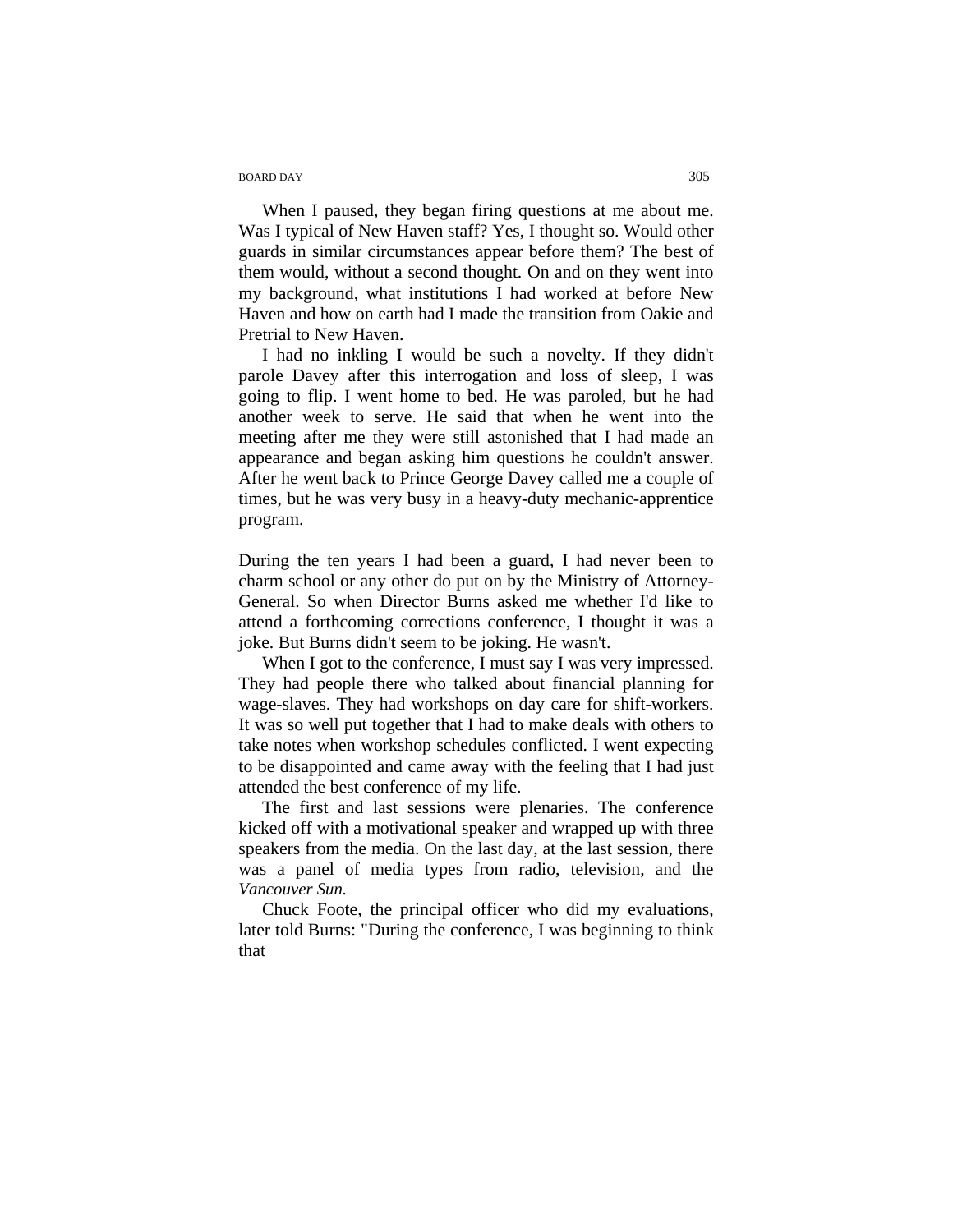## BOARD DAY 305

When I paused, they began firing questions at me about me. Was I typical of New Haven staff? Yes, I thought so. Would other guards in similar circumstances appear before them? The best of them would, without a second thought. On and on they went into my background, what institutions I had worked at before New Haven and how on earth had I made the transition from Oakie and Pretrial to New Haven.

I had no inkling I would be such a novelty. If they didn't parole Davey after this interrogation and loss of sleep, I was going to flip. I went home to bed. He was paroled, but he had another week to serve. He said that when he went into the meeting after me they were still astonished that I had made an appearance and began asking him questions he couldn't answer. After he went back to Prince George Davey called me a couple of times, but he was very busy in a heavy-duty mechanic-apprentice program.

During the ten years I had been a guard, I had never been to charm school or any other do put on by the Ministry of Attorney-General. So when Director Burns asked me whether I'd like to attend a forthcoming corrections conference, I thought it was a joke. But Burns didn't seem to be joking. He wasn't.

When I got to the conference, I must say I was very impressed. They had people there who talked about financial planning for wage-slaves. They had workshops on day care for shift-workers. It was so well put together that I had to make deals with others to take notes when workshop schedules conflicted. I went expecting to be disappointed and came away with the feeling that I had just attended the best conference of my life.

The first and last sessions were plenaries. The conference kicked off with a motivational speaker and wrapped up with three speakers from the media. On the last day, at the last session, there was a panel of media types from radio, television, and the *Vancouver Sun.* 

Chuck Foote, the principal officer who did my evaluations, later told Burns: "During the conference, I was beginning to think that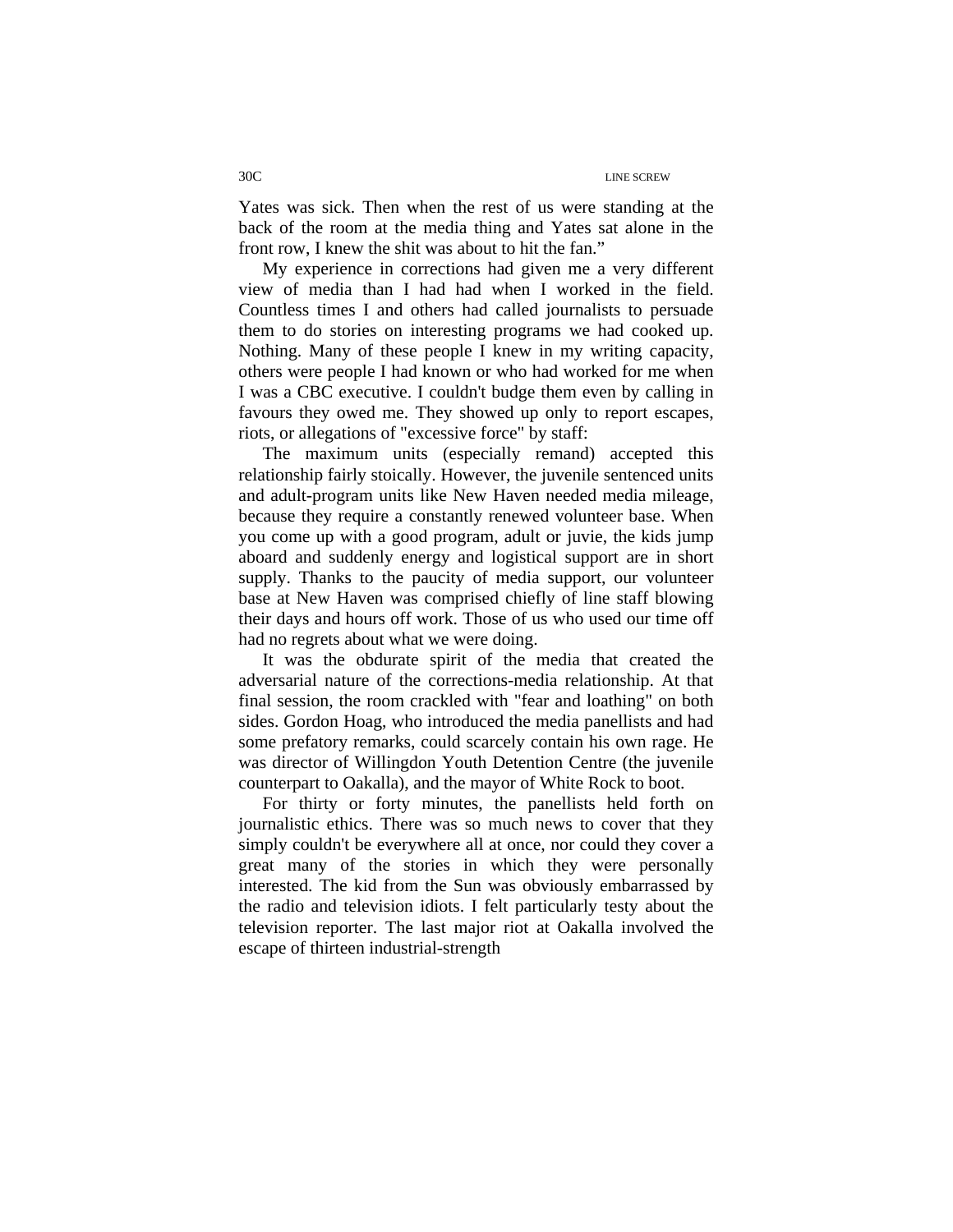Yates was sick. Then when the rest of us were standing at the back of the room at the media thing and Yates sat alone in the front row, I knew the shit was about to hit the fan."

My experience in corrections had given me a very different view of media than I had had when I worked in the field. Countless times I and others had called journalists to persuade them to do stories on interesting programs we had cooked up. Nothing. Many of these people I knew in my writing capacity, others were people I had known or who had worked for me when I was a CBC executive. I couldn't budge them even by calling in favours they owed me. They showed up only to report escapes, riots, or allegations of "excessive force" by staff:

The maximum units (especially remand) accepted this relationship fairly stoically. However, the juvenile sentenced units and adult-program units like New Haven needed media mileage, because they require a constantly renewed volunteer base. When you come up with a good program, adult or juvie, the kids jump aboard and suddenly energy and logistical support are in short supply. Thanks to the paucity of media support, our volunteer base at New Haven was comprised chiefly of line staff blowing their days and hours off work. Those of us who used our time off had no regrets about what we were doing.

It was the obdurate spirit of the media that created the adversarial nature of the corrections-media relationship. At that final session, the room crackled with "fear and loathing" on both sides. Gordon Hoag, who introduced the media panellists and had some prefatory remarks, could scarcely contain his own rage. He was director of Willingdon Youth Detention Centre (the juvenile counterpart to Oakalla), and the mayor of White Rock to boot.

For thirty or forty minutes, the panellists held forth on journalistic ethics. There was so much news to cover that they simply couldn't be everywhere all at once, nor could they cover a great many of the stories in which they were personally interested. The kid from the Sun was obviously embarrassed by the radio and television idiots. I felt particularly testy about the television reporter. The last major riot at Oakalla involved the escape of thirteen industrial-strength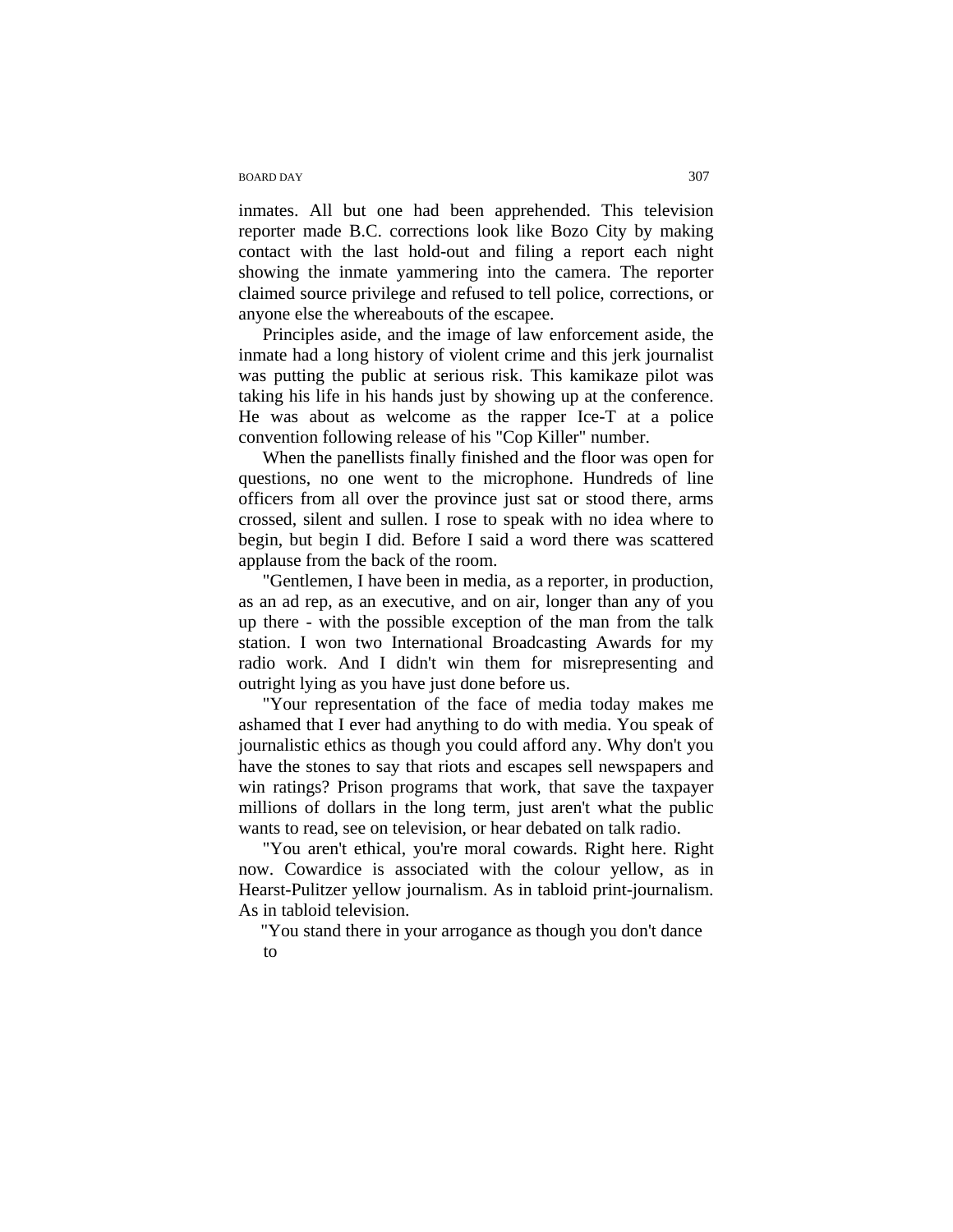## BOARD DAY 307

inmates. All but one had been apprehended. This television reporter made B.C. corrections look like Bozo City by making contact with the last hold-out and filing a report each night showing the inmate yammering into the camera. The reporter claimed source privilege and refused to tell police, corrections, or anyone else the whereabouts of the escapee.

Principles aside, and the image of law enforcement aside, the inmate had a long history of violent crime and this jerk journalist was putting the public at serious risk. This kamikaze pilot was taking his life in his hands just by showing up at the conference. He was about as welcome as the rapper Ice-T at a police convention following release of his "Cop Killer" number.

When the panellists finally finished and the floor was open for questions, no one went to the microphone. Hundreds of line officers from all over the province just sat or stood there, arms crossed, silent and sullen. I rose to speak with no idea where to begin, but begin I did. Before I said a word there was scattered applause from the back of the room.

"Gentlemen, I have been in media, as a reporter, in production, as an ad rep, as an executive, and on air, longer than any of you up there - with the possible exception of the man from the talk station. I won two International Broadcasting Awards for my radio work. And I didn't win them for misrepresenting and outright lying as you have just done before us.

"Your representation of the face of media today makes me ashamed that I ever had anything to do with media. You speak of journalistic ethics as though you could afford any. Why don't you have the stones to say that riots and escapes sell newspapers and win ratings? Prison programs that work, that save the taxpayer millions of dollars in the long term, just aren't what the public wants to read, see on television, or hear debated on talk radio.

"You aren't ethical, you're moral cowards. Right here. Right now. Cowardice is associated with the colour yellow, as in Hearst-Pulitzer yellow journalism. As in tabloid print-journalism. As in tabloid television.

"You stand there in your arrogance as though you don't dance to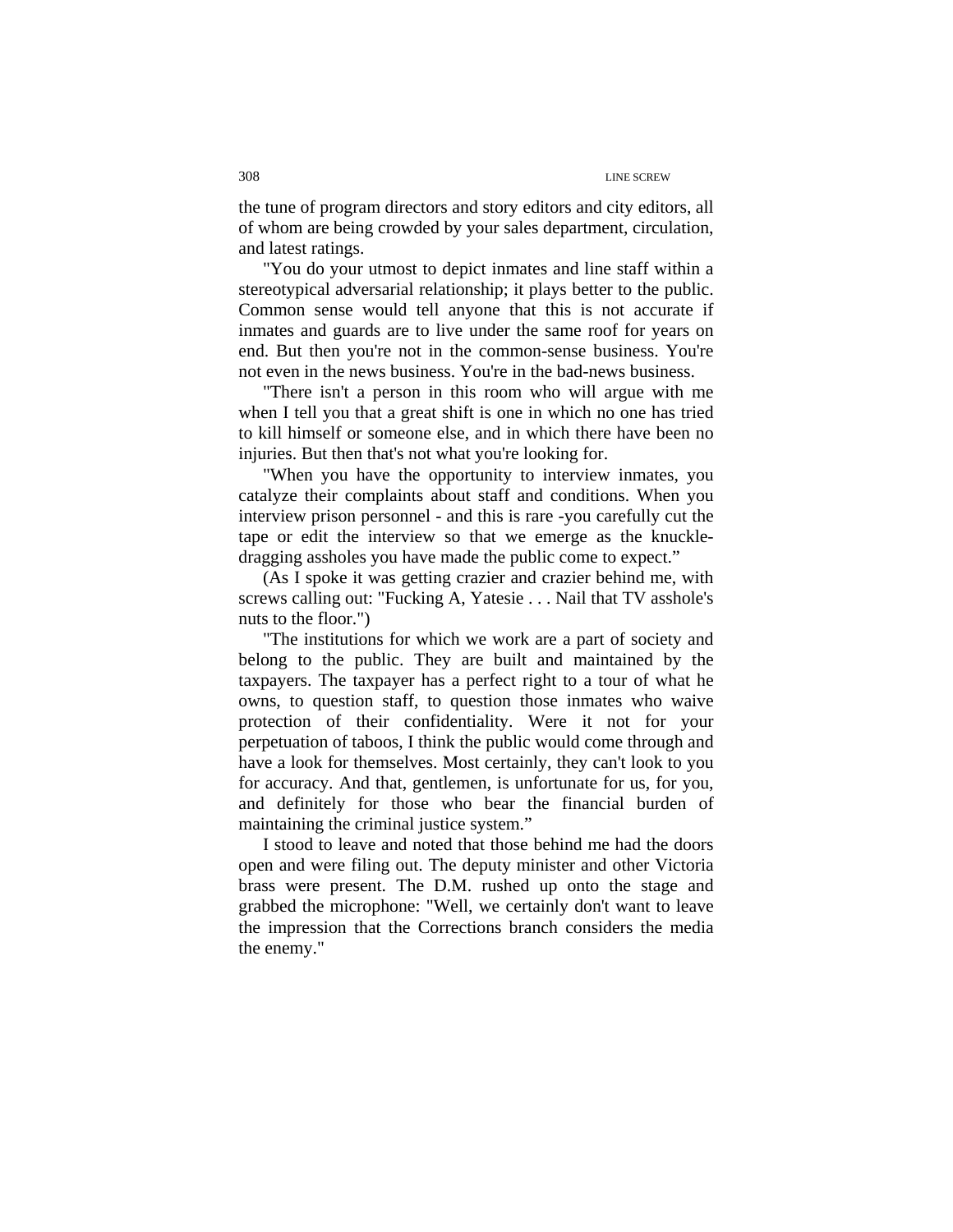the tune of program directors and story editors and city editors, all of whom are being crowded by your sales department, circulation, and latest ratings.

"You do your utmost to depict inmates and line staff within a stereotypical adversarial relationship; it plays better to the public. Common sense would tell anyone that this is not accurate if inmates and guards are to live under the same roof for years on end. But then you're not in the common-sense business. You're not even in the news business. You're in the bad-news business.

"There isn't a person in this room who will argue with me when I tell you that a great shift is one in which no one has tried to kill himself or someone else, and in which there have been no injuries. But then that's not what you're looking for.

"When you have the opportunity to interview inmates, you catalyze their complaints about staff and conditions. When you interview prison personnel - and this is rare -you carefully cut the tape or edit the interview so that we emerge as the knuckledragging assholes you have made the public come to expect."

(As I spoke it was getting crazier and crazier behind me, with screws calling out: "Fucking A, Yatesie . . . Nail that TV asshole's nuts to the floor.")

"The institutions for which we work are a part of society and belong to the public. They are built and maintained by the taxpayers. The taxpayer has a perfect right to a tour of what he owns, to question staff, to question those inmates who waive protection of their confidentiality. Were it not for your perpetuation of taboos, I think the public would come through and have a look for themselves. Most certainly, they can't look to you for accuracy. And that, gentlemen, is unfortunate for us, for you, and definitely for those who bear the financial burden of maintaining the criminal justice system."

I stood to leave and noted that those behind me had the doors open and were filing out. The deputy minister and other Victoria brass were present. The D.M. rushed up onto the stage and grabbed the microphone: "Well, we certainly don't want to leave the impression that the Corrections branch considers the media the enemy."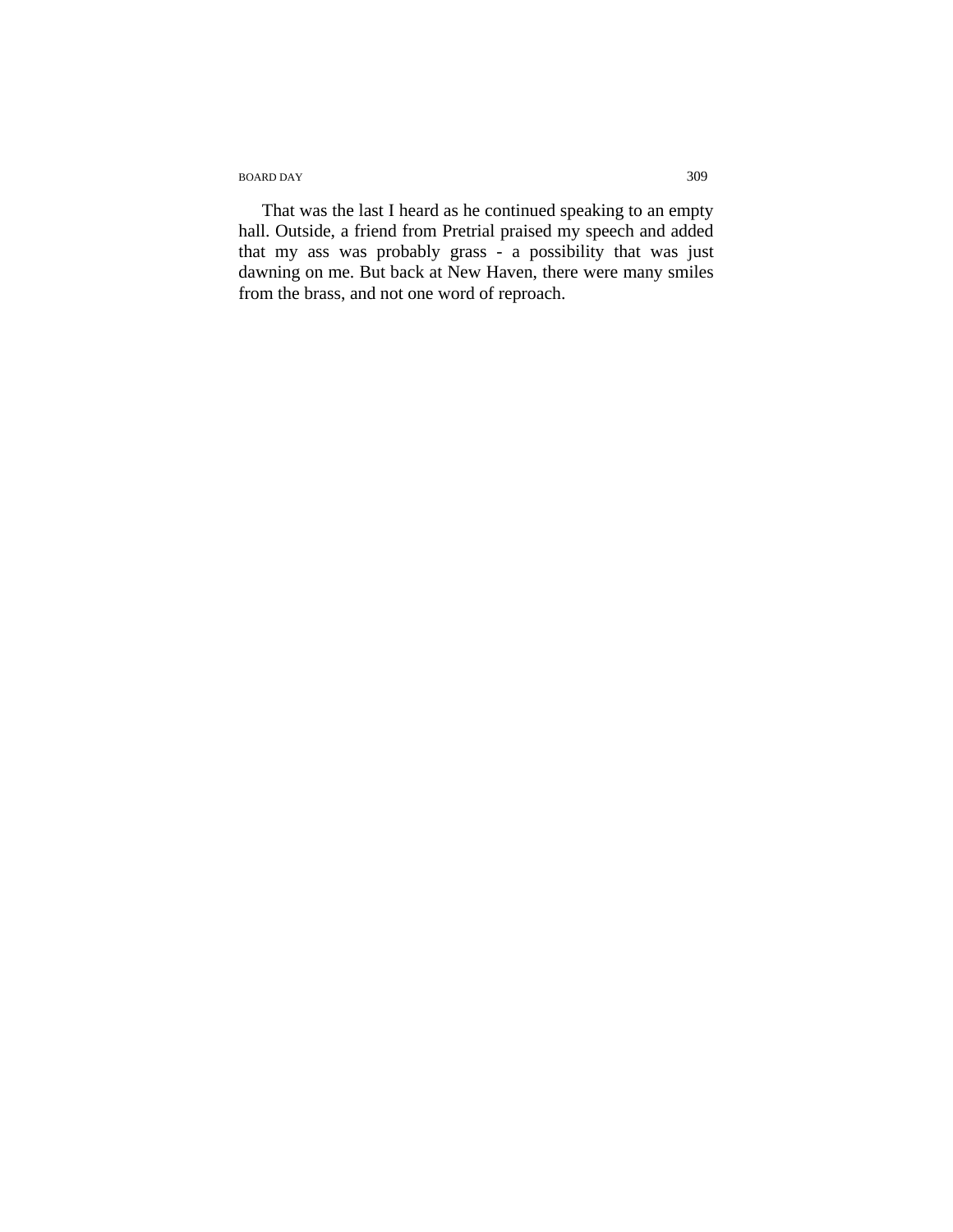BOARD DAY 309

That was the last I heard as he continued speaking to an empty hall. Outside, a friend from Pretrial praised my speech and added that my ass was probably grass - a possibility that was just dawning on me. But back at New Haven, there were many smiles from the brass, and not one word of reproach.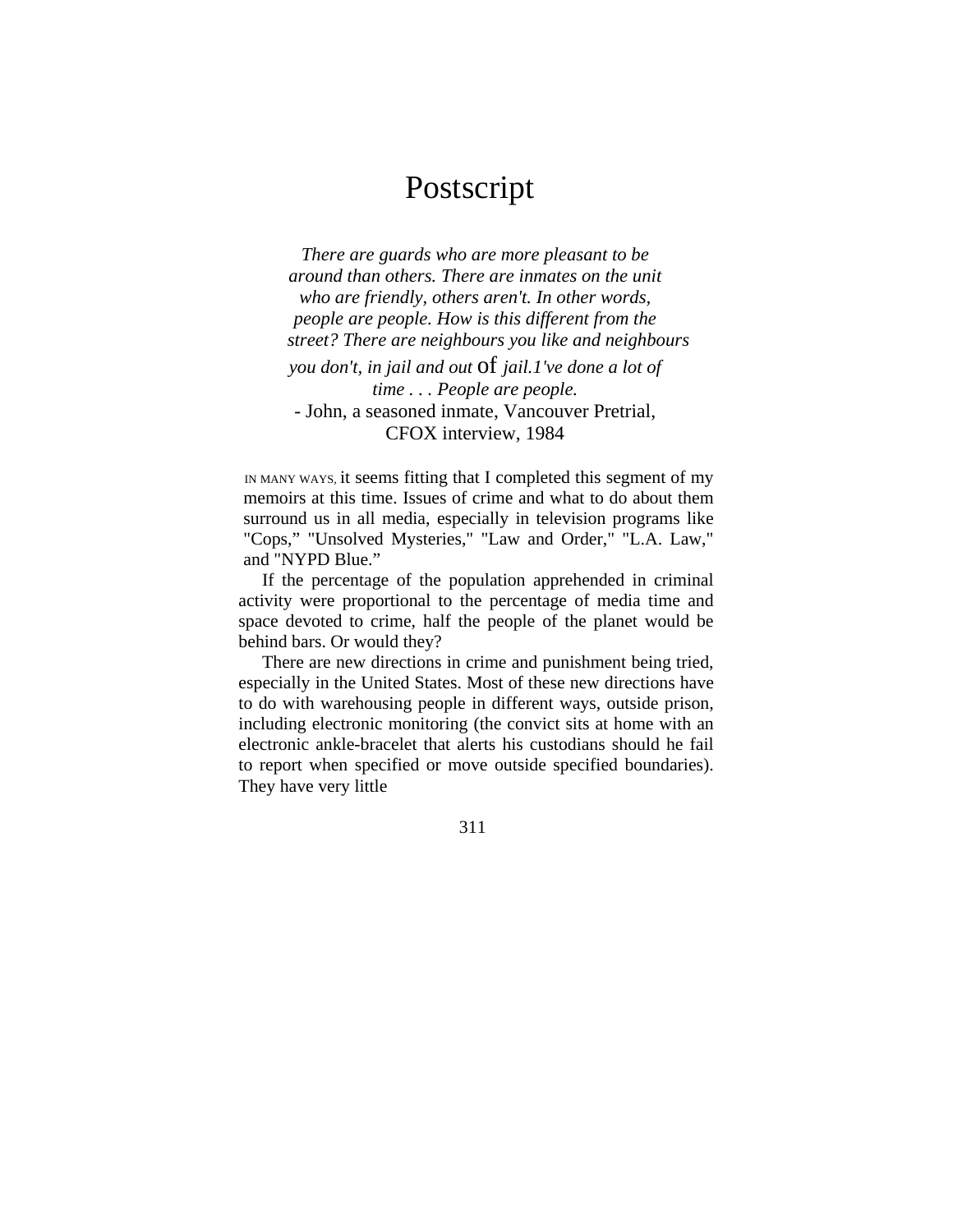## Postscript

 *There are guards who are more pleasant to be around than others. There are inmates on the unit who are friendly, others aren't. In other words, people are people. How is this different from the street? There are neighbours you like and neighbours you don't, in jail and out* of *jail.1've done a lot of time . . . People are people.*  - John, a seasoned inmate, Vancouver Pretrial, CFOX interview, 1984

 IN MANY WAYS, it seems fitting that I completed this segment of my memoirs at this time. Issues of crime and what to do about them surround us in all media, especially in television programs like "Cops," "Unsolved Mysteries," "Law and Order," "L.A. Law," and "NYPD Blue."

If the percentage of the population apprehended in criminal activity were proportional to the percentage of media time and space devoted to crime, half the people of the planet would be behind bars. Or would they?

There are new directions in crime and punishment being tried, especially in the United States. Most of these new directions have to do with warehousing people in different ways, outside prison, including electronic monitoring (the convict sits at home with an electronic ankle-bracelet that alerts his custodians should he fail to report when specified or move outside specified boundaries). They have very little

311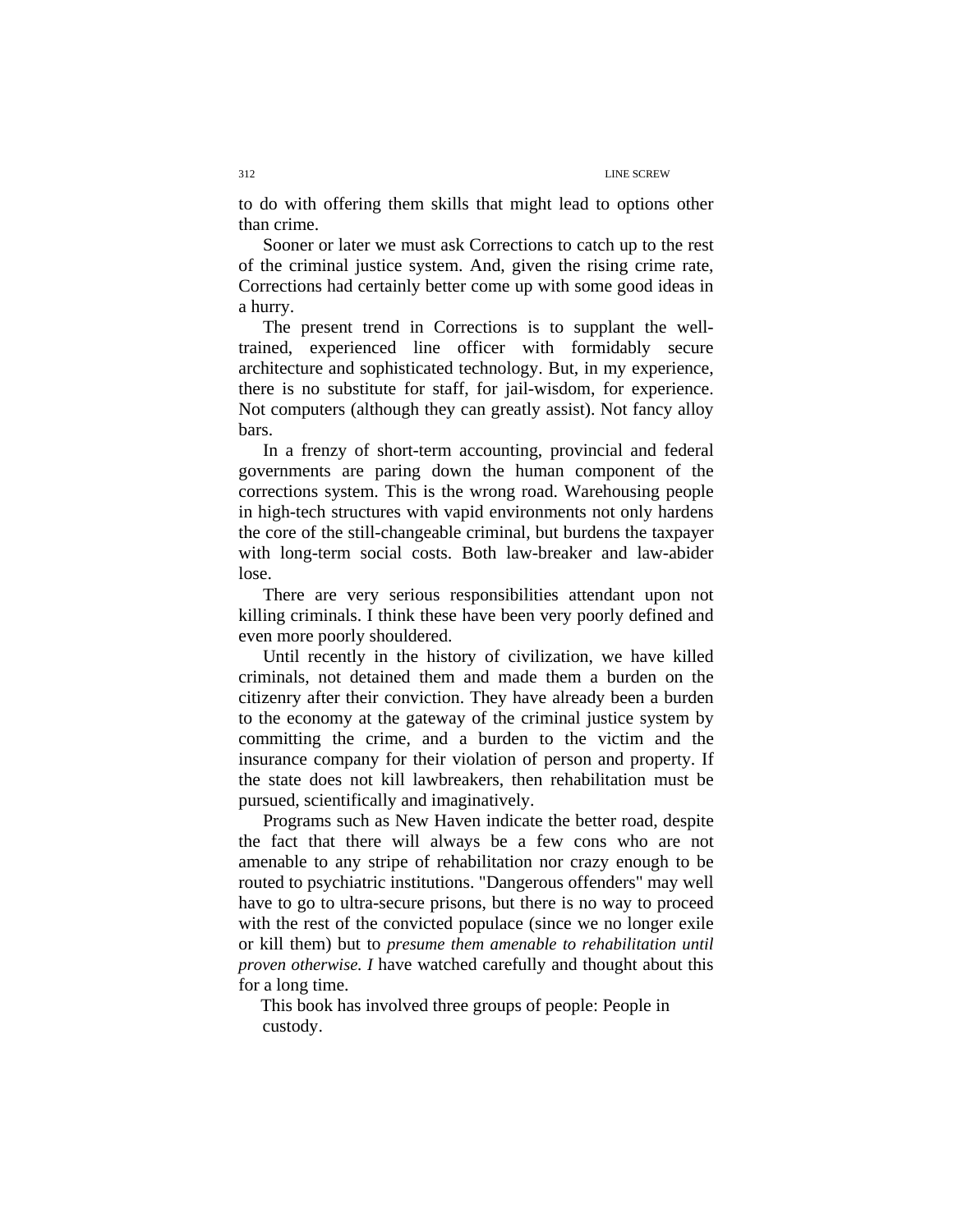to do with offering them skills that might lead to options other than crime.

Sooner or later we must ask Corrections to catch up to the rest of the criminal justice system. And, given the rising crime rate, Corrections had certainly better come up with some good ideas in a hurry.

The present trend in Corrections is to supplant the welltrained, experienced line officer with formidably secure architecture and sophisticated technology. But, in my experience, there is no substitute for staff, for jail-wisdom, for experience. Not computers (although they can greatly assist). Not fancy alloy bars.

In a frenzy of short-term accounting, provincial and federal governments are paring down the human component of the corrections system. This is the wrong road. Warehousing people in high-tech structures with vapid environments not only hardens the core of the still-changeable criminal, but burdens the taxpayer with long-term social costs. Both law-breaker and law-abider lose.

There are very serious responsibilities attendant upon not killing criminals. I think these have been very poorly defined and even more poorly shouldered.

Until recently in the history of civilization, we have killed criminals, not detained them and made them a burden on the citizenry after their conviction. They have already been a burden to the economy at the gateway of the criminal justice system by committing the crime, and a burden to the victim and the insurance company for their violation of person and property. If the state does not kill lawbreakers, then rehabilitation must be pursued, scientifically and imaginatively.

Programs such as New Haven indicate the better road, despite the fact that there will always be a few cons who are not amenable to any stripe of rehabilitation nor crazy enough to be routed to psychiatric institutions. "Dangerous offenders" may well have to go to ultra-secure prisons, but there is no way to proceed with the rest of the convicted populace (since we no longer exile or kill them) but to *presume them amenable to rehabilitation until proven otherwise. I* have watched carefully and thought about this for a long time.

This book has involved three groups of people: People in custody.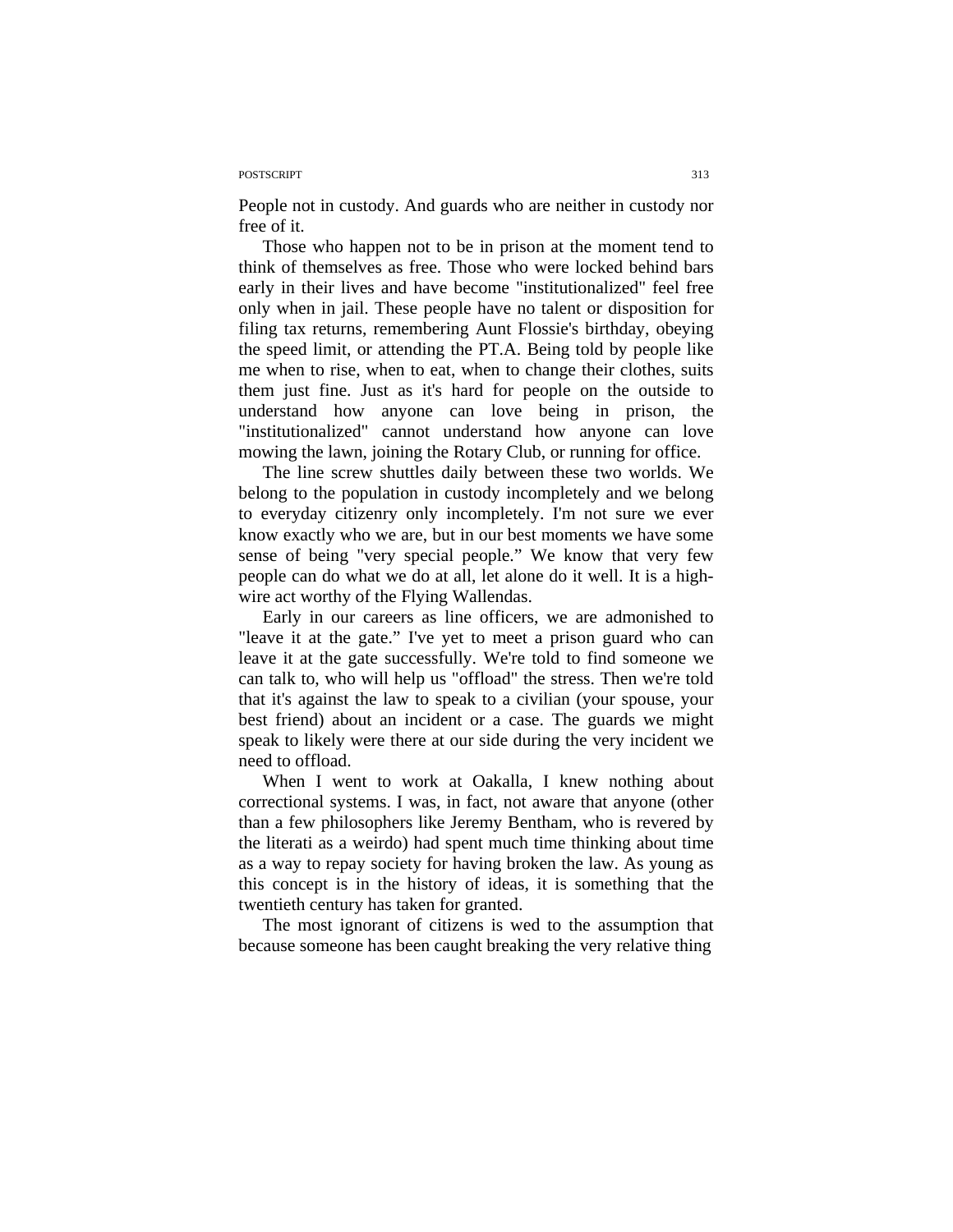#### POSTSCRIPT 313

People not in custody. And guards who are neither in custody nor free of it.

Those who happen not to be in prison at the moment tend to think of themselves as free. Those who were locked behind bars early in their lives and have become "institutionalized" feel free only when in jail. These people have no talent or disposition for filing tax returns, remembering Aunt Flossie's birthday, obeying the speed limit, or attending the PT.A. Being told by people like me when to rise, when to eat, when to change their clothes, suits them just fine. Just as it's hard for people on the outside to understand how anyone can love being in prison, the "institutionalized" cannot understand how anyone can love mowing the lawn, joining the Rotary Club, or running for office.

The line screw shuttles daily between these two worlds. We belong to the population in custody incompletely and we belong to everyday citizenry only incompletely. I'm not sure we ever know exactly who we are, but in our best moments we have some sense of being "very special people." We know that very few people can do what we do at all, let alone do it well. It is a highwire act worthy of the Flying Wallendas.

Early in our careers as line officers, we are admonished to "leave it at the gate." I've yet to meet a prison guard who can leave it at the gate successfully. We're told to find someone we can talk to, who will help us "offload" the stress. Then we're told that it's against the law to speak to a civilian (your spouse, your best friend) about an incident or a case. The guards we might speak to likely were there at our side during the very incident we need to offload.

When I went to work at Oakalla, I knew nothing about correctional systems. I was, in fact, not aware that anyone (other than a few philosophers like Jeremy Bentham, who is revered by the literati as a weirdo) had spent much time thinking about time as a way to repay society for having broken the law. As young as this concept is in the history of ideas, it is something that the twentieth century has taken for granted.

The most ignorant of citizens is wed to the assumption that because someone has been caught breaking the very relative thing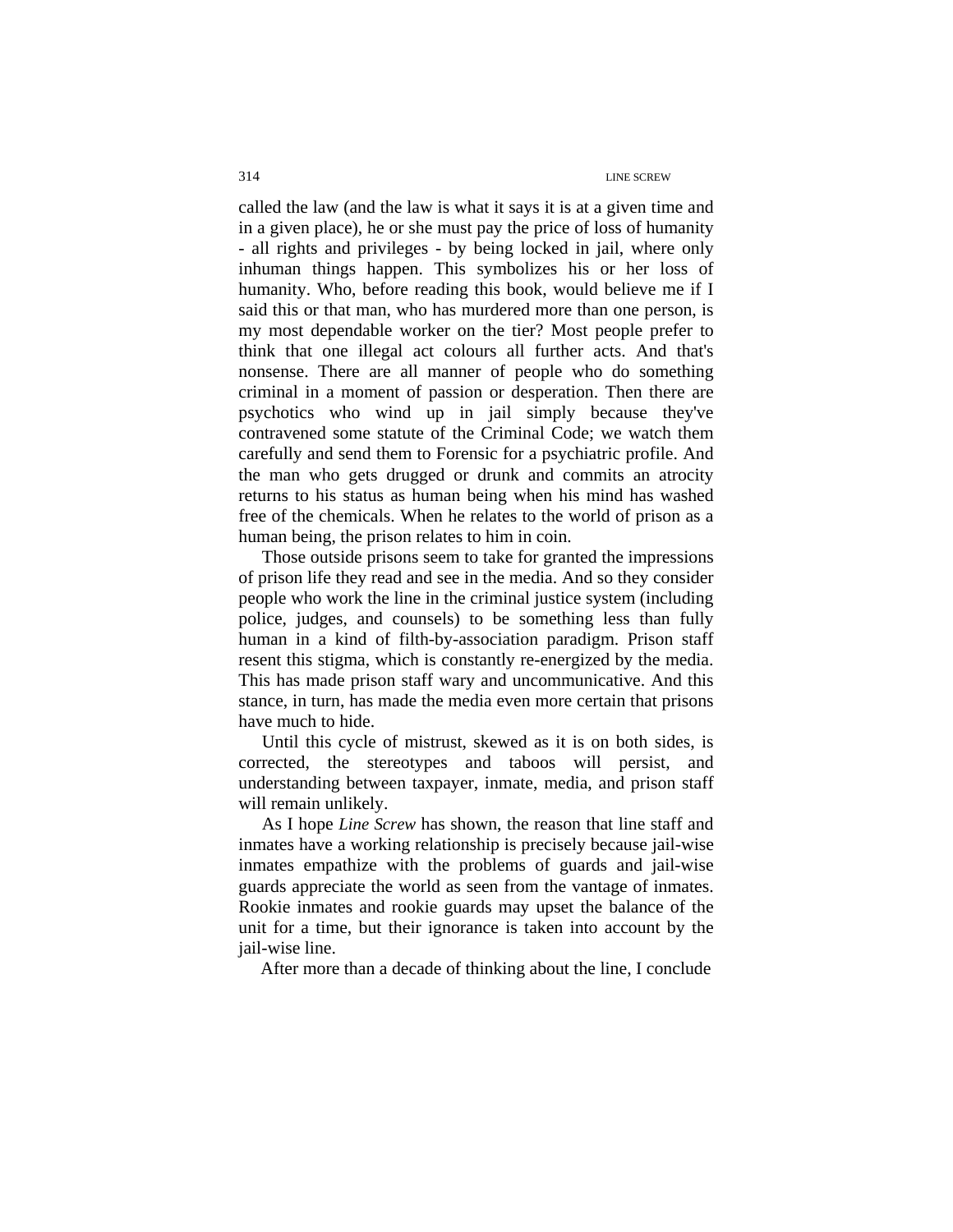called the law (and the law is what it says it is at a given time and in a given place), he or she must pay the price of loss of humanity - all rights and privileges - by being locked in jail, where only inhuman things happen. This symbolizes his or her loss of humanity. Who, before reading this book, would believe me if I said this or that man, who has murdered more than one person, is my most dependable worker on the tier? Most people prefer to think that one illegal act colours all further acts. And that's nonsense. There are all manner of people who do something criminal in a moment of passion or desperation. Then there are psychotics who wind up in jail simply because they've contravened some statute of the Criminal Code; we watch them carefully and send them to Forensic for a psychiatric profile. And the man who gets drugged or drunk and commits an atrocity returns to his status as human being when his mind has washed free of the chemicals. When he relates to the world of prison as a human being, the prison relates to him in coin.

Those outside prisons seem to take for granted the impressions of prison life they read and see in the media. And so they consider people who work the line in the criminal justice system (including police, judges, and counsels) to be something less than fully human in a kind of filth-by-association paradigm. Prison staff resent this stigma, which is constantly re-energized by the media. This has made prison staff wary and uncommunicative. And this stance, in turn, has made the media even more certain that prisons have much to hide.

Until this cycle of mistrust, skewed as it is on both sides, is corrected, the stereotypes and taboos will persist, and understanding between taxpayer, inmate, media, and prison staff will remain unlikely.

As I hope *Line Screw* has shown, the reason that line staff and inmates have a working relationship is precisely because jail-wise inmates empathize with the problems of guards and jail-wise guards appreciate the world as seen from the vantage of inmates. Rookie inmates and rookie guards may upset the balance of the unit for a time, but their ignorance is taken into account by the jail-wise line.

After more than a decade of thinking about the line, I conclude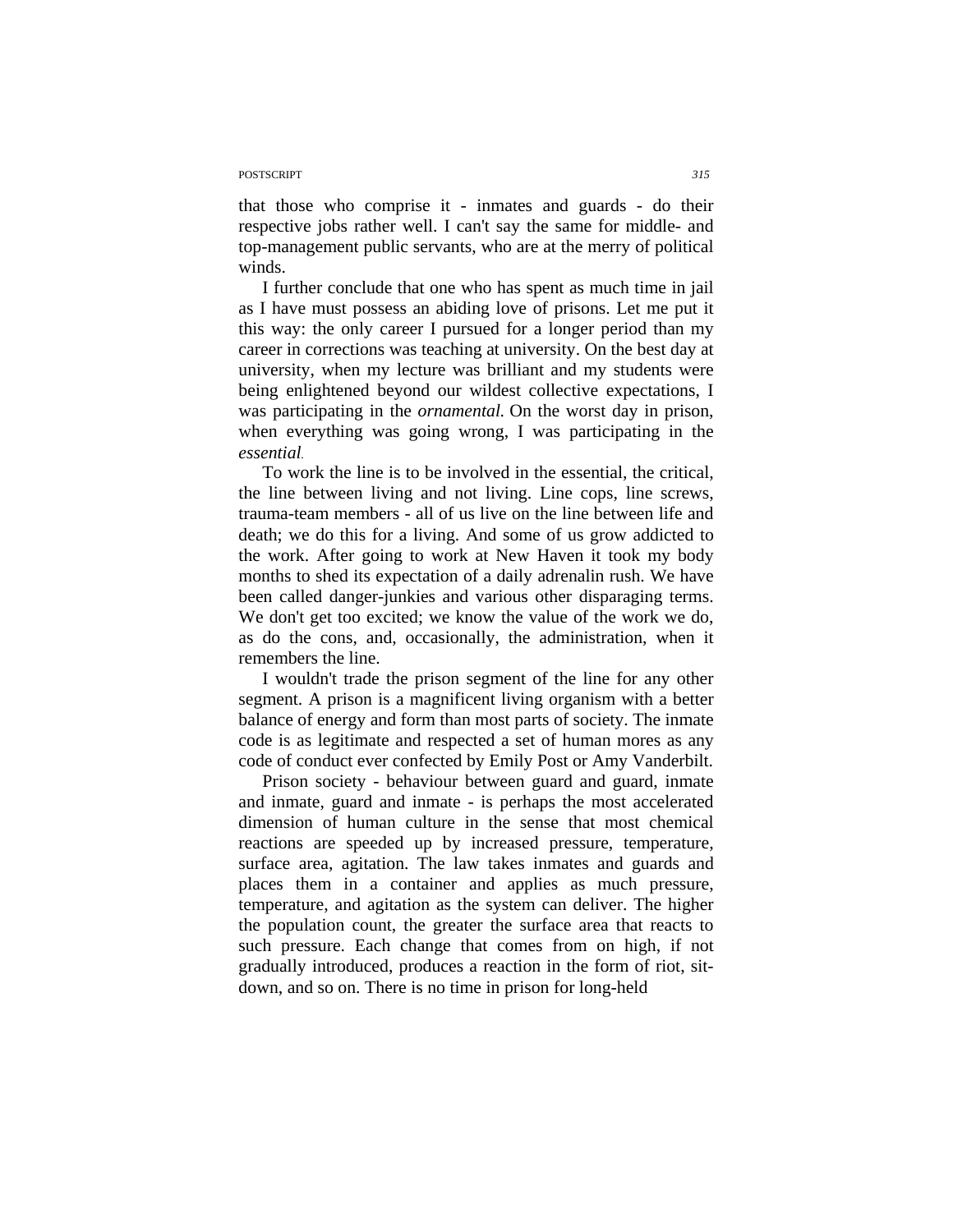## POSTSCRIPT *315*

that those who comprise it - inmates and guards - do their respective jobs rather well. I can't say the same for middle- and top-management public servants, who are at the merry of political winds.

I further conclude that one who has spent as much time in jail as I have must possess an abiding love of prisons. Let me put it this way: the only career I pursued for a longer period than my career in corrections was teaching at university. On the best day at university, when my lecture was brilliant and my students were being enlightened beyond our wildest collective expectations, I was participating in the *ornamental.* On the worst day in prison, when everything was going wrong, I was participating in the *essential.* 

To work the line is to be involved in the essential, the critical, the line between living and not living. Line cops, line screws, trauma-team members - all of us live on the line between life and death; we do this for a living. And some of us grow addicted to the work. After going to work at New Haven it took my body months to shed its expectation of a daily adrenalin rush. We have been called danger-junkies and various other disparaging terms. We don't get too excited; we know the value of the work we do, as do the cons, and, occasionally, the administration, when it remembers the line.

I wouldn't trade the prison segment of the line for any other segment. A prison is a magnificent living organism with a better balance of energy and form than most parts of society. The inmate code is as legitimate and respected a set of human mores as any code of conduct ever confected by Emily Post or Amy Vanderbilt.

Prison society - behaviour between guard and guard, inmate and inmate, guard and inmate - is perhaps the most accelerated dimension of human culture in the sense that most chemical reactions are speeded up by increased pressure, temperature, surface area, agitation. The law takes inmates and guards and places them in a container and applies as much pressure, temperature, and agitation as the system can deliver. The higher the population count, the greater the surface area that reacts to such pressure. Each change that comes from on high, if not gradually introduced, produces a reaction in the form of riot, sitdown, and so on. There is no time in prison for long-held